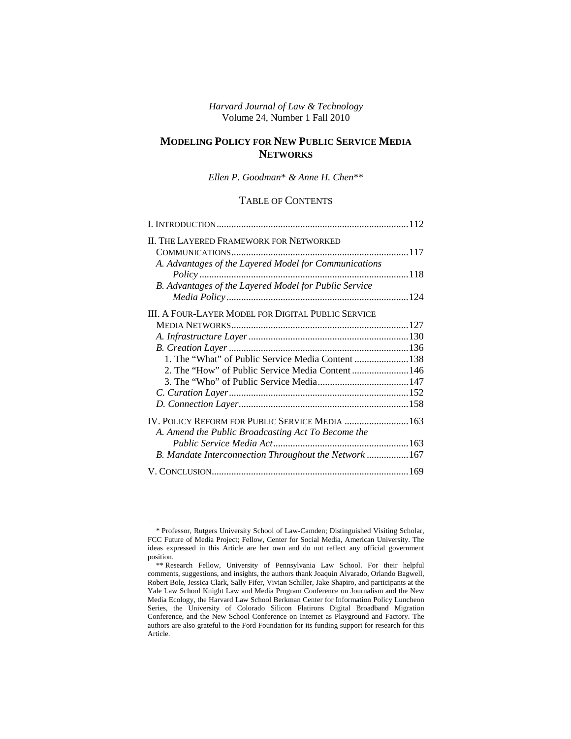*Harvard Journal of Law & Technology*  Volume 24, Number 1 Fall 2010

# **MODELING POLICY FOR NEW PUBLIC SERVICE MEDIA NETWORKS**

*Ellen P. Goodman*\* *& Anne H. Chen*\*\*

# TABLE OF CONTENTS

| <b>II. THE LAYERED FRAMEWORK FOR NETWORKED</b>            |  |
|-----------------------------------------------------------|--|
| A. Advantages of the Layered Model for Communications     |  |
|                                                           |  |
| B. Advantages of the Layered Model for Public Service     |  |
|                                                           |  |
| <b>III. A FOUR-LAYER MODEL FOR DIGITAL PUBLIC SERVICE</b> |  |
|                                                           |  |
|                                                           |  |
|                                                           |  |
| 1. The "What" of Public Service Media Content 138         |  |
|                                                           |  |
|                                                           |  |
|                                                           |  |
| IV. POLICY REFORM FOR PUBLIC SERVICE MEDIA  163           |  |
| A. Amend the Public Broadcasting Act To Become the        |  |
|                                                           |  |
| B. Mandate Interconnection Throughout the Network  167    |  |
|                                                           |  |

<sup>\*</sup> Professor, Rutgers University School of Law-Camden; Distinguished Visiting Scholar, FCC Future of Media Project; Fellow, Center for Social Media, American University. The ideas expressed in this Article are her own and do not reflect any official government position.

<sup>\*\*</sup> Research Fellow, University of Pennsylvania Law School. For their helpful comments, suggestions, and insights, the authors thank Joaquin Alvarado, Orlando Bagwell, Robert Bole, Jessica Clark, Sally Fifer, Vivian Schiller, Jake Shapiro, and participants at the Yale Law School Knight Law and Media Program Conference on Journalism and the New Media Ecology, the Harvard Law School Berkman Center for Information Policy Luncheon Series, the University of Colorado Silicon Flatirons Digital Broadband Migration Conference, and the New School Conference on Internet as Playground and Factory. The authors are also grateful to the Ford Foundation for its funding support for research for this Article.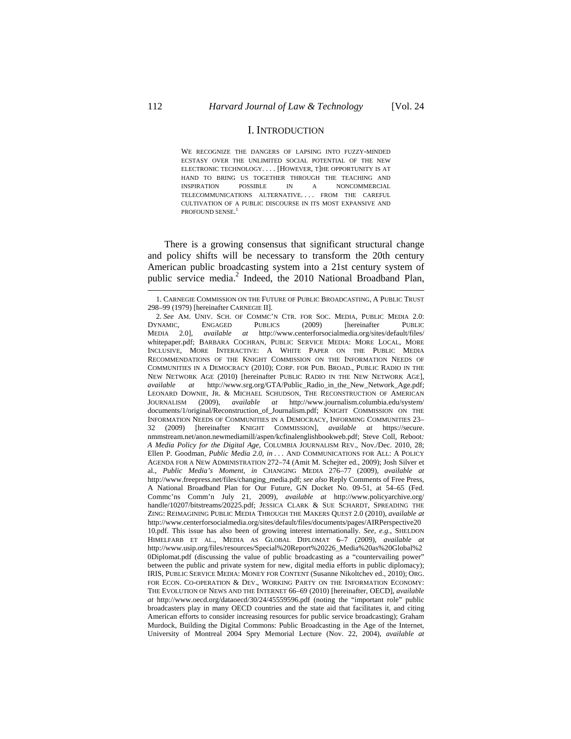### I. INTRODUCTION

WE RECOGNIZE THE DANGERS OF LAPSING INTO FUZZY-MINDED ECSTASY OVER THE UNLIMITED SOCIAL POTENTIAL OF THE NEW ELECTRONIC TECHNOLOGY. . . . [HOWEVER, T]HE OPPORTUNITY IS AT HAND TO BRING US TOGETHER THROUGH THE TEACHING AND INSPIRATION POSSIBLE IN A NONCOMMERCIAL TELECOMMUNICATIONS ALTERNATIVE. . . . FROM THE CAREFUL CULTIVATION OF A PUBLIC DISCOURSE IN ITS MOST EXPANSIVE AND PROFOUND SENSE. 1

There is a growing consensus that significant structural change and policy shifts will be necessary to transform the 20th century American public broadcasting system into a 21st century system of public service media.<sup>2</sup> Indeed, the 2010 National Broadband Plan,

<sup>1.</sup> CARNEGIE COMMISSION ON THE FUTURE OF PUBLIC BROADCASTING, A PUBLIC TRUST 298–99 (1979) [hereinafter CARNEGIE II].

<sup>2.</sup> *See* AM. UNIV. SCH. OF COMMC'N CTR. FOR SOC. MEDIA, PUBLIC MEDIA 2.0:<br>
2. FINAMIC, ENGAGED PUBLICS (2009) [hereinafter PUBLIC DYNAMIC, ENGAGED PUBLICS (2009) [hereinafter PUBLIC MEDIA 2.0], *available at* http://www.centerforsocialmedia.org/sites/default/files/ whitepaper.pdf; BARBARA COCHRAN, PUBLIC SERVICE MEDIA: MORE LOCAL, MORE INCLUSIVE, MORE INTERACTIVE: A WHITE PAPER ON THE PUBLIC MEDIA RECOMMENDATIONS OF THE KNIGHT COMMISSION ON THE INFORMATION NEEDS OF COMMUNITIES IN A DEMOCRACY (2010); CORP. FOR PUB. BROAD., PUBLIC RADIO IN THE NEW NETWORK AGE (2010) [hereinafter PUBLIC RADIO IN THE NEW NETWORK AGE], *available at* http://www.srg.org/GTA/Public\_Radio\_in\_the\_New\_Network\_Age.pdf; LEONARD DOWNIE, JR. & MICHAEL SCHUDSON, THE RECONSTRUCTION OF AMERICAN JOURNALISM (2009), *available at* http://www.journalism.columbia.edu/system/ documents/1/original/Reconstruction\_of\_Journalism.pdf; KNIGHT COMMISSION ON THE INFORMATION NEEDS OF COMMUNITIES IN A DEMOCRACY, INFORMING COMMUNITIES 23– 32 (2009) [hereinafter KNIGHT COMMISSION], *available at* https://secure. nmmstream.net/anon.newmediamill/aspen/kcfinalenglishbookweb.pdf; Steve Coll, Reboot*: A Media Policy for the Digital Age*, COLUMBIA JOURNALISM REV., Nov./Dec. 2010, 28; Ellen P. Goodman, *Public Media 2.0*, *in* . . . AND COMMUNICATIONS FOR ALL: A POLICY AGENDA FOR A NEW ADMINISTRATION 272–74 (Amit M. Schejter ed., 2009); Josh Silver et al., *Public Media's Moment*, *in* CHANGING MEDIA 276–77 (2009), *available at* http://www.freepress.net/files/changing\_media.pdf; *see also* Reply Comments of Free Press, A National Broadband Plan for Our Future, GN Docket No. 09-51, at 54–65 (Fed. Commc'ns Comm'n July 21, 2009), *available at* http://www.policyarchive.org/ handle/10207/bitstreams/20225.pdf; JESSICA CLARK & SUE SCHARDT, SPREADING THE ZING: REIMAGINING PUBLIC MEDIA THROUGH THE MAKERS QUEST 2.0 (2010), *available at* http://www.centerforsocialmedia.org/sites/default/files/documents/pages/AIRPerspective20 10.pdf. This issue has also been of growing interest internationally. *See, e.g.*, SHELDON HIMELFARB ET AL., MEDIA AS GLOBAL DIPLOMAT 6–7 (2009), *available at* http://www.usip.org/files/resources/Special%20Report%20226\_Media%20as%20Global%2 0Diplomat.pdf (discussing the value of public broadcasting as a "countervailing power" between the public and private system for new, digital media efforts in public diplomacy); IRIS, PUBLIC SERVICE MEDIA: MONEY FOR CONTENT (Susanne Nikoltchev ed., 2010); ORG. FOR ECON. CO-OPERATION & DEV., WORKING PARTY ON THE INFORMATION ECONOMY: THE EVOLUTION OF NEWS AND THE INTERNET 66–69 (2010) [hereinafter, OECD], *available at* http://www.oecd.org/dataoecd/30/24/45559596.pdf (noting the "important role" public broadcasters play in many OECD countries and the state aid that facilitates it, and citing American efforts to consider increasing resources for public service broadcasting); Graham Murdock, Building the Digital Commons: Public Broadcasting in the Age of the Internet, University of Montreal 2004 Spry Memorial Lecture (Nov. 22, 2004), *available at*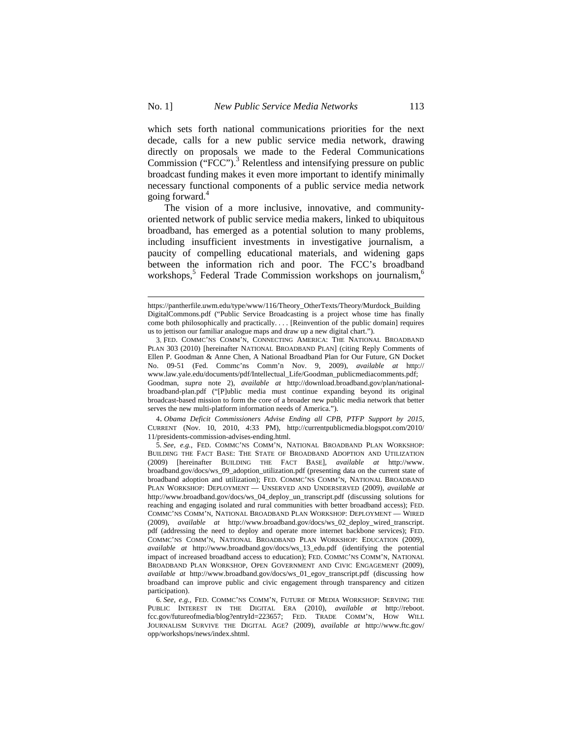which sets forth national communications priorities for the next decade, calls for a new public service media network, drawing directly on proposals we made to the Federal Communications Commission ("FCC").<sup>3</sup> Relentless and intensifying pressure on public broadcast funding makes it even more important to identify minimally necessary functional components of a public service media network going forward.<sup>4</sup>

The vision of a more inclusive, innovative, and communityoriented network of public service media makers, linked to ubiquitous broadband, has emerged as a potential solution to many problems, including insufficient investments in investigative journalism, a paucity of compelling educational materials, and widening gaps between the information rich and poor. The FCC's broadband workshops,<sup>5</sup> Federal Trade Commission workshops on journalism,<sup>6</sup>

 $\overline{a}$ 

4. *Obama Deficit Commissioners Advise Ending all CPB, PTFP Support by 2015,*  CURRENT (Nov. 10, 2010, 4:33 PM), http://currentpublicmedia.blogspot.com/2010/ 11/presidents-commission-advises-ending.html.

https://pantherfile.uwm.edu/type/www/116/Theory\_OtherTexts/Theory/Murdock\_Building DigitalCommons.pdf ("Public Service Broadcasting is a project whose time has finally come both philosophically and practically. . . . [Reinvention of the public domain] requires us to jettison our familiar analogue maps and draw up a new digital chart.").

<sup>3.</sup> FED. COMMC'NS COMM'N, CONNECTING AMERICA: THE NATIONAL BROADBAND PLAN 303 (2010) [hereinafter NATIONAL BROADBAND PLAN] (citing Reply Comments of Ellen P. Goodman & Anne Chen, A National Broadband Plan for Our Future, GN Docket No. 09-51 (Fed. Commc'ns Comm'n Nov. 9, 2009), *available at* http:// www.law.yale.edu/documents/pdf/Intellectual\_Life/Goodman\_publicmediacomments.pdf; Goodman, *supra* note 2), *available at* http://download.broadband.gov/plan/nationalbroadband-plan.pdf ("[P]ublic media must continue expanding beyond its original broadcast-based mission to form the core of a broader new public media network that better serves the new multi-platform information needs of America.").

<sup>5.</sup> *See, e.g.*, FED. COMMC'NS COMM'N, NATIONAL BROADBAND PLAN WORKSHOP: BUILDING THE FACT BASE: THE STATE OF BROADBAND ADOPTION AND UTILIZATION (2009) [hereinafter BUILDING THE FACT BASE], *available at* http://www. broadband.gov/docs/ws\_09\_adoption\_utilization.pdf (presenting data on the current state of broadband adoption and utilization); FED. COMMC'NS COMM'N, NATIONAL BROADBAND PLAN WORKSHOP: DEPLOYMENT — UNSERVED AND UNDERSERVED (2009), *available at*  http://www.broadband.gov/docs/ws\_04\_deploy\_un\_transcript.pdf (discussing solutions for reaching and engaging isolated and rural communities with better broadband access); FED. COMMC'NS COMM'N, NATIONAL BROADBAND PLAN WORKSHOP: DEPLOYMENT — WIRED (2009), *available at* http://www.broadband.gov/docs/ws\_02\_deploy\_wired\_transcript. pdf (addressing the need to deploy and operate more internet backbone services); FED. COMMC'NS COMM'N, NATIONAL BROADBAND PLAN WORKSHOP: EDUCATION (2009), *available at* http://www.broadband.gov/docs/ws\_13\_edu.pdf (identifying the potential impact of increased broadband access to education); FED. COMMC'NS COMM'N, NATIONAL BROADBAND PLAN WORKSHOP, OPEN GOVERNMENT AND CIVIC ENGAGEMENT (2009), *available at* http://www.broadband.gov/docs/ws\_01\_egov\_transcript.pdf (discussing how broadband can improve public and civic engagement through transparency and citizen participation).

<sup>6.</sup> *See, e.g.*, FED. COMMC'NS COMM'N, FUTURE OF MEDIA WORKSHOP: SERVING THE PUBLIC INTEREST IN THE DIGITAL ERA (2010), *available at* http://reboot. fcc.gov/futureofmedia/blog?entryId=223657; FED. TRADE COMM'N, HOW WILL JOURNALISM SURVIVE THE DIGITAL AGE? (2009), *available at* http://www.ftc.gov/ opp/workshops/news/index.shtml.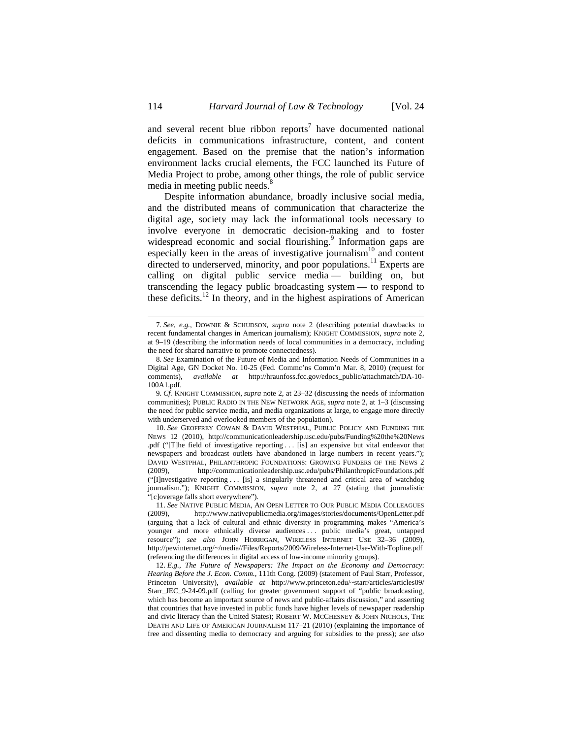and several recent blue ribbon reports<sup>7</sup> have documented national deficits in communications infrastructure, content, and content engagement. Based on the premise that the nation's information environment lacks crucial elements, the FCC launched its Future of Media Project to probe, among other things, the role of public service media in meeting public needs.<sup>8</sup>

Despite information abundance, broadly inclusive social media, and the distributed means of communication that characterize the digital age, society may lack the informational tools necessary to involve everyone in democratic decision-making and to foster widespread economic and social flourishing.<sup>9</sup> Information gaps are especially keen in the areas of investigative journalism $10$  and content directed to underserved, minority, and poor populations.<sup>11</sup> Experts are calling on digital public service media — building on, but transcending the legacy public broadcasting system — to respond to these deficits.<sup>12</sup> In theory, and in the highest aspirations of American

<sup>7.</sup> *See, e.g.*, DOWNIE & SCHUDSON, *supra* note 2 (describing potential drawbacks to recent fundamental changes in American journalism); KNIGHT COMMISSION, *supra* note 2, at 9–19 (describing the information needs of local communities in a democracy, including the need for shared narrative to promote connectedness).

<sup>8.</sup> *See* Examination of the Future of Media and Information Needs of Communities in a Digital Age, GN Docket No. 10-25 (Fed. Commc'ns Comm'n Mar. 8, 2010) (request for comments), *available at* http://hraunfoss.fcc.gov/edocs\_public/attachmatch/DA-10- 100A1.pdf.

<sup>9.</sup> *Cf.* KNIGHT COMMISSION, *supra* note 2, at 23–32 (discussing the needs of information communities); PUBLIC RADIO IN THE NEW NETWORK AGE, *supra* note 2, at 1–3 (discussing the need for public service media, and media organizations at large, to engage more directly with underserved and overlooked members of the population).

<sup>10.</sup> *See* GEOFFREY COWAN & DAVID WESTPHAL, PUBLIC POLICY AND FUNDING THE NEWS 12 (2010), http://communicationleadership.usc.edu/pubs/Funding%20the%20News .pdf ("[T]he field of investigative reporting . . . [is] an expensive but vital endeavor that newspapers and broadcast outlets have abandoned in large numbers in recent years."); DAVID WESTPHAL, PHILANTHROPIC FOUNDATIONS: GROWING FUNDERS OF THE NEWS 2 (2009), http://communicationleadership.usc.edu/pubs/PhilanthropicFoundations.pdf ("[I]nvestigative reporting . . . [is] a singularly threatened and critical area of watchdog journalism."); KNIGHT COMMISSION, *supra* note 2, at 27 (stating that journalistic "[c]overage falls short everywhere").

<sup>11.</sup> *See* NATIVE PUBLIC MEDIA, AN OPEN LETTER TO OUR PUBLIC MEDIA COLLEAGUES (2009), http://www.nativepublicmedia.org/images/stories/documents/OpenLetter.pdf (arguing that a lack of cultural and ethnic diversity in programming makes "America's younger and more ethnically diverse audiences ... public media's great, untapped resource"); *see also* JOHN HORRIGAN, WIRELESS INTERNET USE 32–36 (2009), http://pewinternet.org/~/media//Files/Reports/2009/Wireless-Internet-Use-With-Topline.pdf (referencing the differences in digital access of low-income minority groups).

<sup>12.</sup> *E.g.*, *The Future of Newspapers: The Impact on the Economy and Democracy*: *Hearing Before the J. Econ. Comm.*, 111th Cong. (2009) (statement of Paul Starr, Professor, Princeton University), *available at* http://www.princeton.edu/~starr/articles/articles09/ Starr\_JEC\_9-24-09.pdf (calling for greater government support of "public broadcasting, which has become an important source of news and public-affairs discussion," and asserting that countries that have invested in public funds have higher levels of newspaper readership and civic literacy than the United States); ROBERT W. MCCHESNEY & JOHN NICHOLS, THE DEATH AND LIFE OF AMERICAN JOURNALISM 117–21 (2010) (explaining the importance of free and dissenting media to democracy and arguing for subsidies to the press); *see also*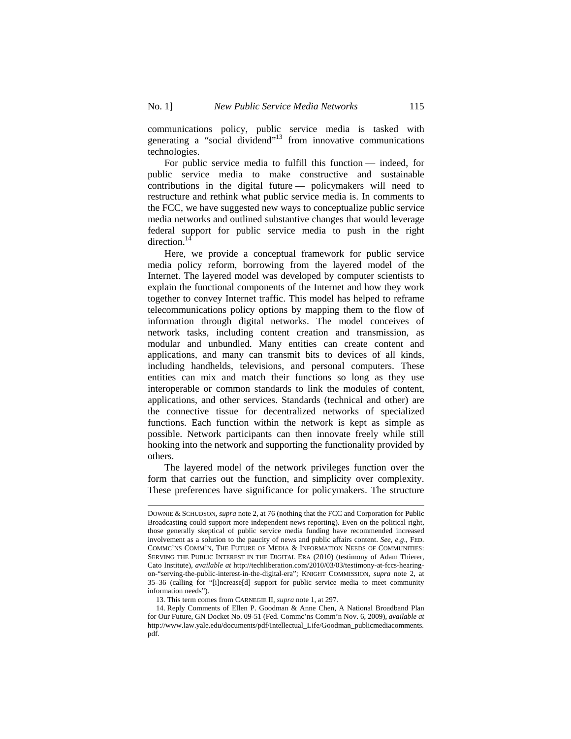communications policy, public service media is tasked with generating a "social dividend"<sup>13</sup> from innovative communications technologies.

For public service media to fulfill this function — indeed, for public service media to make constructive and sustainable contributions in the digital future — policymakers will need to restructure and rethink what public service media is. In comments to the FCC, we have suggested new ways to conceptualize public service media networks and outlined substantive changes that would leverage federal support for public service media to push in the right direction.<sup>14</sup>

Here, we provide a conceptual framework for public service media policy reform, borrowing from the layered model of the Internet. The layered model was developed by computer scientists to explain the functional components of the Internet and how they work together to convey Internet traffic. This model has helped to reframe telecommunications policy options by mapping them to the flow of information through digital networks. The model conceives of network tasks, including content creation and transmission, as modular and unbundled. Many entities can create content and applications, and many can transmit bits to devices of all kinds, including handhelds, televisions, and personal computers. These entities can mix and match their functions so long as they use interoperable or common standards to link the modules of content, applications, and other services. Standards (technical and other) are the connective tissue for decentralized networks of specialized functions. Each function within the network is kept as simple as possible. Network participants can then innovate freely while still hooking into the network and supporting the functionality provided by others.

The layered model of the network privileges function over the form that carries out the function, and simplicity over complexity. These preferences have significance for policymakers. The structure

DOWNIE & SCHUDSON, *supra* note 2, at 76 (nothing that the FCC and Corporation for Public Broadcasting could support more independent news reporting). Even on the political right, those generally skeptical of public service media funding have recommended increased involvement as a solution to the paucity of news and public affairs content. *See, e.g*., FED. COMMC'NS COMM'N, THE FUTURE OF MEDIA & INFORMATION NEEDS OF COMMUNITIES: SERVING THE PUBLIC INTEREST IN THE DIGITAL ERA (2010) (testimony of Adam Thierer, Cato Institute), *available at* http://techliberation.com/2010/03/03/testimony-at-fccs-hearingon-"serving-the-public-interest-in-the-digital-era"; KNIGHT COMMISSION, *supra* note 2, at 35–36 (calling for "[i]ncrease[d] support for public service media to meet community information needs").

<sup>13.</sup> This term comes from CARNEGIE II, *supra* note 1, at 297.

<sup>14.</sup> Reply Comments of Ellen P. Goodman & Anne Chen, A National Broadband Plan for Our Future, GN Docket No. 09-51 (Fed. Commc'ns Comm'n Nov. 6, 2009), *available at* http://www.law.yale.edu/documents/pdf/Intellectual\_Life/Goodman\_publicmediacomments. pdf.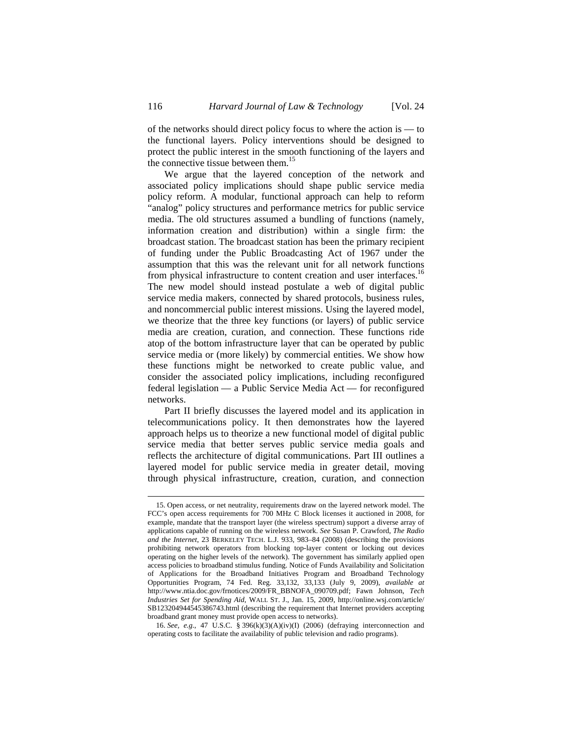of the networks should direct policy focus to where the action is — to the functional layers. Policy interventions should be designed to protect the public interest in the smooth functioning of the layers and the connective tissue between them.<sup>15</sup>

We argue that the layered conception of the network and associated policy implications should shape public service media policy reform. A modular, functional approach can help to reform "analog" policy structures and performance metrics for public service media. The old structures assumed a bundling of functions (namely, information creation and distribution) within a single firm: the broadcast station. The broadcast station has been the primary recipient of funding under the Public Broadcasting Act of 1967 under the assumption that this was the relevant unit for all network functions from physical infrastructure to content creation and user interfaces.<sup>16</sup> The new model should instead postulate a web of digital public service media makers, connected by shared protocols, business rules, and noncommercial public interest missions. Using the layered model, we theorize that the three key functions (or layers) of public service media are creation, curation, and connection. These functions ride atop of the bottom infrastructure layer that can be operated by public service media or (more likely) by commercial entities. We show how these functions might be networked to create public value, and consider the associated policy implications, including reconfigured federal legislation — a Public Service Media Act — for reconfigured networks.

Part II briefly discusses the layered model and its application in telecommunications policy. It then demonstrates how the layered approach helps us to theorize a new functional model of digital public service media that better serves public service media goals and reflects the architecture of digital communications. Part III outlines a layered model for public service media in greater detail, moving through physical infrastructure, creation, curation, and connection

<sup>15.</sup> Open access, or net neutrality, requirements draw on the layered network model. The FCC's open access requirements for 700 MHz C Block licenses it auctioned in 2008, for example, mandate that the transport layer (the wireless spectrum) support a diverse array of applications capable of running on the wireless network. *See* Susan P. Crawford, *The Radio and the Internet*, 23 BERKELEY TECH. L.J. 933, 983–84 (2008) (describing the provisions prohibiting network operators from blocking top-layer content or locking out devices operating on the higher levels of the network). The government has similarly applied open access policies to broadband stimulus funding. Notice of Funds Availability and Solicitation of Applications for the Broadband Initiatives Program and Broadband Technology Opportunities Program, 74 Fed. Reg. 33,132, 33,133 (July 9, 2009), *available at*  http://www.ntia.doc.gov/frnotices/2009/FR\_BBNOFA\_090709.pdf; Fawn Johnson, *Tech Industries Set for Spending Aid*, WALL ST. J., Jan. 15, 2009, http://online.wsj.com/article/ SB123204944545386743.html (describing the requirement that Internet providers accepting broadband grant money must provide open access to networks).

<sup>16.</sup> *See, e.g.*, 47 U.S.C. § 396(k)(3)(A)(iv)(I) (2006) (defraying interconnection and operating costs to facilitate the availability of public television and radio programs).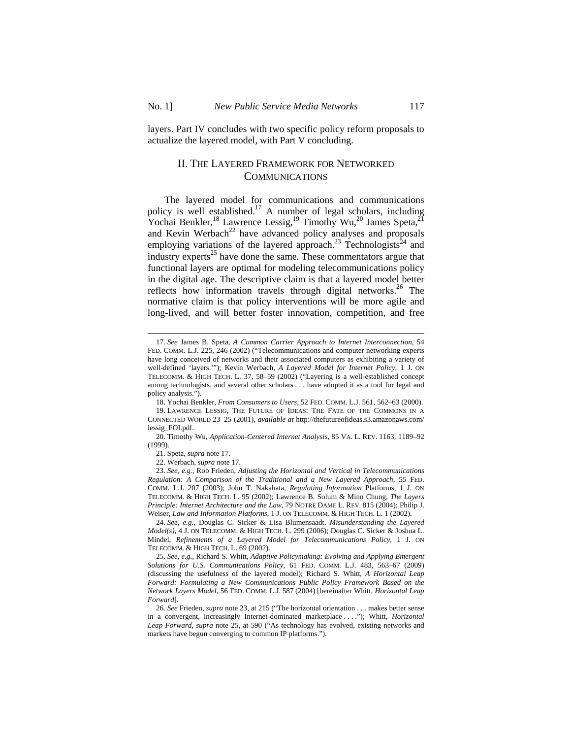$\overline{a}$ 

layers. Part IV concludes with two specific policy reform proposals to actualize the layered model, with Part V concluding.

# II. THE LAYERED FRAMEWORK FOR NETWORKED COMMUNICATIONS

The layered model for communications and communications policy is well established.<sup>17</sup> A number of legal scholars, including Yochai Benkler,<sup>18</sup> Lawrence Lessig,<sup>19</sup> Timothy Wu,<sup>20</sup> James Speta,<sup>21</sup> and Kevin Werbach<sup>22</sup> have advanced policy analyses and proposals employing variations of the layered approach.<sup>23</sup> Technologists<sup>24</sup> and industry experts<sup>25</sup> have done the same. These commentators argue that functional layers are optimal for modeling telecommunications policy in the digital age. The descriptive claim is that a layered model better reflects how information travels through digital networks.<sup>26</sup> The normative claim is that policy interventions will be more agile and long-lived, and will better foster innovation, competition, and free

<sup>17.</sup> *See* James B. Speta, *A Common Carrier Approach to Internet Interconnection*, 54 FED. COMM. L.J. 225, 246 (2002) ("Telecommunications and computer networking experts have long conceived of networks and their associated computers as exhibiting a variety of well-defined 'layers.'"); Kevin Werbach, *A Layered Model for Internet Policy*, 1 J. ON TELECOMM. & HIGH TECH. L. 37, 58–59 (2002) ("Layering is a well-established concept among technologists, and several other scholars . . . have adopted it as a tool for legal and policy analysis.").

<sup>18.</sup> Yochai Benkler, *From Consumers to Users*, 52 FED. COMM. L.J. 561, 562–63 (2000).

<sup>19.</sup> LAWRENCE LESSIG, THE FUTURE OF IDEAS: THE FATE OF THE COMMONS IN A CONNECTED WORLD 23–25 (2001), *available at* http://thefutureofideas.s3.amazonaws.com/ lessig\_FOI.pdf.

<sup>20.</sup> Timothy Wu, *Application-Centered Internet Analysis*, 85 VA. L. REV. 1163, 1189–92 (1999).

<sup>21.</sup> Speta, *supra* note 17.

<sup>22.</sup> Werbach, *supra* note 17.

<sup>23.</sup> *See, e.g.*, Rob Frieden, *Adjusting the Horizontal and Vertical in Telecommunications Regulation: A Comparison of the Traditional and a New Layered Approach*, 55 FED. COMM. L.J. 207 (2003); John T. Nakahata, *Regulating Information* Platforms, 1 J. ON TELECOMM. & HIGH TECH. L. 95 (2002); Lawrence B. Solum & Minn Chung, *The Layers Principle: Internet Architecture and the Law*, 79 NOTRE DAME L. REV. 815 (2004); Philip J. Weiser, *Law and Information Platforms*, 1 J. ON TELECOMM. & HIGH TECH. L. 1 (2002).

<sup>24.</sup> *See, e.g.*, Douglas C. Sicker & Lisa Blumensaadt, *Misunderstanding the Layered Model(s)*, 4 J. ON TELECOMM. & HIGH TECH. L. 299 (2006); Douglas C. Sicker & Joshua L. Mindel, *Refinements of a Layered Model for Telecommunications Policy*, 1 J. ON TELECOMM. & HIGH TECH. L. 69 (2002).

<sup>25.</sup> *See, e.g.*, Richard S. Whitt, *Adaptive Policymaking: Evolving and Applying Emergent Solutions for U.S. Communications Policy*, 61 FED. COMM. L.J. 483, 563–67 (2009) (discussing the usefulness of the layered model); Richard S. Whitt, *A Horizontal Leap Forward: Formulating a New Communications Public Policy Framework Based on the Network Layers Model*, 56 FED. COMM. L.J. 587 (2004) [hereinafter Whitt, *Horizontal Leap Forward*].

<sup>26.</sup> *See* Frieden, *supra* note 23, at 215 ("The horizontal orientation . . . makes better sense in a convergent, increasingly Internet-dominated marketplace . . . ."); Whitt, *Horizontal Leap Forward*, *supra* note 25, at 590 ("As technology has evolved, existing networks and markets have begun converging to common IP platforms.").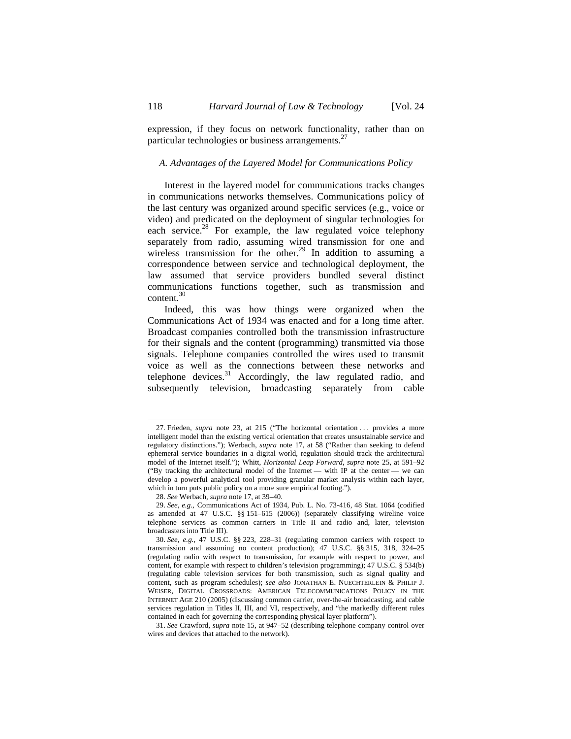expression, if they focus on network functionality, rather than on particular technologies or business arrangements.<sup>27</sup>

### *A. Advantages of the Layered Model for Communications Policy*

Interest in the layered model for communications tracks changes in communications networks themselves. Communications policy of the last century was organized around specific services (e.g., voice or video) and predicated on the deployment of singular technologies for each service.<sup>28</sup> For example, the law regulated voice telephony separately from radio, assuming wired transmission for one and wireless transmission for the other.<sup>29</sup> In addition to assuming a correspondence between service and technological deployment, the law assumed that service providers bundled several distinct communications functions together, such as transmission and content.30

Indeed, this was how things were organized when the Communications Act of 1934 was enacted and for a long time after. Broadcast companies controlled both the transmission infrastructure for their signals and the content (programming) transmitted via those signals. Telephone companies controlled the wires used to transmit voice as well as the connections between these networks and telephone devices. $31$  Accordingly, the law regulated radio, and subsequently television, broadcasting separately from cable

<sup>27.</sup> Frieden, *supra* note 23, at 215 ("The horizontal orientation . . . provides a more intelligent model than the existing vertical orientation that creates unsustainable service and regulatory distinctions."); Werbach, *supra* note 17, at 58 ("Rather than seeking to defend ephemeral service boundaries in a digital world, regulation should track the architectural model of the Internet itself."); Whitt, *Horizontal Leap Forward*, *supra* note 25, at 591–92 ("By tracking the architectural model of the Internet — with IP at the center — we can develop a powerful analytical tool providing granular market analysis within each layer, which in turn puts public policy on a more sure empirical footing.").

<sup>28.</sup> *See* Werbach, *supra* note 17, at 39–40.

<sup>29.</sup> *See, e.g.*, Communications Act of 1934, Pub. L. No. 73-416, 48 Stat. 1064 (codified as amended at 47 U.S.C. §§ 151–615 (2006)) (separately classifying wireline voice telephone services as common carriers in Title II and radio and, later, television broadcasters into Title III).

<sup>30.</sup> *See, e.g.*, 47 U.S.C. §§ 223, 228–31 (regulating common carriers with respect to transmission and assuming no content production); 47 U.S.C. §§ 315, 318, 324–25 (regulating radio with respect to transmission, for example with respect to power, and content, for example with respect to children's television programming); 47 U.S.C. § 534(b) (regulating cable television services for both transmission, such as signal quality and content, such as program schedules); *see also* JONATHAN E. NUECHTERLEIN & PHILIP J. WEISER, DIGITAL CROSSROADS: AMERICAN TELECOMMUNICATIONS POLICY IN THE INTERNET AGE 210 (2005) (discussing common carrier, over-the-air broadcasting, and cable services regulation in Titles II, III, and VI, respectively, and "the markedly different rules contained in each for governing the corresponding physical layer platform").

<sup>31.</sup> *See* Crawford, *supra* note 15, at 947–52 (describing telephone company control over wires and devices that attached to the network).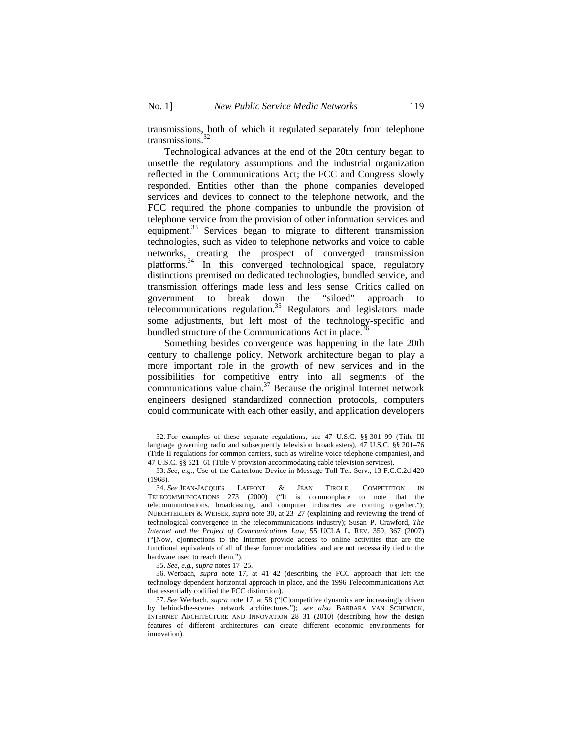transmissions, both of which it regulated separately from telephone transmissions. $32$ 

Technological advances at the end of the 20th century began to unsettle the regulatory assumptions and the industrial organization reflected in the Communications Act; the FCC and Congress slowly responded. Entities other than the phone companies developed services and devices to connect to the telephone network, and the FCC required the phone companies to unbundle the provision of telephone service from the provision of other information services and equipment.<sup>33</sup> Services began to migrate to different transmission technologies, such as video to telephone networks and voice to cable networks, creating the prospect of converged transmission platforms.34 In this converged technological space, regulatory distinctions premised on dedicated technologies, bundled service, and transmission offerings made less and less sense. Critics called on government to break down the "siloed" approach to telecommunications regulation.<sup>35</sup> Regulators and legislators made some adjustments, but left most of the technology-specific and bundled structure of the Communications Act in place.<sup>3</sup>

Something besides convergence was happening in the late 20th century to challenge policy. Network architecture began to play a more important role in the growth of new services and in the possibilities for competitive entry into all segments of the communications value chain.<sup>37</sup> Because the original Internet network engineers designed standardized connection protocols, computers could communicate with each other easily, and application developers

<sup>32.</sup> For examples of these separate regulations, see 47 U.S.C. §§ 301–99 (Title III language governing radio and subsequently television broadcasters), 47 U.S.C. §§ 201–76 (Title II regulations for common carriers, such as wireline voice telephone companies), and 47 U.S.C. §§ 521–61 (Title V provision accommodating cable television services).

<sup>33.</sup> *See, e.g.*, Use of the Carterfone Device in Message Toll Tel. Serv., 13 F.C.C.2d 420 (1968)*.*

<sup>34.</sup> *See* JEAN-JACQUES LAFFONT & JEAN TIROLE, COMPETITION IN TELECOMMUNICATIONS 273 (2000) ("It is commonplace to note that the telecommunications, broadcasting, and computer industries are coming together."); NUECHTERLEIN & WEISER, *supra* note 30, at 23–27 (explaining and reviewing the trend of technological convergence in the telecommunications industry); Susan P. Crawford, *The Internet and the Project of Communications Law*, 55 UCLA L. REV. 359, 367 (2007) ("[Now, c]onnections to the Internet provide access to online activities that are the functional equivalents of all of these former modalities, and are not necessarily tied to the hardware used to reach them.").

<sup>35.</sup> *See, e.g.*, *supra* notes 17–25.

<sup>36.</sup> Werbach, *supra* note 17, at 41–42 (describing the FCC approach that left the technology-dependent horizontal approach in place, and the 1996 Telecommunications Act that essentially codified the FCC distinction).

<sup>37.</sup> *See* Werbach, *supra* note 17, at 58 ("[C]ompetitive dynamics are increasingly driven by behind-the-scenes network architectures."); *see also* BARBARA VAN SCHEWICK, INTERNET ARCHITECTURE AND INNOVATION 28–31 (2010) (describing how the design features of different architectures can create different economic environments for innovation).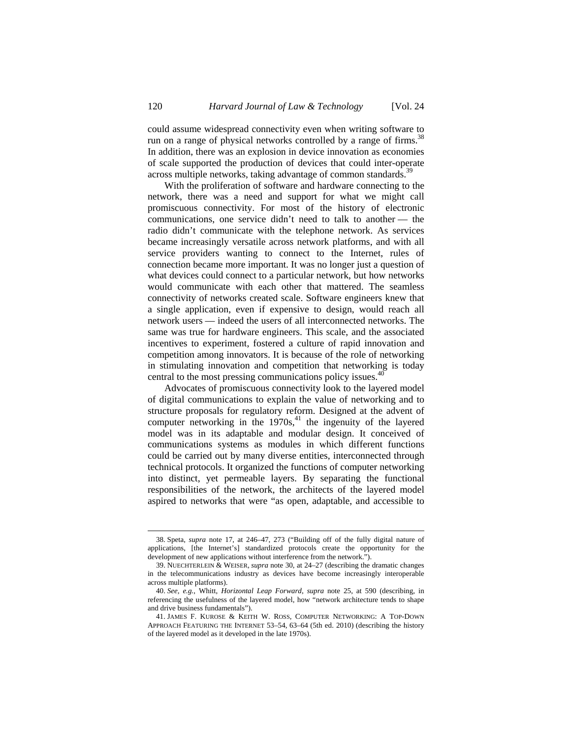could assume widespread connectivity even when writing software to run on a range of physical networks controlled by a range of firms.<sup>38</sup> In addition, there was an explosion in device innovation as economies of scale supported the production of devices that could inter-operate across multiple networks, taking advantage of common standards.<sup>39</sup>

With the proliferation of software and hardware connecting to the network, there was a need and support for what we might call promiscuous connectivity. For most of the history of electronic communications, one service didn't need to talk to another — the radio didn't communicate with the telephone network. As services became increasingly versatile across network platforms, and with all service providers wanting to connect to the Internet, rules of connection became more important. It was no longer just a question of what devices could connect to a particular network, but how networks would communicate with each other that mattered. The seamless connectivity of networks created scale. Software engineers knew that a single application, even if expensive to design, would reach all network users — indeed the users of all interconnected networks. The same was true for hardware engineers. This scale, and the associated incentives to experiment, fostered a culture of rapid innovation and competition among innovators. It is because of the role of networking in stimulating innovation and competition that networking is today central to the most pressing communications policy issues.<sup>40</sup>

Advocates of promiscuous connectivity look to the layered model of digital communications to explain the value of networking and to structure proposals for regulatory reform. Designed at the advent of computer networking in the  $1970s<sup>41</sup>$ , the ingenuity of the layered model was in its adaptable and modular design. It conceived of communications systems as modules in which different functions could be carried out by many diverse entities, interconnected through technical protocols. It organized the functions of computer networking into distinct, yet permeable layers. By separating the functional responsibilities of the network, the architects of the layered model aspired to networks that were "as open, adaptable, and accessible to

<sup>38.</sup> Speta, *supra* note 17, at 246–47, 273 ("Building off of the fully digital nature of applications, [the Internet's] standardized protocols create the opportunity for the development of new applications without interference from the network.").

<sup>39.</sup> NUECHTERLEIN & WEISER, *supra* note 30, at 24–27 (describing the dramatic changes in the telecommunications industry as devices have become increasingly interoperable across multiple platforms).

<sup>40.</sup> *See, e.g.*, Whitt, *Horizontal Leap Forward*, *supra* note 25, at 590 (describing, in referencing the usefulness of the layered model, how "network architecture tends to shape and drive business fundamentals").

<sup>41.</sup> JAMES F. KUROSE & KEITH W. ROSS, COMPUTER NETWORKING: A TOP-DOWN APPROACH FEATURING THE INTERNET 53–54, 63–64 (5th ed. 2010) (describing the history of the layered model as it developed in the late 1970s).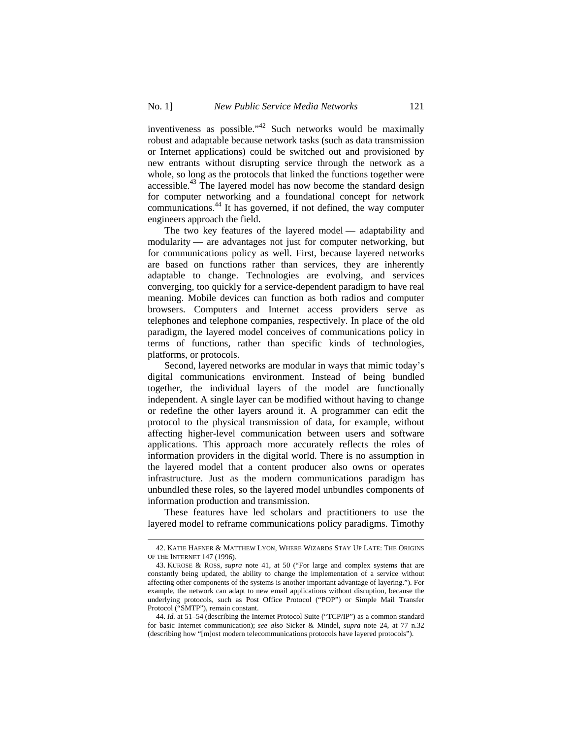inventiveness as possible." $42$  Such networks would be maximally robust and adaptable because network tasks (such as data transmission or Internet applications) could be switched out and provisioned by new entrants without disrupting service through the network as a whole, so long as the protocols that linked the functions together were accessible.<sup>43</sup> The layered model has now become the standard design for computer networking and a foundational concept for network communications.44 It has governed, if not defined, the way computer engineers approach the field.

The two key features of the layered model — adaptability and modularity — are advantages not just for computer networking, but for communications policy as well. First, because layered networks are based on functions rather than services, they are inherently adaptable to change. Technologies are evolving, and services converging, too quickly for a service-dependent paradigm to have real meaning. Mobile devices can function as both radios and computer browsers. Computers and Internet access providers serve as telephones and telephone companies, respectively. In place of the old paradigm, the layered model conceives of communications policy in terms of functions, rather than specific kinds of technologies, platforms, or protocols.

Second, layered networks are modular in ways that mimic today's digital communications environment. Instead of being bundled together, the individual layers of the model are functionally independent. A single layer can be modified without having to change or redefine the other layers around it. A programmer can edit the protocol to the physical transmission of data, for example, without affecting higher-level communication between users and software applications. This approach more accurately reflects the roles of information providers in the digital world. There is no assumption in the layered model that a content producer also owns or operates infrastructure. Just as the modern communications paradigm has unbundled these roles, so the layered model unbundles components of information production and transmission.

These features have led scholars and practitioners to use the layered model to reframe communications policy paradigms. Timothy

<sup>42.</sup> KATIE HAFNER & MATTHEW LYON, WHERE WIZARDS STAY UP LATE: THE ORIGINS OF THE INTERNET 147 (1996).

<sup>43.</sup> KUROSE & ROSS, *supra* note 41, at 50 ("For large and complex systems that are constantly being updated, the ability to change the implementation of a service without affecting other components of the systems is another important advantage of layering."). For example, the network can adapt to new email applications without disruption, because the underlying protocols, such as Post Office Protocol ("POP") or Simple Mail Transfer Protocol ("SMTP"), remain constant.

<sup>44.</sup> *Id.* at 51–54 (describing the Internet Protocol Suite ("TCP/IP") as a common standard for basic Internet communication); *see also* Sicker & Mindel, *supra* note 24, at 77 n.32 (describing how "[m]ost modern telecommunications protocols have layered protocols").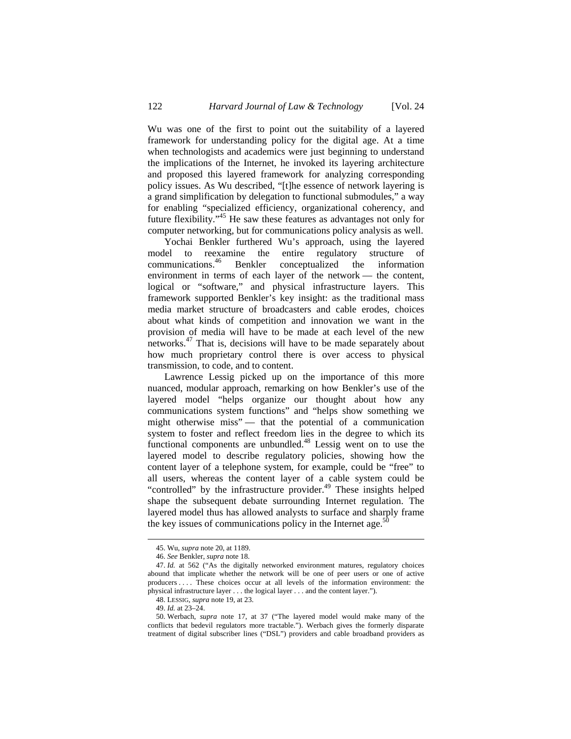Wu was one of the first to point out the suitability of a layered framework for understanding policy for the digital age. At a time when technologists and academics were just beginning to understand the implications of the Internet, he invoked its layering architecture and proposed this layered framework for analyzing corresponding policy issues. As Wu described, "[t]he essence of network layering is a grand simplification by delegation to functional submodules," a way for enabling "specialized efficiency, organizational coherency, and future flexibility."45 He saw these features as advantages not only for computer networking, but for communications policy analysis as well.

Yochai Benkler furthered Wu's approach, using the layered model to reexamine the entire regulatory structure of communications.46 Benkler conceptualized the information environment in terms of each layer of the network — the content, logical or "software," and physical infrastructure layers. This framework supported Benkler's key insight: as the traditional mass media market structure of broadcasters and cable erodes, choices about what kinds of competition and innovation we want in the provision of media will have to be made at each level of the new networks.47 That is, decisions will have to be made separately about how much proprietary control there is over access to physical transmission, to code, and to content.

Lawrence Lessig picked up on the importance of this more nuanced, modular approach, remarking on how Benkler's use of the layered model "helps organize our thought about how any communications system functions" and "helps show something we might otherwise miss" — that the potential of a communication system to foster and reflect freedom lies in the degree to which its functional components are unbundled.<sup>48</sup> Lessig went on to use the layered model to describe regulatory policies, showing how the content layer of a telephone system, for example, could be "free" to all users, whereas the content layer of a cable system could be "controlled" by the infrastructure provider.<sup>49</sup> These insights helped shape the subsequent debate surrounding Internet regulation. The layered model thus has allowed analysts to surface and sharply frame the key issues of communications policy in the Internet age. $50$ 

<sup>45.</sup> Wu, *supra* note 20, at 1189.

<sup>46.</sup> *See* Benkler, *supra* note 18.

<sup>47.</sup> *Id.* at 562 ("As the digitally networked environment matures, regulatory choices abound that implicate whether the network will be one of peer users or one of active producers . . . . These choices occur at all levels of the information environment: the physical infrastructure layer . . . the logical layer . . . and the content layer.").

<sup>48.</sup> LESSIG, *supra* note 19, at 23.

<sup>49.</sup> *Id.* at 23–24.

<sup>50.</sup> Werbach, *supra* note 17, at 37 ("The layered model would make many of the conflicts that bedevil regulators more tractable."). Werbach gives the formerly disparate treatment of digital subscriber lines ("DSL") providers and cable broadband providers as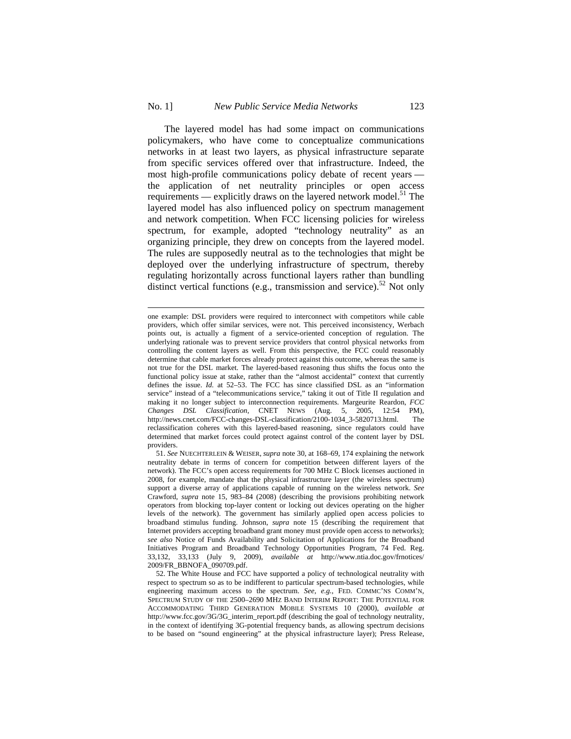$\overline{a}$ 

The layered model has had some impact on communications policymakers, who have come to conceptualize communications networks in at least two layers, as physical infrastructure separate from specific services offered over that infrastructure. Indeed, the most high-profile communications policy debate of recent years the application of net neutrality principles or open access requirements — explicitly draws on the layered network model.<sup>51</sup> The layered model has also influenced policy on spectrum management and network competition. When FCC licensing policies for wireless spectrum, for example, adopted "technology neutrality" as an organizing principle, they drew on concepts from the layered model. The rules are supposedly neutral as to the technologies that might be deployed over the underlying infrastructure of spectrum, thereby regulating horizontally across functional layers rather than bundling distinct vertical functions (e.g., transmission and service).<sup>52</sup> Not only

one example: DSL providers were required to interconnect with competitors while cable providers, which offer similar services, were not. This perceived inconsistency, Werbach points out, is actually a figment of a service-oriented conception of regulation. The underlying rationale was to prevent service providers that control physical networks from controlling the content layers as well. From this perspective, the FCC could reasonably determine that cable market forces already protect against this outcome, whereas the same is not true for the DSL market. The layered-based reasoning thus shifts the focus onto the functional policy issue at stake, rather than the "almost accidental" context that currently defines the issue. *Id.* at 52–53. The FCC has since classified DSL as an "information service" instead of a "telecommunications service," taking it out of Title II regulation and making it no longer subject to interconnection requirements. Margeurite Reardon, *FCC Changes DSL Classification*, CNET NEWS (Aug. 5, 2005, 12:54 PM), http://news.cnet.com/FCC-changes-DSL-classification/2100-1034\_3-5820713.html. The reclassification coheres with this layered-based reasoning, since regulators could have determined that market forces could protect against control of the content layer by DSL providers.

<sup>51.</sup> *See* NUECHTERLEIN & WEISER, *supra* note 30, at 168–69, 174 explaining the network neutrality debate in terms of concern for competition between different layers of the network). The FCC's open access requirements for 700 MHz C Block licenses auctioned in 2008, for example, mandate that the physical infrastructure layer (the wireless spectrum) support a diverse array of applications capable of running on the wireless network. *See*  Crawford, *supra* note 15, 983–84 (2008) (describing the provisions prohibiting network operators from blocking top-layer content or locking out devices operating on the higher levels of the network). The government has similarly applied open access policies to broadband stimulus funding. Johnson, *supra* note 15 (describing the requirement that Internet providers accepting broadband grant money must provide open access to networks); *see also* Notice of Funds Availability and Solicitation of Applications for the Broadband Initiatives Program and Broadband Technology Opportunities Program, 74 Fed. Reg. 33,132, 33,133 (July 9, 2009), *available at* http://www.ntia.doc.gov/frnotices/ 2009/FR\_BBNOFA\_090709.pdf.

<sup>52.</sup> The White House and FCC have supported a policy of technological neutrality with respect to spectrum so as to be indifferent to particular spectrum-based technologies, while engineering maximum access to the spectrum. *See, e.g.*, FED. COMMC'NS COMM'N, SPECTRUM STUDY OF THE 2500–2690 MHZ BAND INTERIM REPORT: THE POTENTIAL FOR ACCOMMODATING THIRD GENERATION MOBILE SYSTEMS 10 (2000), *available at*  http://www.fcc.gov/3G/3G\_interim\_report.pdf (describing the goal of technology neutrality, in the context of identifying 3G-potential frequency bands, as allowing spectrum decisions to be based on "sound engineering" at the physical infrastructure layer); Press Release,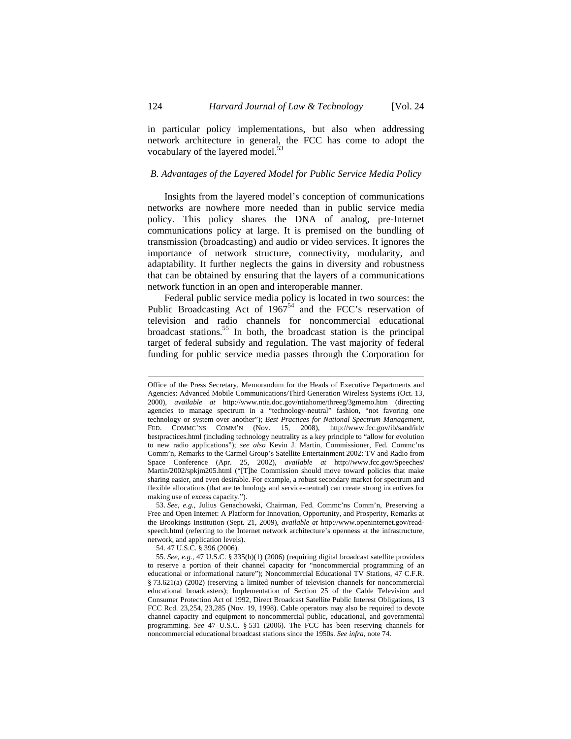in particular policy implementations, but also when addressing network architecture in general, the FCC has come to adopt the vocabulary of the layered model.<sup>53</sup>

## *B. Advantages of the Layered Model for Public Service Media Policy*

Insights from the layered model's conception of communications networks are nowhere more needed than in public service media policy. This policy shares the DNA of analog, pre-Internet communications policy at large. It is premised on the bundling of transmission (broadcasting) and audio or video services. It ignores the importance of network structure, connectivity, modularity, and adaptability. It further neglects the gains in diversity and robustness that can be obtained by ensuring that the layers of a communications network function in an open and interoperable manner.

Federal public service media policy is located in two sources: the Public Broadcasting Act of  $1967^{54}$  and the FCC's reservation of television and radio channels for noncommercial educational broadcast stations.55 In both, the broadcast station is the principal target of federal subsidy and regulation. The vast majority of federal funding for public service media passes through the Corporation for

Office of the Press Secretary, Memorandum for the Heads of Executive Departments and Agencies: Advanced Mobile Communications/Third Generation Wireless Systems (Oct. 13, 2000), *available at* http://www.ntia.doc.gov/ntiahome/threeg/3gmemo.htm (directing agencies to manage spectrum in a "technology-neutral" fashion, "not favoring one technology or system over another"); *Best Practices for National Spectrum Management*, FED. COMMC'NS COMM'N (Nov. 15, 2008), http://www.fcc.gov/ib/sand/irb/ bestpractices.html (including technology neutrality as a key principle to "allow for evolution to new radio applications"); *see also* Kevin J. Martin, Commissioner, Fed. Commc'ns Comm'n, Remarks to the Carmel Group's Satellite Entertainment 2002: TV and Radio from Space Conference (Apr. 25, 2002), *available at* http://www.fcc.gov/Speeches/ Martin/2002/spkjm205.html ("[T]he Commission should move toward policies that make sharing easier, and even desirable. For example, a robust secondary market for spectrum and flexible allocations (that are technology and service-neutral) can create strong incentives for making use of excess capacity.").

<sup>53.</sup> *See, e.g.*, Julius Genachowski, Chairman, Fed. Commc'ns Comm'n, Preserving a Free and Open Internet: A Platform for Innovation, Opportunity, and Prosperity, Remarks at the Brookings Institution (Sept. 21, 2009), *available at* http://www.openinternet.gov/readspeech.html (referring to the Internet network architecture's openness at the infrastructure, network, and application levels).

<sup>54. 47</sup> U.S.C. § 396 (2006).

<sup>55.</sup> *See, e.g.*, 47 U.S.C. § 335(b)(1) (2006) (requiring digital broadcast satellite providers to reserve a portion of their channel capacity for "noncommercial programming of an educational or informational nature"); Noncommercial Educational TV Stations, 47 C.F.R. § 73.621(a) (2002) (reserving a limited number of television channels for noncommercial educational broadcasters); Implementation of Section 25 of the Cable Television and Consumer Protection Act of 1992, Direct Broadcast Satellite Public Interest Obligations, 13 FCC Rcd. 23,254, 23,285 (Nov. 19, 1998). Cable operators may also be required to devote channel capacity and equipment to noncommercial public, educational, and governmental programming. *See* 47 U.S.C. § 531 (2006). The FCC has been reserving channels for noncommercial educational broadcast stations since the 1950s. *See infra*, note 74.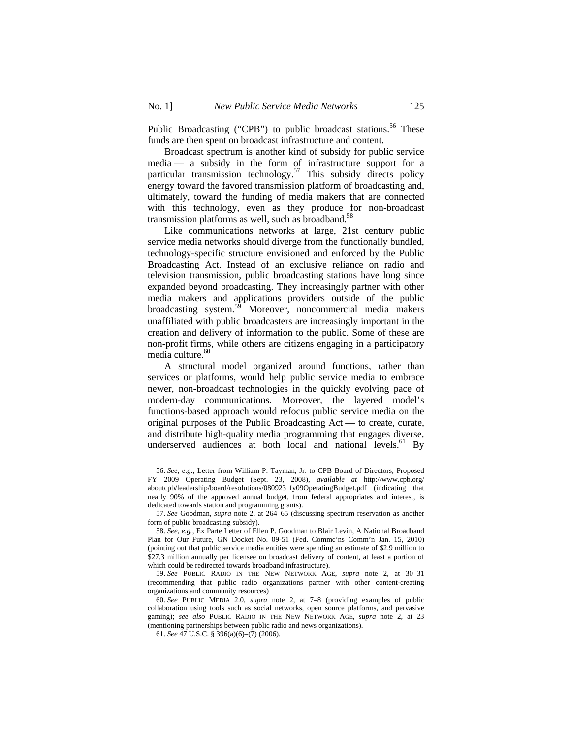$\overline{a}$ 

Public Broadcasting ("CPB") to public broadcast stations.<sup>56</sup> These funds are then spent on broadcast infrastructure and content.

Broadcast spectrum is another kind of subsidy for public service media — a subsidy in the form of infrastructure support for a particular transmission technology.<sup>57</sup> This subsidy directs policy energy toward the favored transmission platform of broadcasting and, ultimately, toward the funding of media makers that are connected with this technology, even as they produce for non-broadcast transmission platforms as well, such as broadband. $58$ 

Like communications networks at large, 21st century public service media networks should diverge from the functionally bundled, technology-specific structure envisioned and enforced by the Public Broadcasting Act. Instead of an exclusive reliance on radio and television transmission, public broadcasting stations have long since expanded beyond broadcasting. They increasingly partner with other media makers and applications providers outside of the public broadcasting system.<sup>59</sup> Moreover, noncommercial media makers unaffiliated with public broadcasters are increasingly important in the creation and delivery of information to the public. Some of these are non-profit firms, while others are citizens engaging in a participatory media culture.<sup>60</sup>

A structural model organized around functions, rather than services or platforms, would help public service media to embrace newer, non-broadcast technologies in the quickly evolving pace of modern-day communications. Moreover, the layered model's functions-based approach would refocus public service media on the original purposes of the Public Broadcasting Act — to create, curate, and distribute high-quality media programming that engages diverse, underserved audiences at both local and national levels. $61$  By

<sup>56.</sup> *See, e.g.*, Letter from William P. Tayman, Jr. to CPB Board of Directors, Proposed FY 2009 Operating Budget (Sept. 23, 2008), *available at* http://www.cpb.org/ aboutcpb/leadership/board/resolutions/080923\_fy09OperatingBudget.pdf (indicating that nearly 90% of the approved annual budget, from federal appropriates and interest, is dedicated towards station and programming grants).

<sup>57.</sup> *See* Goodman, *supra* note 2, at 264–65 (discussing spectrum reservation as another form of public broadcasting subsidy).

<sup>58.</sup> *See, e.g.*, Ex Parte Letter of Ellen P. Goodman to Blair Levin, A National Broadband Plan for Our Future, GN Docket No. 09-51 (Fed. Commc'ns Comm'n Jan. 15, 2010) (pointing out that public service media entities were spending an estimate of \$2.9 million to \$27.3 million annually per licensee on broadcast delivery of content, at least a portion of which could be redirected towards broadband infrastructure).

<sup>59.</sup> *See* PUBLIC RADIO IN THE NEW NETWORK AGE, *supra* note 2, at 30–31 (recommending that public radio organizations partner with other content-creating organizations and community resources)

<sup>60.</sup> *See* PUBLIC MEDIA 2.0, *supra* note 2, at 7–8 (providing examples of public collaboration using tools such as social networks, open source platforms, and pervasive gaming); *see also* PUBLIC RADIO IN THE NEW NETWORK AGE, *supra* note 2, at 23 (mentioning partnerships between public radio and news organizations).

<sup>61.</sup> *See* 47 U.S.C. § 396(a)(6)–(7) (2006).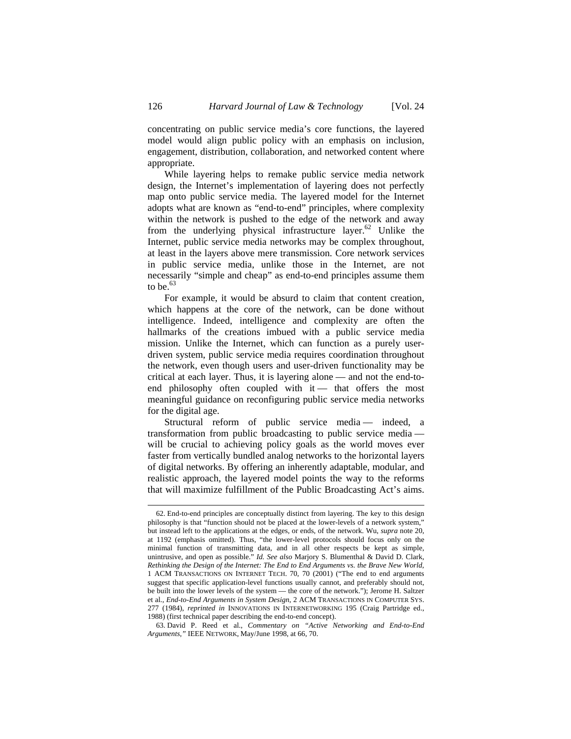concentrating on public service media's core functions, the layered model would align public policy with an emphasis on inclusion, engagement, distribution, collaboration, and networked content where appropriate.

While layering helps to remake public service media network design, the Internet's implementation of layering does not perfectly map onto public service media. The layered model for the Internet adopts what are known as "end-to-end" principles, where complexity within the network is pushed to the edge of the network and away from the underlying physical infrastructure layer.<sup>62</sup> Unlike the Internet, public service media networks may be complex throughout, at least in the layers above mere transmission. Core network services in public service media, unlike those in the Internet, are not necessarily "simple and cheap" as end-to-end principles assume them to be.  $63$ 

For example, it would be absurd to claim that content creation, which happens at the core of the network, can be done without intelligence. Indeed, intelligence and complexity are often the hallmarks of the creations imbued with a public service media mission. Unlike the Internet, which can function as a purely userdriven system, public service media requires coordination throughout the network, even though users and user-driven functionality may be critical at each layer. Thus, it is layering alone — and not the end-toend philosophy often coupled with  $it$  — that offers the most meaningful guidance on reconfiguring public service media networks for the digital age.

Structural reform of public service media — indeed, a transformation from public broadcasting to public service media will be crucial to achieving policy goals as the world moves ever faster from vertically bundled analog networks to the horizontal layers of digital networks. By offering an inherently adaptable, modular, and realistic approach, the layered model points the way to the reforms that will maximize fulfillment of the Public Broadcasting Act's aims.

<sup>62.</sup> End-to-end principles are conceptually distinct from layering. The key to this design philosophy is that "function should not be placed at the lower-levels of a network system," but instead left to the applications at the edges, or ends, of the network. Wu, *supra* note 20, at 1192 (emphasis omitted). Thus, "the lower-level protocols should focus only on the minimal function of transmitting data, and in all other respects be kept as simple, unintrusive, and open as possible." *Id. See also* Marjory S. Blumenthal & David D. Clark, *Rethinking the Design of the Internet: The End to End Arguments vs. the Brave New World*, 1 ACM TRANSACTIONS ON INTERNET TECH. 70, 70 (2001) ("The end to end arguments suggest that specific application-level functions usually cannot, and preferably should not, be built into the lower levels of the system — the core of the network."); Jerome H. Saltzer et al., *End-to-End Arguments in System Design*, 2 ACM TRANSACTIONS IN COMPUTER SYS. 277 (1984), *reprinted in* INNOVATIONS IN INTERNETWORKING 195 (Craig Partridge ed., 1988) (first technical paper describing the end-to-end concept).

<sup>63.</sup> David P. Reed et al., *Commentary on "Active Networking and End-to-End Arguments,"* IEEE NETWORK, May/June 1998, at 66, 70.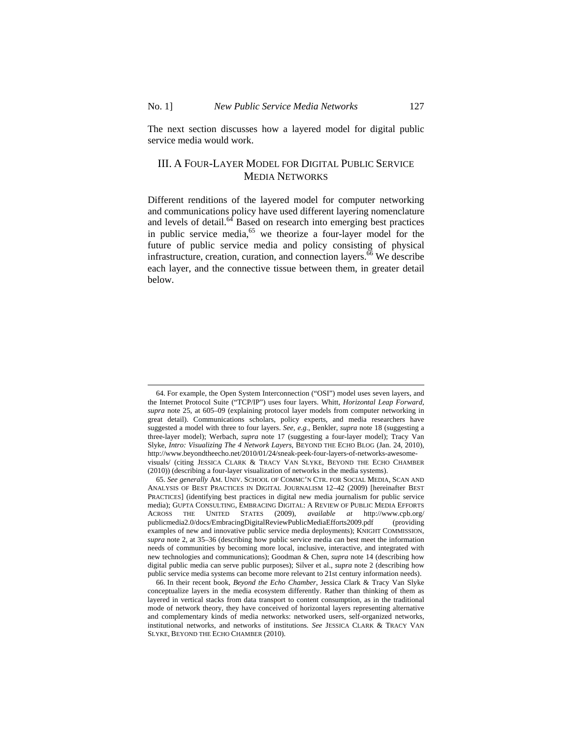$\overline{a}$ 

The next section discusses how a layered model for digital public service media would work.

# III. A FOUR-LAYER MODEL FOR DIGITAL PUBLIC SERVICE MEDIA NETWORKS

Different renditions of the layered model for computer networking and communications policy have used different layering nomenclature and levels of detail. $64$  Based on research into emerging best practices in public service media,<sup>65</sup> we theorize a four-layer model for the future of public service media and policy consisting of physical infrastructure, creation, curation, and connection layers. $\frac{6}{6}$  We describe each layer, and the connective tissue between them, in greater detail below.

<sup>64.</sup> For example, the Open System Interconnection ("OSI") model uses seven layers, and the Internet Protocol Suite ("TCP/IP") uses four layers. Whitt, *Horizontal Leap Forward*, *supra* note 25, at 605–09 (explaining protocol layer models from computer networking in great detail). Communications scholars, policy experts, and media researchers have suggested a model with three to four layers. *See, e.g.*, Benkler, *supra* note 18 (suggesting a three-layer model); Werbach, *supra* note 17 (suggesting a four-layer model); Tracy Van Slyke, *Intro: Visualizing The 4 Network Layers*, BEYOND THE ECHO BLOG (Jan. 24, 2010), http://www.beyondtheecho.net/2010/01/24/sneak-peek-four-layers-of-networks-awesomevisuals/ (citing JESSICA CLARK & TRACY VAN SLYKE, BEYOND THE ECHO CHAMBER (2010)) (describing a four-layer visualization of networks in the media systems).

<sup>65.</sup> *See generally* AM. UNIV. SCHOOL OF COMMC'N CTR. FOR SOCIAL MEDIA, SCAN AND ANALYSIS OF BEST PRACTICES IN DIGITAL JOURNALISM 12–42 (2009) [hereinafter BEST PRACTICES] (identifying best practices in digital new media journalism for public service media); GUPTA CONSULTING, EMBRACING DIGITAL: A REVIEW OF PUBLIC MEDIA EFFORTS ACROSS THE UNITED STATES (2009), *available at* http://www.cpb.org/ publicmedia2.0/docs/EmbracingDigitalReviewPublicMediaEfforts2009.pdf (providing examples of new and innovative public service media deployments); KNIGHT COMMISSION, *supra* note 2, at 35–36 (describing how public service media can best meet the information needs of communities by becoming more local, inclusive, interactive, and integrated with new technologies and communications); Goodman & Chen, *supra* note 14 (describing how digital public media can serve public purposes); Silver et al., *supra* note 2 (describing how public service media systems can become more relevant to 21st century information needs).

<sup>66.</sup> In their recent book, *Beyond the Echo Chamber*, Jessica Clark & Tracy Van Slyke conceptualize layers in the media ecosystem differently. Rather than thinking of them as layered in vertical stacks from data transport to content consumption, as in the traditional mode of network theory, they have conceived of horizontal layers representing alternative and complementary kinds of media networks: networked users, self-organized networks, institutional networks, and networks of institutions. *See* JESSICA CLARK & TRACY VAN SLYKE, BEYOND THE ECHO CHAMBER (2010).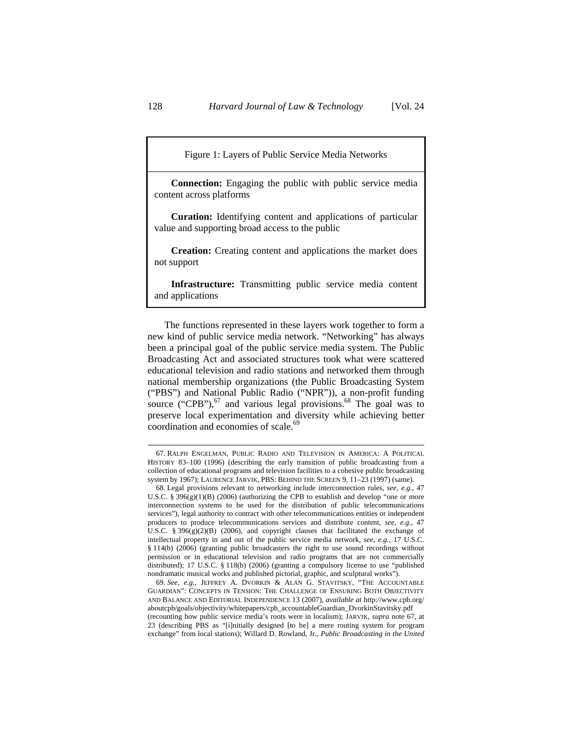Figure 1: Layers of Public Service Media Networks

**Connection:** Engaging the public with public service media content across platforms

**Curation:** Identifying content and applications of particular value and supporting broad access to the public

**Creation:** Creating content and applications the market does not support

**Infrastructure:** Transmitting public service media content and applications

The functions represented in these layers work together to form a new kind of public service media network. "Networking" has always been a principal goal of the public service media system. The Public Broadcasting Act and associated structures took what were scattered educational television and radio stations and networked them through national membership organizations (the Public Broadcasting System ("PBS") and National Public Radio ("NPR")), a non-profit funding source ("CPB"), $^{67}$  and various legal provisions. $^{68}$  The goal was to preserve local experimentation and diversity while achieving better coordination and economies of scale.<sup>69</sup>

<sup>67.</sup> RALPH ENGELMAN, PUBLIC RADIO AND TELEVISION IN AMERICA: A POLITICAL HISTORY 83–100 (1996) (describing the early transition of public broadcasting from a collection of educational programs and television facilities to a cohesive public broadcasting system by 1967); LAURENCE JARVIK, PBS: BEHIND THE SCREEN 9, 11–23 (1997) (same).

<sup>68.</sup> Legal provisions relevant to networking include interconnection rules, *see, e.g.*, 47 U.S.C. § 396(g)(1)(B) (2006) (authorizing the CPB to establish and develop "one or more interconnection systems to be used for the distribution of public telecommunications services"), legal authority to contract with other telecommunications entities or independent producers to produce telecommunications services and distribute content, *see, e.g.*, 47 U.S.C. § 396 $(g)(2)(B)$  (2006), and copyright clauses that facilitated the exchange of intellectual property in and out of the public service media network, *see, e.g.*, 17 U.S.C. § 114(b) (2006) (granting public broadcasters the right to use sound recordings without permission or in educational television and radio programs that are not commercially distributed); 17 U.S.C. § 118(b) (2006) (granting a compulsory license to use "published nondramatic musical works and published pictorial, graphic, and sculptural works").

<sup>69.</sup> *See, e.g.*, JEFFREY A. DVORKIN & ALAN G. STAVITSKY, "THE ACCOUNTABLE GUARDIAN": CONCEPTS IN TENSION: THE CHALLENGE OF ENSURING BOTH OBJECTIVITY AND BALANCE AND EDITORIAL INDEPENDENCE 13 (2007), *available at* http://www.cpb.org/ aboutcpb/goals/objectivity/whitepapers/cpb\_accountableGuardian\_DvorkinStavitsky.pdf (recounting how public service media's roots were in localism); JARVIK, *supra* note 67, at 23 (describing PBS as "[i]nitially designed [to be] a mere routing system for program exchange" from local stations); Willard D. Rowland, Jr., *Public Broadcasting in the United*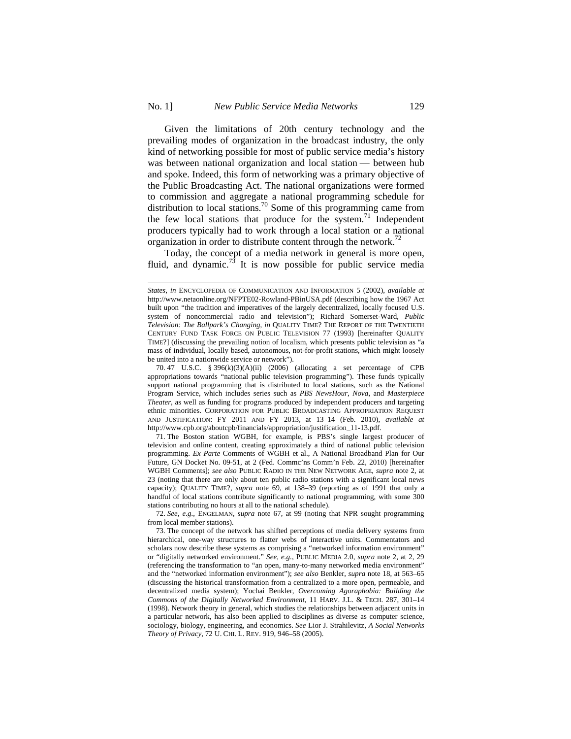$\overline{a}$ 

Given the limitations of 20th century technology and the prevailing modes of organization in the broadcast industry, the only kind of networking possible for most of public service media's history was between national organization and local station — between hub and spoke. Indeed, this form of networking was a primary objective of the Public Broadcasting Act. The national organizations were formed to commission and aggregate a national programming schedule for distribution to local stations.<sup>70</sup> Some of this programming came from the few local stations that produce for the system.<sup>71</sup> Independent producers typically had to work through a local station or a national organization in order to distribute content through the network.<sup>72</sup>

Today, the concept of a media network in general is more open, fluid, and dynamic.<sup>73</sup> It is now possible for public service media

71. The Boston station WGBH, for example, is PBS's single largest producer of television and online content, creating approximately a third of national public television programming. *Ex Parte* Comments of WGBH et al., A National Broadband Plan for Our Future, GN Docket No. 09-51, at 2 (Fed. Commc'ns Comm'n Feb. 22, 2010) [hereinafter WGBH Comments]; *see also* PUBLIC RADIO IN THE NEW NETWORK AGE, *supra* note 2, at 23 (noting that there are only about ten public radio stations with a significant local news capacity); QUALITY TIME?, *supra* note 69, at 138–39 (reporting as of 1991 that only a handful of local stations contribute significantly to national programming, with some 300 stations contributing no hours at all to the national schedule).

72. *See, e.g.*, ENGELMAN, *supra* note 67, at 99 (noting that NPR sought programming from local member stations).

*States*, *in* ENCYCLOPEDIA OF COMMUNICATION AND INFORMATION 5 (2002), *available at* http://www.netaonline.org/NFPTE02-Rowland-PBinUSA.pdf (describing how the 1967 Act built upon "the tradition and imperatives of the largely decentralized, locally focused U.S. system of noncommercial radio and television"); Richard Somerset-Ward, *Public Television: The Ballpark's Changing*, *in* QUALITY TIME? THE REPORT OF THE TWENTIETH CENTURY FUND TASK FORCE ON PUBLIC TELEVISION 77 (1993) [hereinafter QUALITY TIME?] (discussing the prevailing notion of localism, which presents public television as "a mass of individual, locally based, autonomous, not-for-profit stations, which might loosely be united into a nationwide service or network").

<sup>70. 47</sup> U.S.C. § 396(k)(3)(A)(ii) (2006) (allocating a set percentage of CPB appropriations towards "national public television programming"). These funds typically support national programming that is distributed to local stations, such as the National Program Service, which includes series such as *PBS NewsHour*, *Nova*, and *Masterpiece Theater*, as well as funding for programs produced by independent producers and targeting ethnic minorities. CORPORATION FOR PUBLIC BROADCASTING APPROPRIATION REQUEST AND JUSTIFICATION: FY 2011 AND FY 2013, at 13–14 (Feb. 2010), *available at*  http://www.cpb.org/aboutcpb/financials/appropriation/justification\_11-13.pdf.

<sup>73.</sup> The concept of the network has shifted perceptions of media delivery systems from hierarchical, one-way structures to flatter webs of interactive units. Commentators and scholars now describe these systems as comprising a "networked information environment" or "digitally networked environment." *See, e.g.*, PUBLIC MEDIA 2.0, *supra* note 2, at 2, 29 (referencing the transformation to "an open, many-to-many networked media environment" and the "networked information environment"); *see also* Benkler, *supra* note 18, at 563–65 (discussing the historical transformation from a centralized to a more open, permeable, and decentralized media system); Yochai Benkler, *Overcoming Agoraphobia: Building the Commons of the Digitally Networked Environment*, 11 HARV. J.L. & TECH. 287, 301–14 (1998). Network theory in general, which studies the relationships between adjacent units in a particular network, has also been applied to disciplines as diverse as computer science, sociology, biology, engineering, and economics. *See* Lior J. Strahilevitz, *A Social Networks Theory of Privacy*, 72 U. CHI. L. REV. 919, 946–58 (2005).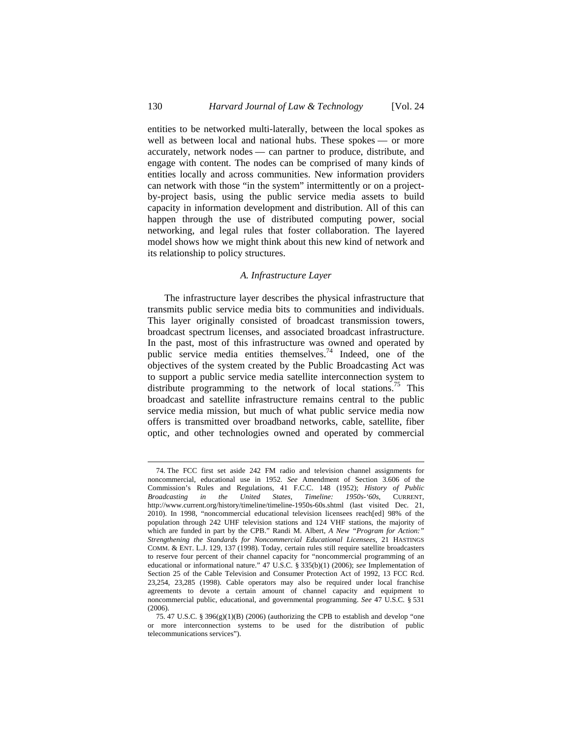entities to be networked multi-laterally, between the local spokes as well as between local and national hubs. These spokes — or more accurately, network nodes — can partner to produce, distribute, and engage with content. The nodes can be comprised of many kinds of entities locally and across communities. New information providers can network with those "in the system" intermittently or on a projectby-project basis, using the public service media assets to build capacity in information development and distribution. All of this can happen through the use of distributed computing power, social networking, and legal rules that foster collaboration. The layered model shows how we might think about this new kind of network and its relationship to policy structures.

### *A. Infrastructure Layer*

The infrastructure layer describes the physical infrastructure that transmits public service media bits to communities and individuals. This layer originally consisted of broadcast transmission towers, broadcast spectrum licenses, and associated broadcast infrastructure. In the past, most of this infrastructure was owned and operated by public service media entities themselves.<sup>74</sup> Indeed, one of the objectives of the system created by the Public Broadcasting Act was to support a public service media satellite interconnection system to distribute programming to the network of local stations.<sup>75</sup> This broadcast and satellite infrastructure remains central to the public service media mission, but much of what public service media now offers is transmitted over broadband networks, cable, satellite, fiber optic, and other technologies owned and operated by commercial

<sup>74.</sup> The FCC first set aside 242 FM radio and television channel assignments for noncommercial, educational use in 1952. *See* Amendment of Section 3.606 of the Commission's Rules and Regulations, 41 F.C.C. 148 (1952); *History of Public Broadcasting in the United States, Timeline: 1950s-'60s*, CURRENT, http://www.current.org/history/timeline/timeline-1950s-60s.shtml (last visited Dec. 21, 2010). In 1998, "noncommercial educational television licensees reach[ed] 98% of the population through 242 UHF television stations and 124 VHF stations, the majority of which are funded in part by the CPB." Randi M. Albert, *A New "Program for Action:" Strengthening the Standards for Noncommercial Educational Licensees*, 21 HASTINGS COMM. & ENT. L.J. 129, 137 (1998). Today, certain rules still require satellite broadcasters to reserve four percent of their channel capacity for "noncommercial programming of an educational or informational nature." 47 U.S.C. § 335(b)(1) (2006); *see* Implementation of Section 25 of the Cable Television and Consumer Protection Act of 1992, 13 FCC Rcd. 23,254, 23,285 (1998). Cable operators may also be required under local franchise agreements to devote a certain amount of channel capacity and equipment to noncommercial public, educational, and governmental programming. *See* 47 U.S.C. § 531 (2006).

<sup>75. 47</sup> U.S.C. § 396(g)(1)(B) (2006) (authorizing the CPB to establish and develop "one or more interconnection systems to be used for the distribution of public telecommunications services").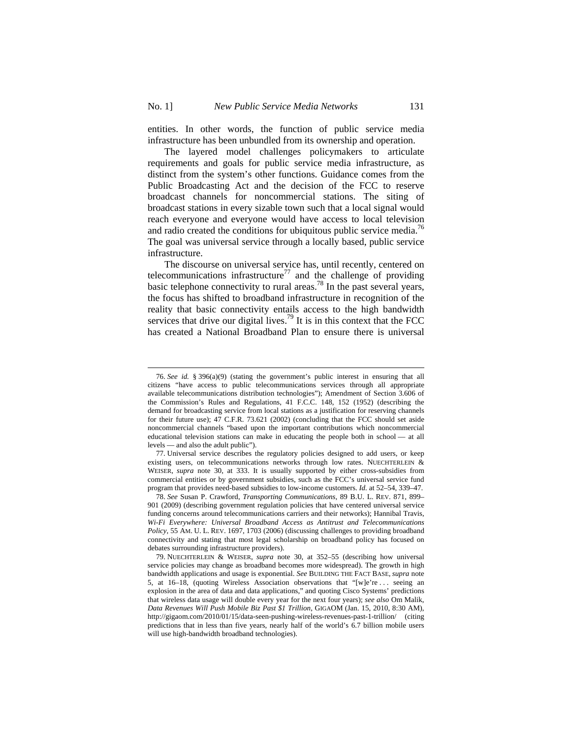$\overline{a}$ 

entities. In other words, the function of public service media infrastructure has been unbundled from its ownership and operation.

The layered model challenges policymakers to articulate requirements and goals for public service media infrastructure, as distinct from the system's other functions. Guidance comes from the Public Broadcasting Act and the decision of the FCC to reserve broadcast channels for noncommercial stations. The siting of broadcast stations in every sizable town such that a local signal would reach everyone and everyone would have access to local television and radio created the conditions for ubiquitous public service media.<sup>76</sup> The goal was universal service through a locally based, public service infrastructure.

The discourse on universal service has, until recently, centered on telecommunications infrastructure<sup>77</sup> and the challenge of providing basic telephone connectivity to rural areas.<sup>78</sup> In the past several years, the focus has shifted to broadband infrastructure in recognition of the reality that basic connectivity entails access to the high bandwidth services that drive our digital lives.<sup>79</sup> It is in this context that the FCC has created a National Broadband Plan to ensure there is universal

<sup>76.</sup> *See id.* § 396(a)(9) (stating the government's public interest in ensuring that all citizens "have access to public telecommunications services through all appropriate available telecommunications distribution technologies"); Amendment of Section 3.606 of the Commission's Rules and Regulations, 41 F.C.C. 148, 152 (1952) (describing the demand for broadcasting service from local stations as a justification for reserving channels for their future use); 47 C.F.R. 73.621 (2002) (concluding that the FCC should set aside noncommercial channels "based upon the important contributions which noncommercial educational television stations can make in educating the people both in school — at all levels — and also the adult public").

<sup>77.</sup> Universal service describes the regulatory policies designed to add users, or keep existing users, on telecommunications networks through low rates. NUECHTERLEIN & WEISER, *supra* note 30, at 333. It is usually supported by either cross-subsidies from commercial entities or by government subsidies, such as the FCC's universal service fund program that provides need-based subsidies to low-income customers. *Id.* at 52–54, 339–47.

<sup>78.</sup> *See* Susan P. Crawford, *Transporting Communications*, 89 B.U. L. REV. 871, 899– 901 (2009) (describing government regulation policies that have centered universal service funding concerns around telecommunications carriers and their networks); Hannibal Travis, *Wi-Fi Everywhere: Universal Broadband Access as Antitrust and Telecommunications Policy*, 55 AM. U. L. REV. 1697, 1703 (2006) (discussing challenges to providing broadband connectivity and stating that most legal scholarship on broadband policy has focused on debates surrounding infrastructure providers).

<sup>79.</sup> NUECHTERLEIN & WEISER, *supra* note 30, at 352–55 (describing how universal service policies may change as broadband becomes more widespread). The growth in high bandwidth applications and usage is exponential. *See* BUILDING THE FACT BASE, *supra* note 5, at 16–18, (quoting Wireless Association observations that "[w]e're . . . seeing an explosion in the area of data and data applications," and quoting Cisco Systems' predictions that wireless data usage will double every year for the next four years); *see also* Om Malik, *Data Revenues Will Push Mobile Biz Past \$1 Trillion*, GIGAOM (Jan. 15, 2010, 8:30 AM), http://gigaom.com/2010/01/15/data-seen-pushing-wireless-revenues-past-1-trillion/ (citing predictions that in less than five years, nearly half of the world's 6.7 billion mobile users will use high-bandwidth broadband technologies).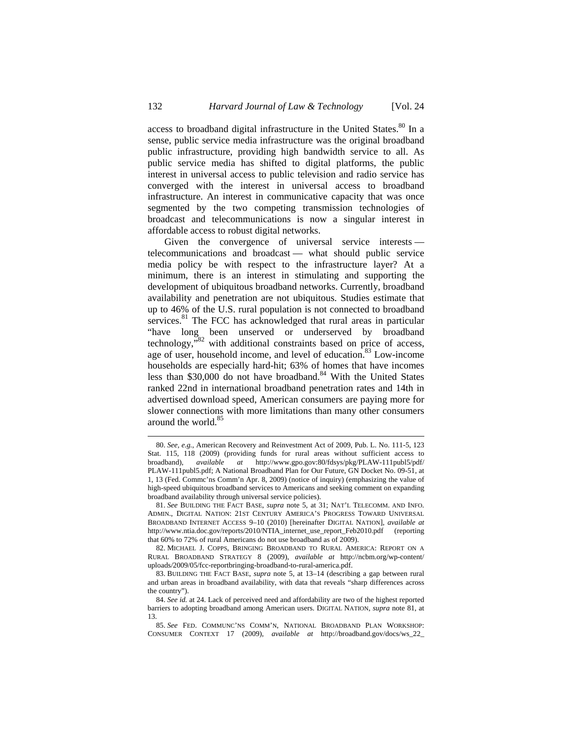access to broadband digital infrastructure in the United States.<sup>80</sup> In a sense, public service media infrastructure was the original broadband public infrastructure, providing high bandwidth service to all. As public service media has shifted to digital platforms, the public interest in universal access to public television and radio service has converged with the interest in universal access to broadband infrastructure. An interest in communicative capacity that was once segmented by the two competing transmission technologies of broadcast and telecommunications is now a singular interest in affordable access to robust digital networks.

Given the convergence of universal service interests telecommunications and broadcast — what should public service media policy be with respect to the infrastructure layer? At a minimum, there is an interest in stimulating and supporting the development of ubiquitous broadband networks. Currently, broadband availability and penetration are not ubiquitous. Studies estimate that up to 46% of the U.S. rural population is not connected to broadband services.<sup>81</sup> The FCC has acknowledged that rural areas in particular "have long been unserved or underserved by broadband technology, $\mathbf{R}^{32}$  with additional constraints based on price of access, age of user, household income, and level of education.<sup>83</sup> Low-income households are especially hard-hit; 63% of homes that have incomes less than \$30,000 do not have broadband.<sup>84</sup> With the United States ranked 22nd in international broadband penetration rates and 14th in advertised download speed, American consumers are paying more for slower connections with more limitations than many other consumers around the world.<sup>85</sup>

<sup>80.</sup> *See, e.g.*, American Recovery and Reinvestment Act of 2009, Pub. L. No. 111-5, 123 Stat. 115, 118 (2009) (providing funds for rural areas without sufficient access to broadband), *available at* http://www.gpo.gov:80/fdsys/pkg/PLAW-111publ5/pdf/ PLAW-111publ5.pdf; A National Broadband Plan for Our Future, GN Docket No. 09-51, at 1, 13 (Fed. Commc'ns Comm'n Apr. 8, 2009) (notice of inquiry) (emphasizing the value of high-speed ubiquitous broadband services to Americans and seeking comment on expanding broadband availability through universal service policies).

<sup>81.</sup> *See* BUILDING THE FACT BASE, *supra* note 5, at 31; NAT'L TELECOMM. AND INFO. ADMIN., DIGITAL NATION: 21ST CENTURY AMERICA'S PROGRESS TOWARD UNIVERSAL BROADBAND INTERNET ACCESS 9–10 (2010) [hereinafter DIGITAL NATION], *available at* http://www.ntia.doc.gov/reports/2010/NTIA\_internet\_use\_report\_Feb2010.pdf (reporting that 60% to 72% of rural Americans do not use broadband as of 2009).

<sup>82.</sup> MICHAEL J. COPPS, BRINGING BROADBAND TO RURAL AMERICA: REPORT ON A RURAL BROADBAND STRATEGY 8 (2009), *available at* http://ncbm.org/wp-content/ uploads/2009/05/fcc-reportbringing-broadband-to-rural-america.pdf.

<sup>83.</sup> BUILDING THE FACT BASE, *supra* note 5, at 13–14 (describing a gap between rural and urban areas in broadband availability, with data that reveals "sharp differences across the country").

<sup>84.</sup> *See id.* at 24. Lack of perceived need and affordability are two of the highest reported barriers to adopting broadband among American users. DIGITAL NATION, *supra* note 81, at 13.

<sup>85.</sup> *See* FED. COMMUNC'NS COMM'N, NATIONAL BROADBAND PLAN WORKSHOP: CONSUMER CONTEXT 17 (2009), *available at* http://broadband.gov/docs/ws\_22\_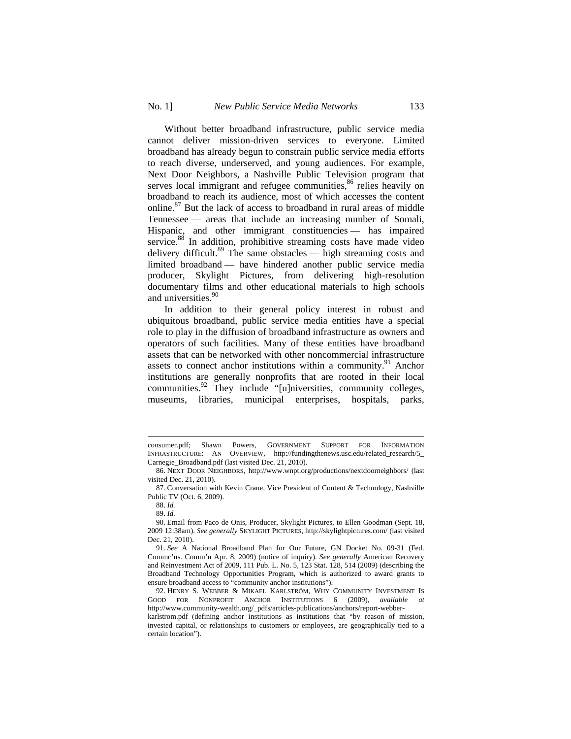Without better broadband infrastructure, public service media cannot deliver mission-driven services to everyone. Limited broadband has already begun to constrain public service media efforts to reach diverse, underserved, and young audiences. For example, Next Door Neighbors, a Nashville Public Television program that serves local immigrant and refugee communities,<sup>86</sup> relies heavily on broadband to reach its audience, most of which accesses the content online.87 But the lack of access to broadband in rural areas of middle Tennessee — areas that include an increasing number of Somali, Hispanic, and other immigrant constituencies — has impaired service.<sup>88</sup> In addition, prohibitive streaming costs have made video delivery difficult.<sup>89</sup> The same obstacles — high streaming costs and limited broadband — have hindered another public service media producer, Skylight Pictures, from delivering high-resolution documentary films and other educational materials to high schools and universities.<sup>90</sup>

In addition to their general policy interest in robust and ubiquitous broadband, public service media entities have a special role to play in the diffusion of broadband infrastructure as owners and operators of such facilities. Many of these entities have broadband assets that can be networked with other noncommercial infrastructure assets to connect anchor institutions within a community.<sup>91</sup> Anchor institutions are generally nonprofits that are rooted in their local communities.<sup>92</sup> They include "[u]niversities, community colleges, museums, libraries, municipal enterprises, hospitals, parks,

consumer.pdf; Shawn Powers, GOVERNMENT SUPPORT FOR INFORMATION INFRASTRUCTURE: AN OVERVIEW, http://fundingthenews.usc.edu/related\_research/5\_ Carnegie\_Broadband.pdf (last visited Dec. 21, 2010).

<sup>86.</sup> NEXT DOOR NEIGHBORS, http://www.wnpt.org/productions/nextdoorneighbors/ (last visited Dec. 21, 2010).

<sup>87.</sup> Conversation with Kevin Crane, Vice President of Content & Technology, Nashville Public TV (Oct. 6, 2009).

<sup>88.</sup> *Id.*

<sup>89.</sup> *Id.*

<sup>90.</sup> Email from Paco de Onis, Producer, Skylight Pictures, to Ellen Goodman (Sept. 18, 2009 12:38am). *See generally* SKYLIGHT PICTURES, http://skylightpictures.com/ (last visited Dec. 21, 2010).

<sup>91.</sup> *See* A National Broadband Plan for Our Future, GN Docket No. 09-31 (Fed. Commc'ns. Comm'n Apr. 8, 2009) (notice of inquiry). *See generally* American Recovery and Reinvestment Act of 2009, 111 Pub. L. No. 5, 123 Stat. 128, 514 (2009) (describing the Broadband Technology Opportunities Program, which is authorized to award grants to ensure broadband access to "community anchor institutions").

<sup>92.</sup> HENRY S. WEBBER & MIKAEL KARLSTRÖM, WHY COMMUNITY INVESTMENT IS GOOD FOR NONPROFIT ANCHOR INSTITUTIONS 6 (2009), *available at* http://www.community-wealth.org/\_pdfs/articles-publications/anchors/report-webber-

karlstrom.pdf (defining anchor institutions as institutions that "by reason of mission, invested capital, or relationships to customers or employees, are geographically tied to a certain location").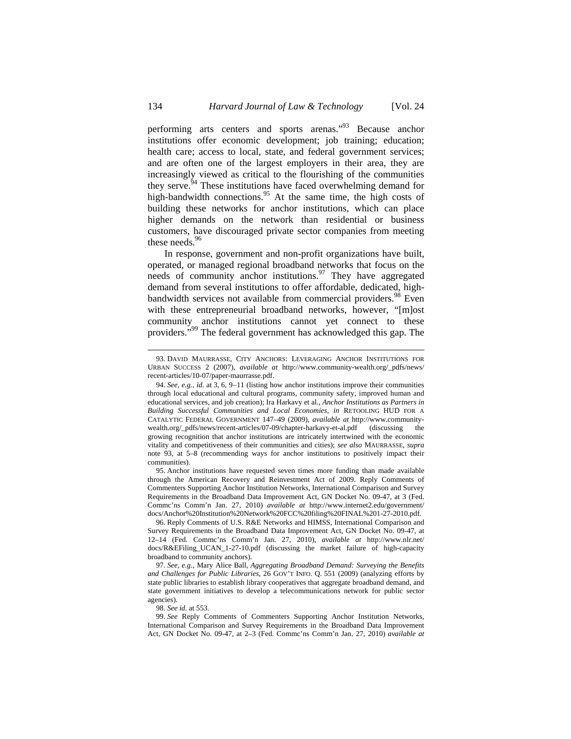performing arts centers and sports arenas."93 Because anchor institutions offer economic development; job training; education; health care; access to local, state, and federal government services; and are often one of the largest employers in their area, they are increasingly viewed as critical to the flourishing of the communities they serve.<sup>94</sup> These institutions have faced overwhelming demand for high-bandwidth connections.<sup>95</sup> At the same time, the high costs of building these networks for anchor institutions, which can place higher demands on the network than residential or business customers, have discouraged private sector companies from meeting these needs.<sup>96</sup>

In response, government and non-profit organizations have built, operated, or managed regional broadband networks that focus on the needs of community anchor institutions.  $97$  They have aggregated demand from several institutions to offer affordable, dedicated, highbandwidth services not available from commercial providers.<sup>98</sup> Even with these entrepreneurial broadband networks, however, "[m]ost community anchor institutions cannot yet connect to these providers."<sup>99</sup> The federal government has acknowledged this gap. The

95. Anchor institutions have requested seven times more funding than made available through the American Recovery and Reinvestment Act of 2009. Reply Comments of Commenters Supporting Anchor Institution Networks, International Comparison and Survey Requirements in the Broadband Data Improvement Act, GN Docket No. 09-47, at 3 (Fed. Commc'ns Comm'n Jan. 27, 2010) *available at* http://www.internet2.edu/government/ docs/Anchor%20Institution%20Network%20FCC%20filing%20FINAL%201-27-2010.pdf.

96. Reply Comments of U.S. R&E Networks and HIMSS, International Comparison and Survey Requirements in the Broadband Data Improvement Act, GN Docket No. 09-47, at 12–14 (Fed. Commc'ns Comm'n Jan. 27, 2010), *available at* http://www.nlr.net/ docs/R&EFiling\_UCAN\_1-27-10.pdf (discussing the market failure of high-capacity broadband to community anchors).

97. *See, e.g.*, Mary Alice Ball, *Aggregating Broadband Demand: Surveying the Benefits and Challenges for Public Libraries*, 26 GOV'T INFO. Q. 551 (2009) (analyzing efforts by state public libraries to establish library cooperatives that aggregate broadband demand, and state government initiatives to develop a telecommunications network for public sector agencies).

98. *See id.* at 553.

99. *See* Reply Comments of Commenters Supporting Anchor Institution Networks, International Comparison and Survey Requirements in the Broadband Data Improvement Act, GN Docket No. 09-47, at 2–3 (Fed. Commc'ns Comm'n Jan. 27, 2010) *available at* 

<sup>93.</sup> DAVID MAURRASSE, CITY ANCHORS: LEVERAGING ANCHOR INSTITUTIONS FOR URBAN SUCCESS 2 (2007), *available at* http://www.community-wealth.org/\_pdfs/news/ recent-articles/10-07/paper-maurrasse.pdf.

<sup>94.</sup> See, e.g., *id.* at 3, 6, 9-11 (listing how anchor institutions improve their communities through local educational and cultural programs, community safety, improved human and educational services, and job creation); Ira Harkavy et al., *Anchor Institutions as Partners in Building Successful Communities and Local Economies*, *in* RETOOLING HUD FOR A CATALYTIC FEDERAL GOVERNMENT 147–49 (2009), *available at* http://www.communitywealth.org/\_pdfs/news/recent-articles/07-09/chapter-harkavy-et-al.pdf (discussing the growing recognition that anchor institutions are intricately intertwined with the economic vitality and competitiveness of their communities and cities); *see also* MAURRASSE, *supra*  note 93, at 5–8 (recommending ways for anchor institutions to positively impact their communities).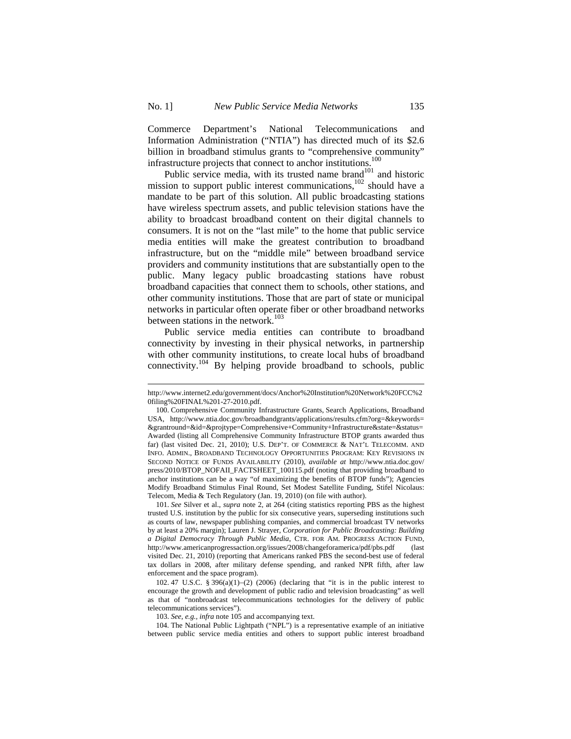Commerce Department's National Telecommunications and Information Administration ("NTIA") has directed much of its \$2.6 billion in broadband stimulus grants to "comprehensive community" infrastructure projects that connect to anchor institutions.<sup>100</sup>

Public service media, with its trusted name brand<sup>101</sup> and historic mission to support public interest communications,  $102$  should have a mandate to be part of this solution. All public broadcasting stations have wireless spectrum assets, and public television stations have the ability to broadcast broadband content on their digital channels to consumers. It is not on the "last mile" to the home that public service media entities will make the greatest contribution to broadband infrastructure, but on the "middle mile" between broadband service providers and community institutions that are substantially open to the public. Many legacy public broadcasting stations have robust broadband capacities that connect them to schools, other stations, and other community institutions. Those that are part of state or municipal networks in particular often operate fiber or other broadband networks between stations in the network.<sup>103</sup>

Public service media entities can contribute to broadband connectivity by investing in their physical networks, in partnership with other community institutions, to create local hubs of broadband connectivity.104 By helping provide broadband to schools, public

http://www.internet2.edu/government/docs/Anchor%20Institution%20Network%20FCC%2 0filing%20FINAL%201-27-2010.pdf.

<sup>100.</sup> Comprehensive Community Infrastructure Grants, Search Applications, Broadband USA, http://www.ntia.doc.gov/broadbandgrants/applications/results.cfm?org=&keywords= &grantround=&id=&projtype=Comprehensive+Community+Infrastructure&state=&status= Awarded (listing all Comprehensive Community Infrastructure BTOP grants awarded thus far) (last visited Dec. 21, 2010); U.S. DEP'T. OF COMMERCE & NAT'L TELECOMM. AND INFO. ADMIN., BROADBAND TECHNOLOGY OPPORTUNITIES PROGRAM: KEY REVISIONS IN SECOND NOTICE OF FUNDS AVAILABILITY (2010), *available at* http://www.ntia.doc.gov/ press/2010/BTOP\_NOFAII\_FACTSHEET\_100115.pdf (noting that providing broadband to anchor institutions can be a way "of maximizing the benefits of BTOP funds"); Agencies Modify Broadband Stimulus Final Round, Set Modest Satellite Funding, Stifel Nicolaus: Telecom, Media & Tech Regulatory (Jan. 19, 2010) (on file with author).

<sup>101.</sup> *See* Silver et al., *supra* note 2, at 264 (citing statistics reporting PBS as the highest trusted U.S. institution by the public for six consecutive years, superseding institutions such as courts of law, newspaper publishing companies, and commercial broadcast TV networks by at least a 20% margin); Lauren J. Strayer, *Corporation for Public Broadcasting: Building a Digital Democracy Through Public Media*, CTR. FOR AM. PROGRESS ACTION FUND, http://www.americanprogressaction.org/issues/2008/changeforamerica/pdf/pbs.pdf (last visited Dec. 21, 2010) (reporting that Americans ranked PBS the second-best use of federal tax dollars in 2008, after military defense spending, and ranked NPR fifth, after law enforcement and the space program).

<sup>102. 47</sup> U.S.C. § 396(a)(1)–(2) (2006) (declaring that "it is in the public interest to encourage the growth and development of public radio and television broadcasting" as well as that of "nonbroadcast telecommunications technologies for the delivery of public telecommunications services").

<sup>103.</sup> *See, e.g., infra* note 105 and accompanying text.

<sup>104.</sup> The National Public Lightpath ("NPL") is a representative example of an initiative between public service media entities and others to support public interest broadband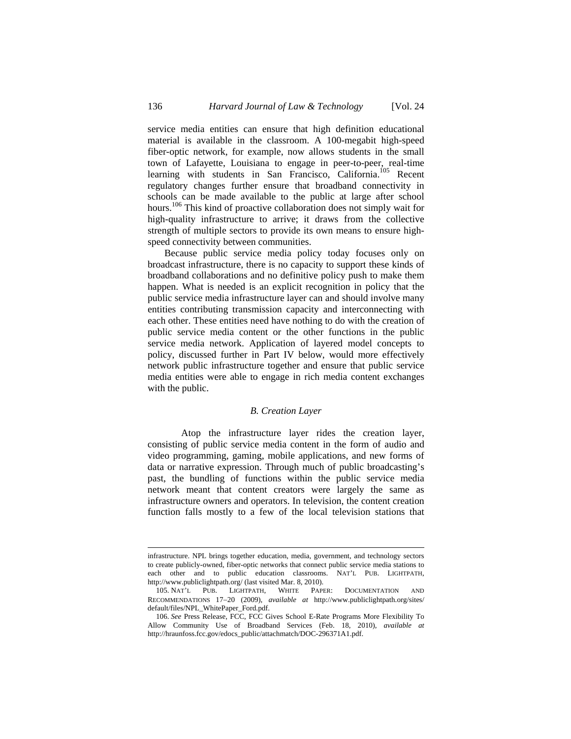service media entities can ensure that high definition educational material is available in the classroom. A 100-megabit high-speed fiber-optic network, for example, now allows students in the small town of Lafayette, Louisiana to engage in peer-to-peer, real-time learning with students in San Francisco, California.<sup>105</sup> Recent regulatory changes further ensure that broadband connectivity in schools can be made available to the public at large after school hours.<sup>106</sup> This kind of proactive collaboration does not simply wait for high-quality infrastructure to arrive; it draws from the collective strength of multiple sectors to provide its own means to ensure highspeed connectivity between communities.

Because public service media policy today focuses only on broadcast infrastructure, there is no capacity to support these kinds of broadband collaborations and no definitive policy push to make them happen. What is needed is an explicit recognition in policy that the public service media infrastructure layer can and should involve many entities contributing transmission capacity and interconnecting with each other. These entities need have nothing to do with the creation of public service media content or the other functions in the public service media network. Application of layered model concepts to policy, discussed further in Part IV below, would more effectively network public infrastructure together and ensure that public service media entities were able to engage in rich media content exchanges with the public.

### *B. Creation Layer*

Atop the infrastructure layer rides the creation layer, consisting of public service media content in the form of audio and video programming, gaming, mobile applications, and new forms of data or narrative expression. Through much of public broadcasting's past, the bundling of functions within the public service media network meant that content creators were largely the same as infrastructure owners and operators. In television, the content creation function falls mostly to a few of the local television stations that

infrastructure. NPL brings together education, media, government, and technology sectors to create publicly-owned, fiber-optic networks that connect public service media stations to each other and to public education classrooms. NAT'L PUB. LIGHTPATH, http://www.publiclightpath.org/ (last visited Mar. 8, 2010).

<sup>105.</sup> NAT'L PUB. LIGHTPATH, WHITE PAPER: DOCUMENTATION AND RECOMMENDATIONS 17-20 (2009), *available at* http://www.publiclightpath.org/sites/ default/files/NPL\_WhitePaper\_Ford.pdf.

<sup>106.</sup> *See* Press Release, FCC, FCC Gives School E-Rate Programs More Flexibility To Allow Community Use of Broadband Services (Feb. 18, 2010), *available at*  http://hraunfoss.fcc.gov/edocs\_public/attachmatch/DOC-296371A1.pdf.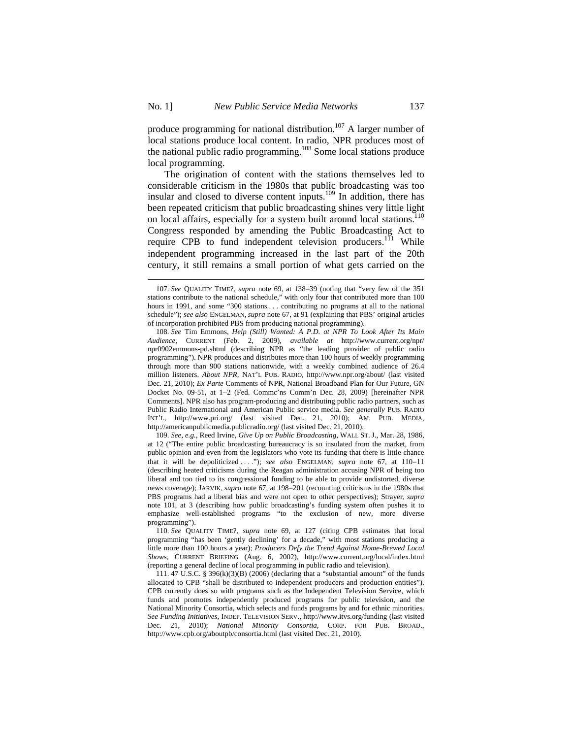produce programming for national distribution.<sup>107</sup> A larger number of local stations produce local content. In radio, NPR produces most of the national public radio programming.<sup>108</sup> Some local stations produce local programming.

The origination of content with the stations themselves led to considerable criticism in the 1980s that public broadcasting was too insular and closed to diverse content inputs.109 In addition, there has been repeated criticism that public broadcasting shines very little light on local affairs, especially for a system built around local stations.<sup>1</sup> Congress responded by amending the Public Broadcasting Act to require CPB to fund independent television producers.<sup>111</sup> While independent programming increased in the last part of the 20th century, it still remains a small portion of what gets carried on the

108. *See* Tim Emmons, *Help (Still) Wanted: A P.D. at NPR To Look After Its Main Audience*, CURRENT (Feb. 2, 2009), *available at* http://www.current.org/npr/ npr0902emmons-pd.shtml (describing NPR as "the leading provider of public radio programming"). NPR produces and distributes more than 100 hours of weekly programming through more than 900 stations nationwide, with a weekly combined audience of 26.4 million listeners. *About NPR*, NAT'L PUB. RADIO, http://www.npr.org/about/ (last visited Dec. 21, 2010); *Ex Parte* Comments of NPR, National Broadband Plan for Our Future, GN Docket No. 09-51, at 12 (Fed. Commc'ns Comm'n Dec. 28, 2009) [hereinafter NPR Comments]. NPR also has program-producing and distributing public radio partners, such as Public Radio International and American Public service media. *See generally* PUB. RADIO INT'L, http://www.pri.org/ (last visited Dec. 21, 2010); AM. PUB. MEDIA, http://americanpublicmedia.publicradio.org/ (last visited Dec. 21, 2010).

109. *See, e.g.*, Reed Irvine, *Give Up on Public Broadcasting*, WALL ST. J., Mar. 28, 1986, at 12 ("The entire public broadcasting bureaucracy is so insulated from the market, from public opinion and even from the legislators who vote its funding that there is little chance that it will be depoliticized ...."); see also ENGELMAN, supra note 67, at 110-11 (describing heated criticisms during the Reagan administration accusing NPR of being too liberal and too tied to its congressional funding to be able to provide undistorted, diverse news coverage); JARVIK, *supra* note 67, at 198–201 (recounting criticisms in the 1980s that PBS programs had a liberal bias and were not open to other perspectives); Strayer, *supra*  note 101, at 3 (describing how public broadcasting's funding system often pushes it to emphasize well-established programs "to the exclusion of new, more diverse programming").

110. *See* QUALITY TIME?, *supra* note 69, at 127 (citing CPB estimates that local programming "has been 'gently declining' for a decade," with most stations producing a little more than 100 hours a year); *Producers Defy the Trend Against Home-Brewed Local Show*s, CURRENT BRIEFING (Aug. 6, 2002), http://www.current.org/local/index.html (reporting a general decline of local programming in public radio and television).

111. 47 U.S.C. § 396(k)(3)(B) (2006) (declaring that a "substantial amount" of the funds allocated to CPB "shall be distributed to independent producers and production entities"). CPB currently does so with programs such as the Independent Television Service, which funds and promotes independently produced programs for public television, and the National Minority Consortia, which selects and funds programs by and for ethnic minorities. *See Funding Initiatives*, INDEP. TELEVISION SERV., http://www.itvs.org/funding (last visited Dec. 21, 2010); *National Minority Consortia*, CORP. FOR PUB. BROAD., http://www.cpb.org/aboutpb/consortia.html (last visited Dec. 21, 2010).

<sup>107.</sup> *See* QUALITY TIME?, *supra* note 69, at 138–39 (noting that "very few of the 351 stations contribute to the national schedule," with only four that contributed more than 100 hours in 1991, and some "300 stations ... contributing no programs at all to the national schedule"); *see also* ENGELMAN, *supra* note 67, at 91 (explaining that PBS' original articles of incorporation prohibited PBS from producing national programming).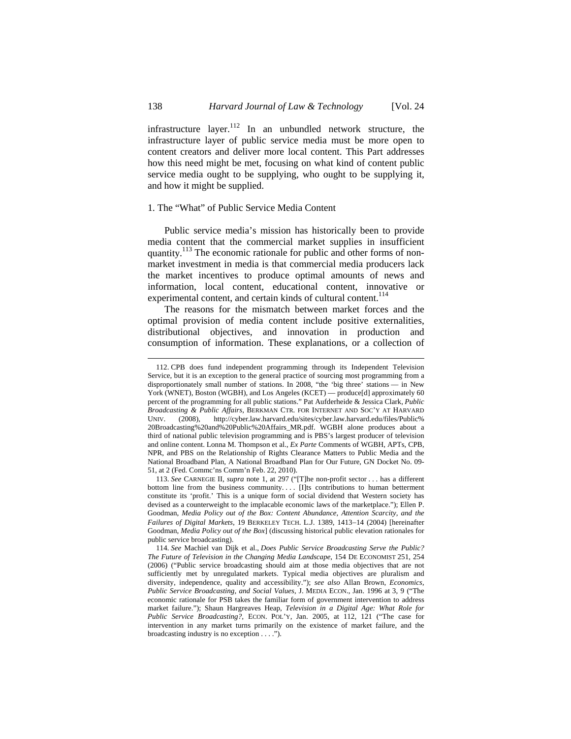infrastructure layer.<sup>112</sup> In an unbundled network structure, the infrastructure layer of public service media must be more open to content creators and deliver more local content. This Part addresses how this need might be met, focusing on what kind of content public service media ought to be supplying, who ought to be supplying it, and how it might be supplied.

## 1. The "What" of Public Service Media Content

Public service media's mission has historically been to provide media content that the commercial market supplies in insufficient quantity.<sup>113</sup> The economic rationale for public and other forms of nonmarket investment in media is that commercial media producers lack the market incentives to produce optimal amounts of news and information, local content, educational content, innovative or experimental content, and certain kinds of cultural content.<sup>114</sup>

The reasons for the mismatch between market forces and the optimal provision of media content include positive externalities, distributional objectives, and innovation in production and consumption of information. These explanations, or a collection of

<sup>112.</sup> CPB does fund independent programming through its Independent Television Service, but it is an exception to the general practice of sourcing most programming from a disproportionately small number of stations. In 2008, "the 'big three' stations — in New York (WNET), Boston (WGBH), and Los Angeles (KCET) — produce[d] approximately 60 percent of the programming for all public stations." Pat Aufderheide & Jessica Clark, *Public Broadcasting & Public Affairs*, BERKMAN CTR. FOR INTERNET AND SOC'Y AT HARVARD UNIV. (2008), http://cyber.law.harvard.edu/sites/cyber.law.harvard.edu/files/Public% 20Broadcasting%20and%20Public%20Affairs\_MR.pdf. WGBH alone produces about a third of national public television programming and is PBS's largest producer of television and online content. Lonna M. Thompson et al., *Ex Parte* Comments of WGBH, APTs, CPB, NPR, and PBS on the Relationship of Rights Clearance Matters to Public Media and the National Broadband Plan, A National Broadband Plan for Our Future, GN Docket No. 09- 51, at 2 (Fed. Commc'ns Comm'n Feb. 22, 2010).

<sup>113.</sup> *See* CARNEGIE II, *supra* note 1, at 297 ("[T]he non-profit sector . . . has a different bottom line from the business community.... [I]ts contributions to human betterment constitute its 'profit.' This is a unique form of social dividend that Western society has devised as a counterweight to the implacable economic laws of the marketplace."); Ellen P. Goodman, *Media Policy out of the Box: Content Abundance, Attention Scarcity, and the*  Failures of Digital Markets, 19 BERKELEY TECH. L.J. 1389, 1413-14 (2004) [hereinafter Goodman, *Media Policy out of the Box*] (discussing historical public elevation rationales for public service broadcasting).

<sup>114.</sup> *See* Machiel van Dijk et al., *Does Public Service Broadcasting Serve the Public? The Future of Television in the Changing Media Landscape*, 154 DE ECONOMIST 251, 254 (2006) ("Public service broadcasting should aim at those media objectives that are not sufficiently met by unregulated markets. Typical media objectives are pluralism and diversity, independence, quality and accessibility."); *see also* Allan Brown, *Economics, Public Service Broadcasting, and Social Values*, J. MEDIA ECON., Jan. 1996 at 3, 9 ("The economic rationale for PSB takes the familiar form of government intervention to address market failure."); Shaun Hargreaves Heap, *Television in a Digital Age: What Role for*  Public Service Broadcasting?, ECON. POL'Y, Jan. 2005, at 112, 121 ("The case for intervention in any market turns primarily on the existence of market failure, and the broadcasting industry is no exception . . . .").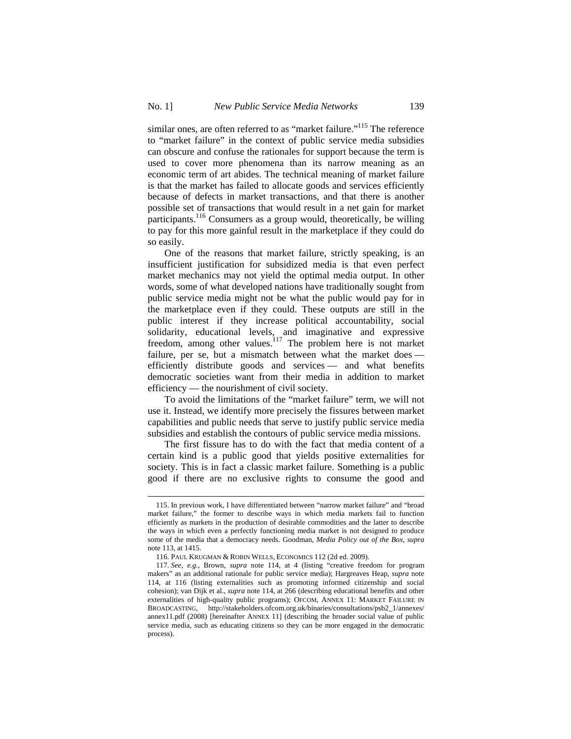similar ones, are often referred to as "market failure."<sup>115</sup> The reference to "market failure" in the context of public service media subsidies can obscure and confuse the rationales for support because the term is used to cover more phenomena than its narrow meaning as an economic term of art abides. The technical meaning of market failure is that the market has failed to allocate goods and services efficiently because of defects in market transactions, and that there is another possible set of transactions that would result in a net gain for market participants.<sup>116</sup> Consumers as a group would, theoretically, be willing to pay for this more gainful result in the marketplace if they could do so easily.

One of the reasons that market failure, strictly speaking, is an insufficient justification for subsidized media is that even perfect market mechanics may not yield the optimal media output. In other words, some of what developed nations have traditionally sought from public service media might not be what the public would pay for in the marketplace even if they could. These outputs are still in the public interest if they increase political accountability, social solidarity, educational levels, and imaginative and expressive freedom, among other values.<sup>117</sup> The problem here is not market failure, per se, but a mismatch between what the market does efficiently distribute goods and services — and what benefits democratic societies want from their media in addition to market efficiency — the nourishment of civil society.

To avoid the limitations of the "market failure" term, we will not use it. Instead, we identify more precisely the fissures between market capabilities and public needs that serve to justify public service media subsidies and establish the contours of public service media missions.

The first fissure has to do with the fact that media content of a certain kind is a public good that yields positive externalities for society. This is in fact a classic market failure. Something is a public good if there are no exclusive rights to consume the good and

<sup>115.</sup> In previous work, I have differentiated between "narrow market failure" and "broad market failure," the former to describe ways in which media markets fail to function efficiently as markets in the production of desirable commodities and the latter to describe the ways in which even a perfectly functioning media market is not designed to produce some of the media that a democracy needs. Goodman, *Media Policy out of the Box*, *supra*  note 113, at 1415.

<sup>116.</sup> PAUL KRUGMAN & ROBIN WELLS, ECONOMICS 112 (2d ed. 2009).

<sup>117.</sup> *See, e.g.*, Brown, *supra* note 114, at 4 (listing "creative freedom for program makers" as an additional rationale for public service media); Hargreaves Heap, *supra* note 114, at 116 (listing externalities such as promoting informed citizenship and social cohesion); van Dijk et al., *supra* note 114, at 266 (describing educational benefits and other externalities of high-quality public programs); OFCOM, ANNEX 11: MARKET FAILURE IN BROADCASTING, http://stakeholders.ofcom.org.uk/binaries/consultations/psb2\_1/annexes/ annex11.pdf (2008) [hereinafter ANNEX 11] (describing the broader social value of public service media, such as educating citizens so they can be more engaged in the democratic process).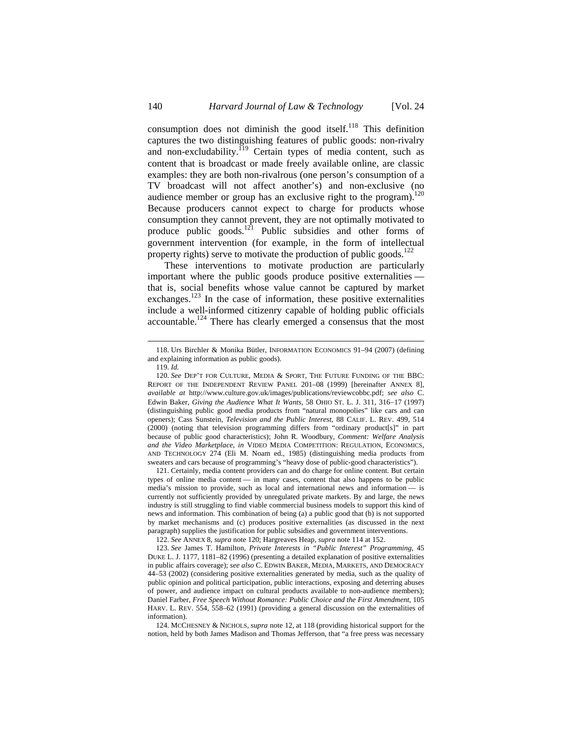consumption does not diminish the good itself.<sup>118</sup> This definition captures the two distinguishing features of public goods: non-rivalry and non-excludability.<sup>119</sup> Certain types of media content, such as content that is broadcast or made freely available online, are classic examples: they are both non-rivalrous (one person's consumption of a TV broadcast will not affect another's) and non-exclusive (no audience member or group has an exclusive right to the program).<sup>120</sup> Because producers cannot expect to charge for products whose consumption they cannot prevent, they are not optimally motivated to produce public goods.<sup>121</sup> Public subsidies and other forms of government intervention (for example, in the form of intellectual property rights) serve to motivate the production of public goods. $^{122}$ 

These interventions to motivate production are particularly important where the public goods produce positive externalities that is, social benefits whose value cannot be captured by market exchanges.<sup>123</sup> In the case of information, these positive externalities include a well-informed citizenry capable of holding public officials accountable.<sup>124</sup> There has clearly emerged a consensus that the most

 $\overline{a}$ 

121. Certainly, media content providers can and do charge for online content. But certain types of online media content — in many cases, content that also happens to be public media's mission to provide, such as local and international news and information — is currently not sufficiently provided by unregulated private markets. By and large, the news industry is still struggling to find viable commercial business models to support this kind of news and information. This combination of being (a) a public good that (b) is not supported by market mechanisms and (c) produces positive externalities (as discussed in the next paragraph) supplies the justification for public subsidies and government interventions.

122. *See* ANNEX 8, *supra* note 120; Hargreaves Heap, *supra* note 114 at 152.

124. MCCHESNEY & NICHOLS, *supra* note 12, at 118 (providing historical support for the notion, held by both James Madison and Thomas Jefferson, that "a free press was necessary

<sup>118.</sup> Urs Birchler & Monika Bütler, INFORMATION ECONOMICS 91–94 (2007) (defining and explaining information as public goods).

<sup>119.</sup> *Id.*

<sup>120.</sup> *See* DEP'T FOR CULTURE, MEDIA & SPORT, THE FUTURE FUNDING OF THE BBC: REPORT OF THE INDEPENDENT REVIEW PANEL 201–08 (1999) [hereinafter ANNEX 8], *available at* http://www.culture.gov.uk/images/publications/reviewcobbc.pdf; *see also* C. Edwin Baker, *Giving the Audience What It Wants*, 58 OHIO ST. L. J. 311, 316-17 (1997) (distinguishing public good media products from "natural monopolies" like cars and can openers); Cass Sunstein, *Television and the Public Interest*, 88 CALIF. L. REV. 499, 514 (2000) (noting that television programming differs from "ordinary product[s]" in part because of public good characteristics); John R. Woodbury, *Comment: Welfare Analysis and the Video Marketplace*, *in* VIDEO MEDIA COMPETITION: REGULATION, ECONOMICS, AND TECHNOLOGY 274 (Eli M. Noam ed., 1985) (distinguishing media products from sweaters and cars because of programming's "heavy dose of public-good characteristics").

<sup>123.</sup> *See* James T. Hamilton, *Private Interests in "Public Interest" Programming*, 45 DUKE L. J. 1177, 1181–82 (1996) (presenting a detailed explanation of positive externalities in public affairs coverage); *see also* C. EDWIN BAKER, MEDIA, MARKETS, AND DEMOCRACY 44–53 (2002) (considering positive externalities generated by media, such as the quality of public opinion and political participation, public interactions, exposing and deterring abuses of power, and audience impact on cultural products available to non-audience members); Daniel Farber, *Free Speech Without Romance: Public Choice and the First Amendment*, 105 HARV. L. REV. 554, 558–62 (1991) (providing a general discussion on the externalities of information).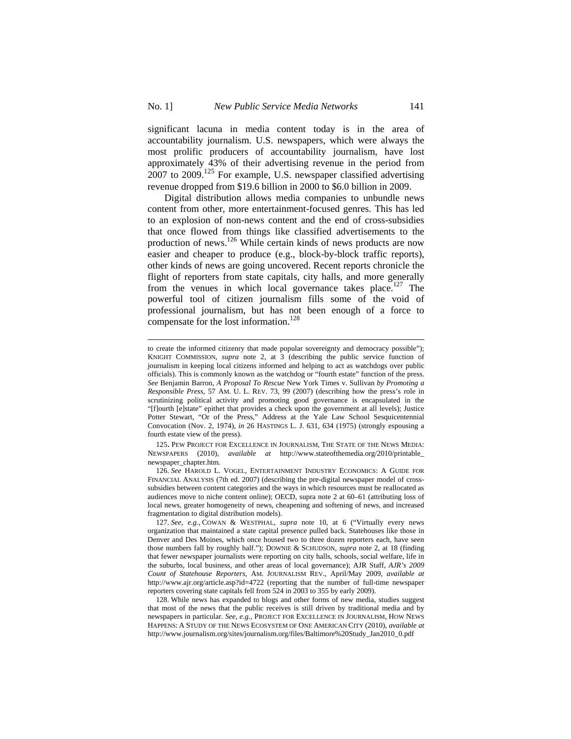significant lacuna in media content today is in the area of accountability journalism. U.S. newspapers, which were always the most prolific producers of accountability journalism, have lost approximately 43% of their advertising revenue in the period from 2007 to 2009.125 For example, U.S. newspaper classified advertising revenue dropped from \$19.6 billion in 2000 to \$6.0 billion in 2009.

Digital distribution allows media companies to unbundle news content from other, more entertainment-focused genres. This has led to an explosion of non-news content and the end of cross-subsidies that once flowed from things like classified advertisements to the production of news.<sup>126</sup> While certain kinds of news products are now easier and cheaper to produce (e.g., block-by-block traffic reports), other kinds of news are going uncovered. Recent reports chronicle the flight of reporters from state capitals, city halls, and more generally from the venues in which local governance takes place.<sup>127</sup> The powerful tool of citizen journalism fills some of the void of professional journalism, but has not been enough of a force to compensate for the lost information.<sup>128</sup>

to create the informed citizenry that made popular sovereignty and democracy possible"); KNIGHT COMMISSION, *supra* note 2, at 3 (describing the public service function of journalism in keeping local citizens informed and helping to act as watchdogs over public officials). This is commonly known as the watchdog or "fourth estate" function of the press. *See* Benjamin Barron, *A Proposal To Rescue* New York Times v. Sullivan *by Promoting a Responsible Press*, 57 AM. U. L. REV. 73, 99 (2007) (describing how the press's role in scrutinizing political activity and promoting good governance is encapsulated in the "[f]ourth [e]state" epithet that provides a check upon the government at all levels); Justice Potter Stewart, "Or of the Press," Address at the Yale Law School Sesquicentennial Convocation (Nov. 2, 1974), *in* 26 HASTINGS L. J. 631, 634 (1975) (strongly espousing a fourth estate view of the press).

<sup>125.</sup> PEW PROJECT FOR EXCELLENCE IN JOURNALISM, THE STATE OF THE NEWS MEDIA: NEWSPAPERS (2010), *available at* http://www.stateofthemedia.org/2010/printable\_ newspaper\_chapter.htm.

<sup>126.</sup> *See* HAROLD L. VOGEL, ENTERTAINMENT INDUSTRY ECONOMICS: A GUIDE FOR FINANCIAL ANALYSIS (7th ed. 2007) (describing the pre-digital newspaper model of crosssubsidies between content categories and the ways in which resources must be reallocated as audiences move to niche content online); OECD, supra note 2 at 60–61 (attributing loss of local news, greater homogeneity of news, cheapening and softening of news, and increased fragmentation to digital distribution models).

<sup>127.</sup> *See, e.g.*, COWAN & WESTPHAL, *supra* note 10, at 6 ("Virtually every news organization that maintained a state capital presence pulled back. Statehouses like those in Denver and Des Moines, which once housed two to three dozen reporters each, have seen those numbers fall by roughly half."); DOWNIE & SCHUDSON, *supra* note 2, at 18 (finding that fewer newspaper journalists were reporting on city halls, schools, social welfare, life in the suburbs, local business, and other areas of local governance); AJR Staff, *AJR's 2009 Count of Statehouse Reporters*, AM. JOURNALISM REV., April/May 2009, *available at*  http://www.ajr.org/article.asp?id=4722 (reporting that the number of full-time newspaper reporters covering state capitals fell from 524 in 2003 to 355 by early 2009).

<sup>128.</sup> While news has expanded to blogs and other forms of new media, studies suggest that most of the news that the public receives is still driven by traditional media and by newspapers in particular. *See, e.g.*, PROJECT FOR EXCELLENCE IN JOURNALISM, HOW NEWS HAPPENS: A STUDY OF THE NEWS ECOSYSTEM OF ONE AMERICAN CITY (2010), *available at* http://www.journalism.org/sites/journalism.org/files/Baltimore%20Study\_Jan2010\_0.pdf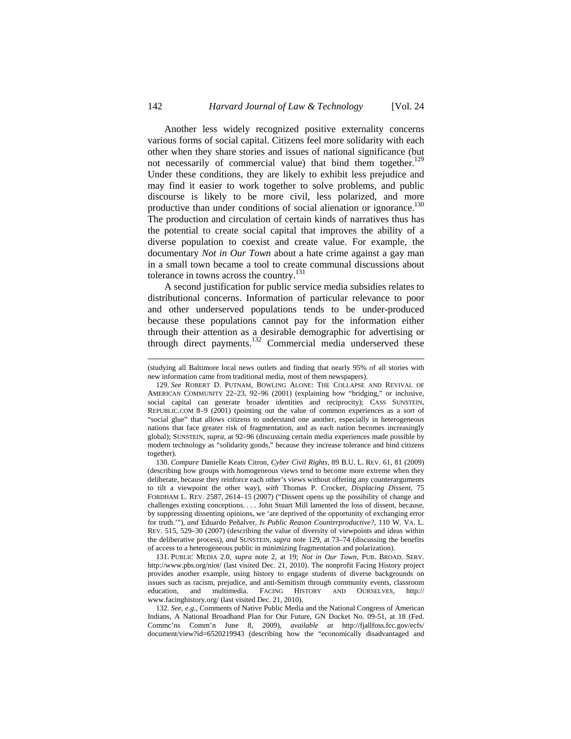Another less widely recognized positive externality concerns various forms of social capital. Citizens feel more solidarity with each other when they share stories and issues of national significance (but not necessarily of commercial value) that bind them together. $129$ Under these conditions, they are likely to exhibit less prejudice and may find it easier to work together to solve problems, and public discourse is likely to be more civil, less polarized, and more productive than under conditions of social alienation or ignorance.<sup>130</sup> The production and circulation of certain kinds of narratives thus has the potential to create social capital that improves the ability of a diverse population to coexist and create value. For example, the documentary *Not in Our Town* about a hate crime against a gay man in a small town became a tool to create communal discussions about tolerance in towns across the country.<sup>131</sup>

A second justification for public service media subsidies relates to distributional concerns. Information of particular relevance to poor and other underserved populations tends to be under-produced because these populations cannot pay for the information either through their attention as a desirable demographic for advertising or through direct payments.<sup>132</sup> Commercial media underserved these

131. PUBLIC MEDIA 2.0, *supra* note 2, at 19; *Not in Our Town*, PUB. BROAD. SERV. http://www.pbs.org/niot/ (last visited Dec. 21, 2010). The nonprofit Facing History project provides another example, using history to engage students of diverse backgrounds on issues such as racism, prejudice, and anti-Semitism through community events, classroom education, and multimedia. FACING HISTORY AND OURSELVES, http:// www.facinghistory.org/ (last visited Dec. 21, 2010).

132. *See, e.g.*, Comments of Native Public Media and the National Congress of American Indians, A National Broadband Plan for Our Future, GN Docket No. 09-51, at 18 (Fed. Commc'ns Comm'n June 8, 2009), *available at* http://fjallfoss.fcc.gov/ecfs/ document/view?id=6520219943 (describing how the "economically disadvantaged and

<sup>(</sup>studying all Baltimore local news outlets and finding that nearly 95% of all stories with new information came from traditional media, most of them newspapers).

<sup>129.</sup> *See* ROBERT D. PUTNAM, BOWLING ALONE: THE COLLAPSE AND REVIVAL OF AMERICAN COMMUNITY 22–23, 92–96 (2001) (explaining how "bridging," or inclusive, social capital can generate broader identities and reciprocity); CASS SUNSTEIN, REPUBLIC.COM 8–9 (2001) (pointing out the value of common experiences as a sort of "social glue" that allows citizens to understand one another, especially in heterogeneous nations that face greater risk of fragmentation, and as each nation becomes increasingly global); SUNSTEIN*, supra*, at 92–96 (discussing certain media experiences made possible by modern technology as "solidarity goods," because they increase tolerance and bind citizens together).

<sup>130.</sup> *Compare* Danielle Keats Citron, *Cyber Civil Rights*, 89 B.U. L. REV. 61, 81 (2009) (describing how groups with homogeneous views tend to become more extreme when they deliberate, because they reinforce each other's views without offering any counterarguments to tilt a viewpoint the other way), *with* Thomas P. Crocker, *Displacing Dissent*, 75 FORDHAM L. REV. 2587, 2614–15 (2007) ("Dissent opens up the possibility of change and challenges existing conceptions. . . . John Stuart Mill lamented the loss of dissent, because, by suppressing dissenting opinions, we 'are deprived of the opportunity of exchanging error for truth.'"), *and* Eduardo Peñalver, *Is Public Reason Counterproductive?*, 110 W. VA. L. REV. 515, 529–30 (2007) (describing the value of diversity of viewpoints and ideas within the deliberative process), *and* SUNSTEIN, *supra* note 129, at 73–74 (discussing the benefits of access to a heterogeneous public in minimizing fragmentation and polarization).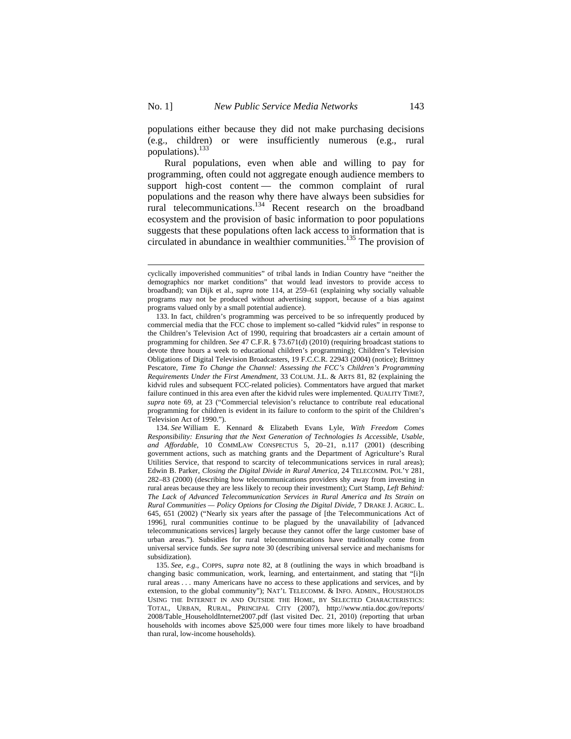populations either because they did not make purchasing decisions (e.g., children) or were insufficiently numerous (e.g., rural populations).<sup>133</sup>

Rural populations, even when able and willing to pay for programming, often could not aggregate enough audience members to support high-cost content — the common complaint of rural populations and the reason why there have always been subsidies for rural telecommunications. $134$  Recent research on the broadband ecosystem and the provision of basic information to poor populations suggests that these populations often lack access to information that is circulated in abundance in wealthier communities.135 The provision of

cyclically impoverished communities" of tribal lands in Indian Country have "neither the demographics nor market conditions" that would lead investors to provide access to broadband); van Dijk et al., *supra* note 114, at 259–61 (explaining why socially valuable programs may not be produced without advertising support, because of a bias against programs valued only by a small potential audience).

<sup>133.</sup> In fact, children's programming was perceived to be so infrequently produced by commercial media that the FCC chose to implement so-called "kidvid rules" in response to the Children's Television Act of 1990, requiring that broadcasters air a certain amount of programming for children. *See* 47 C.F.R. § 73.671(d) (2010) (requiring broadcast stations to devote three hours a week to educational children's programming); Children's Television Obligations of Digital Television Broadcasters, 19 F.C.C.R. 22943 (2004) (notice); Brittney Pescatore, *Time To Change the Channel: Assessing the FCC's Children's Programming Requirements Under the First Amendment*, 33 COLUM. J.L. & ARTS 81, 82 (explaining the kidvid rules and subsequent FCC-related policies). Commentators have argued that market failure continued in this area even after the kidvid rules were implemented. QUALITY TIME?, *supra* note 69, at 23 ("Commercial television's reluctance to contribute real educational programming for children is evident in its failure to conform to the spirit of the Children's Television Act of 1990.").

<sup>134.</sup> *See* William E. Kennard & Elizabeth Evans Lyle, *With Freedom Comes Responsibility: Ensuring that the Next Generation of Technologies Is Accessible, Usable, and Affordable*, 10 COMMLAW CONSPECTUS 5, 20–21, n.117 (2001) (describing government actions, such as matching grants and the Department of Agriculture's Rural Utilities Service, that respond to scarcity of telecommunications services in rural areas); Edwin B. Parker, *Closing the Digital Divide in Rural America*, 24 TELECOMM. POL'Y 281, 282–83 (2000) (describing how telecommunications providers shy away from investing in rural areas because they are less likely to recoup their investment); Curt Stamp, *Left Behind: The Lack of Advanced Telecommunication Services in Rural America and Its Strain on Rural Communities — Policy Options for Closing the Digital Divide*, 7 DRAKE J. AGRIC. L. 645, 651 (2002) ("Nearly six years after the passage of [the Telecommunications Act of 1996], rural communities continue to be plagued by the unavailability of [advanced telecommunications services] largely because they cannot offer the large customer base of urban areas."). Subsidies for rural telecommunications have traditionally come from universal service funds. *See supra* note 30 (describing universal service and mechanisms for subsidization).

<sup>135.</sup> *See, e.g.*, COPPS, *supra* note 82, at 8 (outlining the ways in which broadband is changing basic communication, work, learning, and entertainment, and stating that "[i]n rural areas . . . many Americans have no access to these applications and services, and by extension, to the global community"); NAT'L TELECOMM. & INFO. ADMIN., HOUSEHOLDS USING THE INTERNET IN AND OUTSIDE THE HOME, BY SELECTED CHARACTERISTICS: TOTAL, URBAN, RURAL, PRINCIPAL CITY (2007), http://www.ntia.doc.gov/reports/ 2008/Table\_HouseholdInternet2007.pdf (last visited Dec. 21, 2010) (reporting that urban households with incomes above \$25,000 were four times more likely to have broadband than rural, low-income households).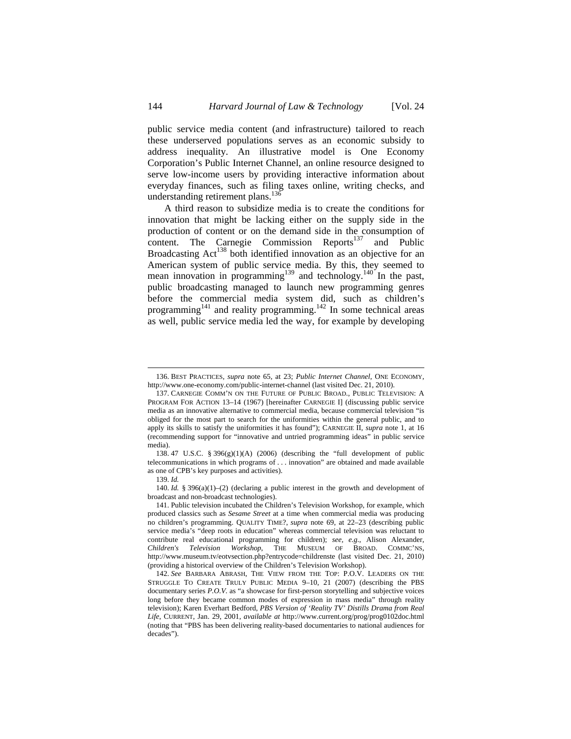public service media content (and infrastructure) tailored to reach these underserved populations serves as an economic subsidy to address inequality. An illustrative model is One Economy Corporation's Public Internet Channel, an online resource designed to serve low-income users by providing interactive information about everyday finances, such as filing taxes online, writing checks, and understanding retirement plans.<sup>136</sup>

A third reason to subsidize media is to create the conditions for innovation that might be lacking either on the supply side in the production of content or on the demand side in the consumption of content. The Carnegie Commission Reports<sup>137</sup> and Public Broadcasting Act<sup>138</sup> both identified innovation as an objective for an American system of public service media. By this, they seemed to mean innovation in programming<sup>139</sup> and technology.<sup>140</sup> In the past, public broadcasting managed to launch new programming genres before the commercial media system did, such as children's programming<sup>141</sup> and reality programming.<sup>142</sup> In some technical areas as well, public service media led the way, for example by developing

138. 47 U.S.C. § 396(g)(1)(A) (2006) (describing the "full development of public telecommunications in which programs of . . . innovation" are obtained and made available as one of CPB's key purposes and activities).

 $\overline{a}$ 

140. *Id.* § 396(a)(1)–(2) (declaring a public interest in the growth and development of broadcast and non-broadcast technologies).

<sup>136.</sup> BEST PRACTICES, *supra* note 65, at 23; *Public Internet Channel*, ONE ECONOMY, http://www.one-economy.com/public-internet-channel (last visited Dec. 21, 2010).

<sup>137.</sup> CARNEGIE COMM'N ON THE FUTURE OF PUBLIC BROAD., PUBLIC TELEVISION: A PROGRAM FOR ACTION 13–14 (1967) [hereinafter CARNEGIE I] (discussing public service media as an innovative alternative to commercial media, because commercial television "is obliged for the most part to search for the uniformities within the general public, and to apply its skills to satisfy the uniformities it has found"); CARNEGIE II, *supra* note 1, at 16 (recommending support for "innovative and untried programming ideas" in public service media).

<sup>139.</sup> *Id.*

<sup>141.</sup> Public television incubated the Children's Television Workshop, for example, which produced classics such as *Sesame Street* at a time when commercial media was producing no children's programming. QUALITY TIME?, *supra* note 69, at 22–23 (describing public service media's "deep roots in education" whereas commercial television was reluctant to contribute real educational programming for children); *see, e.g.*, Alison Alexander, *Children's Television Workshop*, THE MUSEUM OF BROAD. COMMC'NS, http://www.museum.tv/eotvsection.php?entrycode=childrenste (last visited Dec. 21, 2010) (providing a historical overview of the Children's Television Workshop).

<sup>142.</sup> *See* BARBARA ABRASH, THE VIEW FROM THE TOP: P.O.V. LEADERS ON THE STRUGGLE TO CREATE TRULY PUBLIC MEDIA 9–10, 21 (2007) (describing the PBS documentary series *P.O.V.* as "a showcase for first-person storytelling and subjective voices long before they became common modes of expression in mass media" through reality television); Karen Everhart Bedford, *PBS Version of 'Reality TV' Distills Drama from Real Life*, CURRENT, Jan. 29, 2001, *available at* http://www.current.org/prog/prog0102doc.html (noting that "PBS has been delivering reality-based documentaries to national audiences for decades").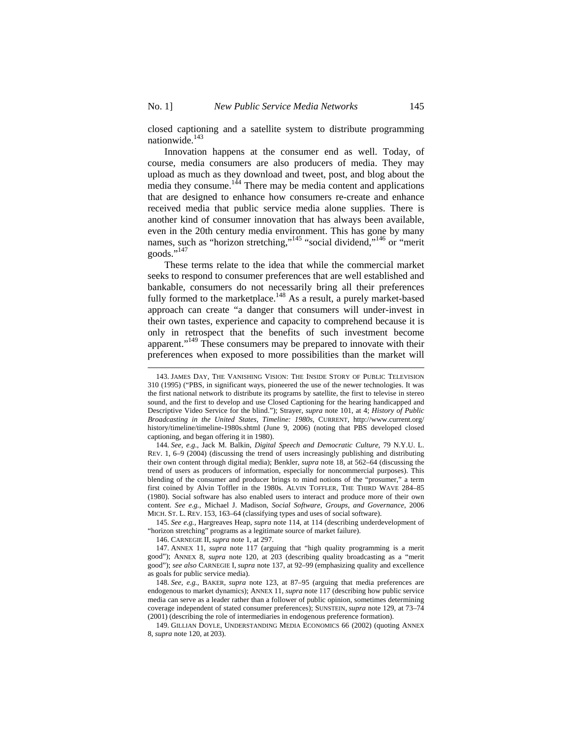closed captioning and a satellite system to distribute programming nationwide.<sup>143</sup>

Innovation happens at the consumer end as well. Today, of course, media consumers are also producers of media. They may upload as much as they download and tweet, post, and blog about the media they consume.<sup>144</sup> There may be media content and applications that are designed to enhance how consumers re-create and enhance received media that public service media alone supplies. There is another kind of consumer innovation that has always been available, even in the 20th century media environment. This has gone by many names, such as "horizon stretching,"<sup>145</sup> "social dividend,"<sup>146</sup> or "merit goods."<sup>147</sup>

These terms relate to the idea that while the commercial market seeks to respond to consumer preferences that are well established and bankable, consumers do not necessarily bring all their preferences fully formed to the marketplace.<sup>148</sup> As a result, a purely market-based approach can create "a danger that consumers will under-invest in their own tastes, experience and capacity to comprehend because it is only in retrospect that the benefits of such investment become apparent."<sup>149</sup> These consumers may be prepared to innovate with their preferences when exposed to more possibilities than the market will

146. CARNEGIE II, *supra* note 1, at 297.

147. ANNEX 11, *supra* note 117 (arguing that "high quality programming is a merit good"); ANNEX 8, *supra* note 120, at 203 (describing quality broadcasting as a "merit good"); *see also* CARNEGIE I, *supra* note 137, at 92–99 (emphasizing quality and excellence as goals for public service media).

148. *See, e.g.*, BAKER, *supra* note 123, at 87–95 (arguing that media preferences are endogenous to market dynamics); ANNEX 11, *supra* note 117 (describing how public service media can serve as a leader rather than a follower of public opinion, sometimes determining coverage independent of stated consumer preferences); SUNSTEIN, *supra* note 129, at 73–74 (2001) (describing the role of intermediaries in endogenous preference formation).

149. GILLIAN DOYLE, UNDERSTANDING MEDIA ECONOMICS 66 (2002) (quoting ANNEX 8, *supra* note 120, at 203).

<sup>143.</sup> JAMES DAY, THE VANISHING VISION: THE INSIDE STORY OF PUBLIC TELEVISION 310 (1995) ("PBS, in significant ways, pioneered the use of the newer technologies. It was the first national network to distribute its programs by satellite, the first to televise in stereo sound, and the first to develop and use Closed Captioning for the hearing handicapped and Descriptive Video Service for the blind."); Strayer, *supra* note 101, at 4; *History of Public Broadcasting in the United States, Timeline: 1980s*, CURRENT, http://www.current.org/ history/timeline/timeline-1980s.shtml (June 9, 2006) (noting that PBS developed closed captioning, and began offering it in 1980).

<sup>144.</sup> *See, e.g.*, Jack M. Balkin, *Digital Speech and Democratic Culture*, 79 N.Y.U. L. REV. 1, 6–9 (2004) (discussing the trend of users increasingly publishing and distributing their own content through digital media); Benkler, *supra* note 18, at 562–64 (discussing the trend of users as producers of information, especially for noncommercial purposes). This blending of the consumer and producer brings to mind notions of the "prosumer," a term first coined by Alvin Toffler in the 1980s. ALVIN TOFFLER, THE THIRD WAVE 284–85 (1980). Social software has also enabled users to interact and produce more of their own content. *See e.g.*, Michael J. Madison, *Social Software, Groups, and Governance*, 2006 MICH. ST. L. REV. 153, 163–64 (classifying types and uses of social software).

<sup>145.</sup> *See e.g.*, Hargreaves Heap, *supra* note 114, at 114 (describing underdevelopment of "horizon stretching" programs as a legitimate source of market failure).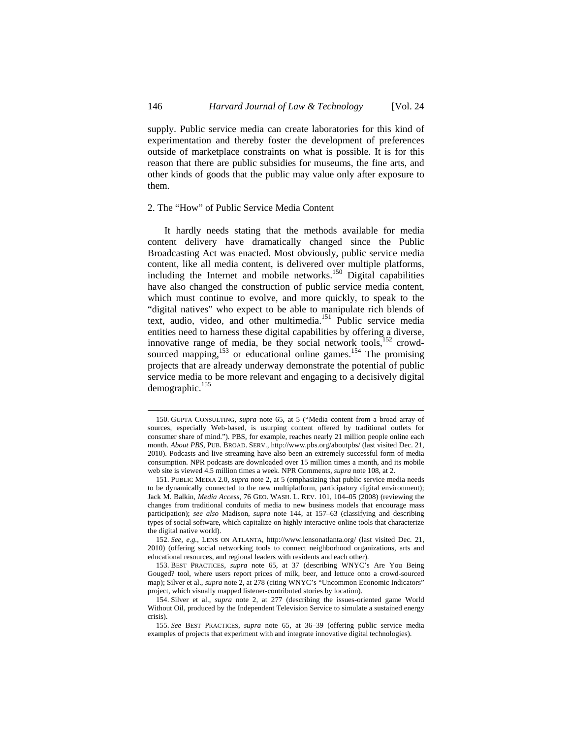supply. Public service media can create laboratories for this kind of experimentation and thereby foster the development of preferences outside of marketplace constraints on what is possible. It is for this reason that there are public subsidies for museums, the fine arts, and other kinds of goods that the public may value only after exposure to them.

#### 2. The "How" of Public Service Media Content

It hardly needs stating that the methods available for media content delivery have dramatically changed since the Public Broadcasting Act was enacted. Most obviously, public service media content, like all media content, is delivered over multiple platforms, including the Internet and mobile networks.<sup>150</sup> Digital capabilities have also changed the construction of public service media content, which must continue to evolve, and more quickly, to speak to the "digital natives" who expect to be able to manipulate rich blends of text, audio, video, and other multimedia.151 Public service media entities need to harness these digital capabilities by offering a diverse, innovative range of media, be they social network tools, $152$  crowdsourced mapping,<sup>153</sup> or educational online games.<sup>154</sup> The promising projects that are already underway demonstrate the potential of public service media to be more relevant and engaging to a decisively digital demographic.<sup>155</sup>

<sup>150.</sup> GUPTA CONSULTING, *supra* note 65, at 5 ("Media content from a broad array of sources, especially Web-based, is usurping content offered by traditional outlets for consumer share of mind."). PBS, for example, reaches nearly 21 million people online each month. *About PBS*, PUB. BROAD. SERV., http://www.pbs.org/aboutpbs/ (last visited Dec. 21, 2010). Podcasts and live streaming have also been an extremely successful form of media consumption. NPR podcasts are downloaded over 15 million times a month, and its mobile web site is viewed 4.5 million times a week. NPR Comments, *supra* note 108, at 2.

<sup>151.</sup> PUBLIC MEDIA 2.0, *supra* note 2, at 5 (emphasizing that public service media needs to be dynamically connected to the new multiplatform, participatory digital environment); Jack M. Balkin, *Media Access*, 76 GEO. WASH. L. REV. 101, 104–05 (2008) (reviewing the changes from traditional conduits of media to new business models that encourage mass participation); *see also* Madison, *supra* note 144, at 157–63 (classifying and describing types of social software, which capitalize on highly interactive online tools that characterize the digital native world).

<sup>152.</sup> *See, e.g.*, LENS ON ATLANTA, http://www.lensonatlanta.org/ (last visited Dec. 21, 2010) (offering social networking tools to connect neighborhood organizations, arts and educational resources, and regional leaders with residents and each other).

<sup>153.</sup> BEST PRACTICES, *supra* note 65, at 37 (describing WNYC's Are You Being Gouged? tool, where users report prices of milk, beer, and lettuce onto a crowd-sourced map); Silver et al., *supra* note 2, at 278 (citing WNYC's "Uncommon Economic Indicators" project, which visually mapped listener-contributed stories by location).

<sup>154.</sup> Silver et al., *supra* note 2, at 277 (describing the issues-oriented game World Without Oil, produced by the Independent Television Service to simulate a sustained energy crisis).

<sup>155.</sup> *See* BEST PRACTICES, *supra* note 65, at 36–39 (offering public service media examples of projects that experiment with and integrate innovative digital technologies).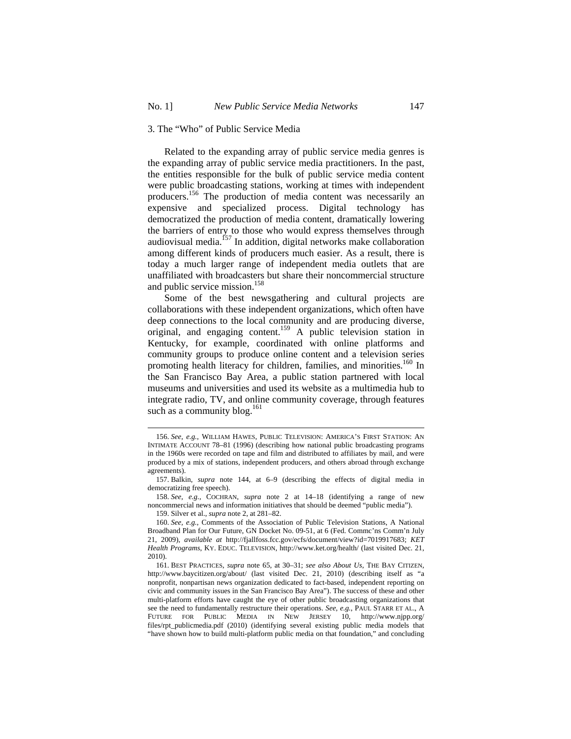## 3. The "Who" of Public Service Media

Related to the expanding array of public service media genres is the expanding array of public service media practitioners. In the past, the entities responsible for the bulk of public service media content were public broadcasting stations, working at times with independent producers.156 The production of media content was necessarily an expensive and specialized process. Digital technology has democratized the production of media content, dramatically lowering the barriers of entry to those who would express themselves through audiovisual media.157 In addition, digital networks make collaboration among different kinds of producers much easier. As a result, there is today a much larger range of independent media outlets that are unaffiliated with broadcasters but share their noncommercial structure and public service mission.<sup>158</sup>

Some of the best newsgathering and cultural projects are collaborations with these independent organizations, which often have deep connections to the local community and are producing diverse, original, and engaging content.<sup>159</sup> A public television station in Kentucky, for example, coordinated with online platforms and community groups to produce online content and a television series promoting health literacy for children, families, and minorities.<sup>160</sup> In the San Francisco Bay Area, a public station partnered with local museums and universities and used its website as a multimedia hub to integrate radio, TV, and online community coverage, through features such as a community blog. $161$ 

159. Silver et al., *supra* note 2, at 281–82.

<sup>156.</sup> *See, e.g.*, WILLIAM HAWES, PUBLIC TELEVISION: AMERICA'S FIRST STATION: AN INTIMATE ACCOUNT 78–81 (1996) (describing how national public broadcasting programs in the 1960s were recorded on tape and film and distributed to affiliates by mail, and were produced by a mix of stations, independent producers, and others abroad through exchange agreements).

<sup>157.</sup> Balkin, *supra* note 144, at 6–9 (describing the effects of digital media in democratizing free speech).

<sup>158.</sup> *See, e.g.,* COCHRAN, *supra* note 2 at 14–18 (identifying a range of new noncommercial news and information initiatives that should be deemed "public media").

<sup>160.</sup> *See, e.g.*, Comments of the Association of Public Television Stations, A National Broadband Plan for Our Future, GN Docket No. 09-51, at 6 (Fed. Commc'ns Comm'n July 21, 2009), *available at* http://fjallfoss.fcc.gov/ecfs/document/view?id=7019917683; *KET Health Programs*, KY. EDUC. TELEVISION, http://www.ket.org/health/ (last visited Dec. 21, 2010).

<sup>161.</sup> BEST PRACTICES, *supra* note 65, at 30–31; *see also About Us*, THE BAY CITIZEN, http://www.baycitizen.org/about/ (last visited Dec. 21, 2010) (describing itself as "a nonprofit, nonpartisan news organization dedicated to fact-based, independent reporting on civic and community issues in the San Francisco Bay Area"). The success of these and other multi-platform efforts have caught the eye of other public broadcasting organizations that see the need to fundamentally restructure their operations. *See, e.g.*, PAUL STARR ET AL., A FUTURE FOR PUBLIC MEDIA IN NEW JERSEY 10, http://www.njpp.org/ files/rpt\_publicmedia.pdf (2010) (identifying several existing public media models that "have shown how to build multi-platform public media on that foundation," and concluding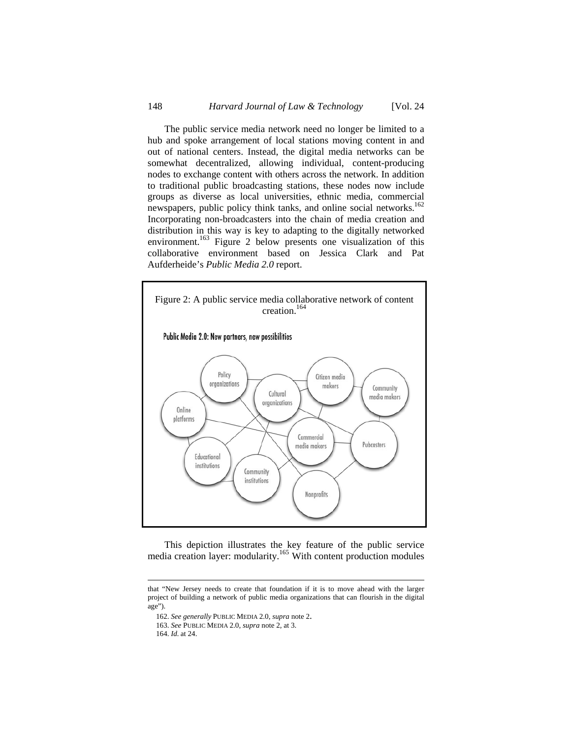The public service media network need no longer be limited to a hub and spoke arrangement of local stations moving content in and out of national centers. Instead, the digital media networks can be somewhat decentralized, allowing individual, content-producing nodes to exchange content with others across the network. In addition to traditional public broadcasting stations, these nodes now include groups as diverse as local universities, ethnic media, commercial newspapers, public policy think tanks, and online social networks.<sup>162</sup> Incorporating non-broadcasters into the chain of media creation and distribution in this way is key to adapting to the digitally networked environment.<sup>163</sup> Figure 2 below presents one visualization of this collaborative environment based on Jessica Clark and Pat Aufderheide's *Public Media 2.0* report.



This depiction illustrates the key feature of the public service media creation layer: modularity.<sup>165</sup> With content production modules

that "New Jersey needs to create that foundation if it is to move ahead with the larger project of building a network of public media organizations that can flourish in the digital age").

<sup>162.</sup> *See generally* PUBLIC MEDIA 2.0, *supra* note 2. 163. *See* PUBLIC MEDIA 2.0, *supra* note 2, at 3.

<sup>164.</sup> *Id.* at 24.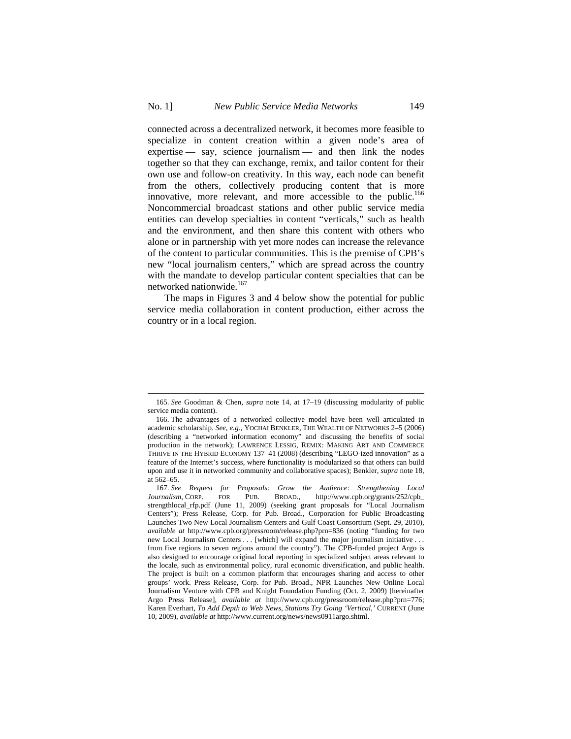connected across a decentralized network, it becomes more feasible to specialize in content creation within a given node's area of expertise — say, science journalism — and then link the nodes together so that they can exchange, remix, and tailor content for their own use and follow-on creativity. In this way, each node can benefit from the others, collectively producing content that is more innovative, more relevant, and more accessible to the public.<sup>166</sup> Noncommercial broadcast stations and other public service media entities can develop specialties in content "verticals," such as health and the environment, and then share this content with others who alone or in partnership with yet more nodes can increase the relevance of the content to particular communities. This is the premise of CPB's new "local journalism centers," which are spread across the country with the mandate to develop particular content specialties that can be networked nationwide.<sup>167</sup>

The maps in Figures 3 and 4 below show the potential for public service media collaboration in content production, either across the country or in a local region.

<sup>165.</sup> *See* Goodman & Chen, *supra* note 14, at 17–19 (discussing modularity of public service media content).

<sup>166.</sup> The advantages of a networked collective model have been well articulated in academic scholarship. *See, e.g.*, YOCHAI BENKLER, THE WEALTH OF NETWORKS 2–5 (2006) (describing a "networked information economy" and discussing the benefits of social production in the network); LAWRENCE LESSIG, REMIX: MAKING ART AND COMMERCE THRIVE IN THE HYBRID ECONOMY 137–41 (2008) (describing "LEGO-ized innovation" as a feature of the Internet's success, where functionality is modularized so that others can build upon and use it in networked community and collaborative spaces); Benkler, *supra* note 18, at 562–65.

<sup>167.</sup> *See Request for Proposals: Grow the Audience: Strengthening Local Journalism*, CORP. FOR PUB. BROAD., http://www.cpb.org/grants/252/cpb\_ strengthlocal\_rfp.pdf (June 11, 2009) (seeking grant proposals for "Local Journalism Centers"); Press Release, Corp. for Pub. Broad., Corporation for Public Broadcasting Launches Two New Local Journalism Centers and Gulf Coast Consortium (Sept. 29, 2010), *available at* http://www.cpb.org/pressroom/release.php?prn=836 (noting "funding for two new Local Journalism Centers . . . [which] will expand the major journalism initiative . . . from five regions to seven regions around the country"). The CPB-funded project Argo is also designed to encourage original local reporting in specialized subject areas relevant to the locale, such as environmental policy, rural economic diversification, and public health. The project is built on a common platform that encourages sharing and access to other groups' work. Press Release, Corp. for Pub. Broad., NPR Launches New Online Local Journalism Venture with CPB and Knight Foundation Funding (Oct. 2, 2009) [hereinafter Argo Press Release], *available at* http://www.cpb.org/pressroom/release.php?prn=776; Karen Everhart, *To Add Depth to Web News, Stations Try Going 'Vertical*,*'* CURRENT (June 10, 2009), *available at* http://www.current.org/news/news0911argo.shtml.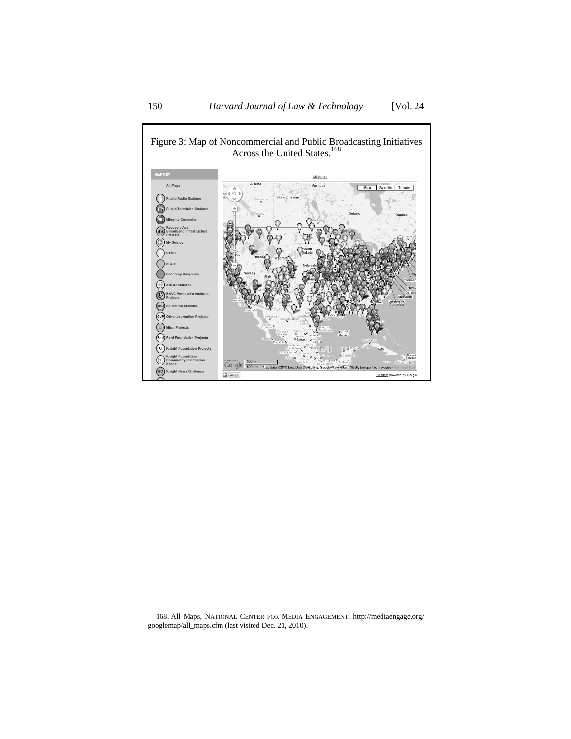

168. All Maps, NATIONAL CENTER FOR MEDIA ENGAGEMENT, http://mediaengage.org/ googlemap/all\_maps.cfm (last visited Dec. 21, 2010).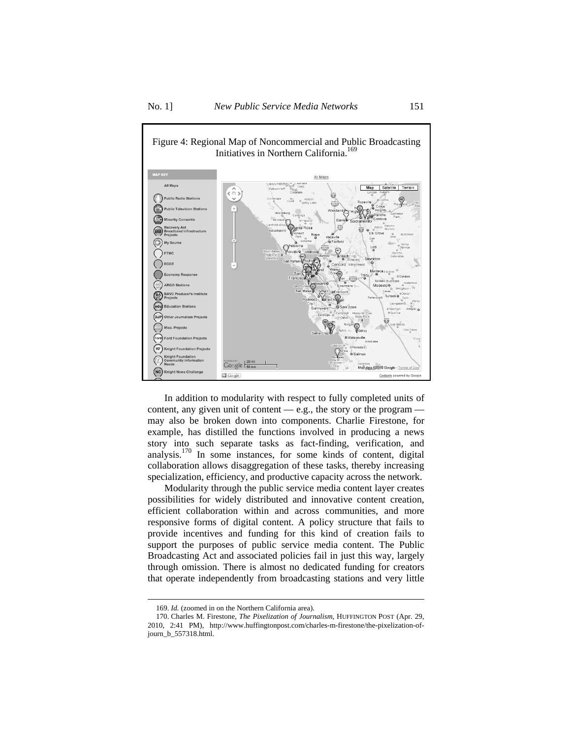

In addition to modularity with respect to fully completed units of content, any given unit of content — e.g., the story or the program may also be broken down into components. Charlie Firestone, for example, has distilled the functions involved in producing a news story into such separate tasks as fact-finding, verification, and analysis.<sup>170</sup> In some instances, for some kinds of content, digital collaboration allows disaggregation of these tasks, thereby increasing specialization, efficiency, and productive capacity across the network.

Modularity through the public service media content layer creates possibilities for widely distributed and innovative content creation, efficient collaboration within and across communities, and more responsive forms of digital content. A policy structure that fails to provide incentives and funding for this kind of creation fails to support the purposes of public service media content. The Public Broadcasting Act and associated policies fail in just this way, largely through omission. There is almost no dedicated funding for creators that operate independently from broadcasting stations and very little

<sup>169.</sup> *Id.* (zoomed in on the Northern California area).

<sup>170.</sup> Charles M. Firestone, *The Pixelization of Journalism*, HUFFINGTON POST (Apr. 29, 2010, 2:41 PM), http://www.huffingtonpost.com/charles-m-firestone/the-pixelization-ofjourn\_b\_557318.html.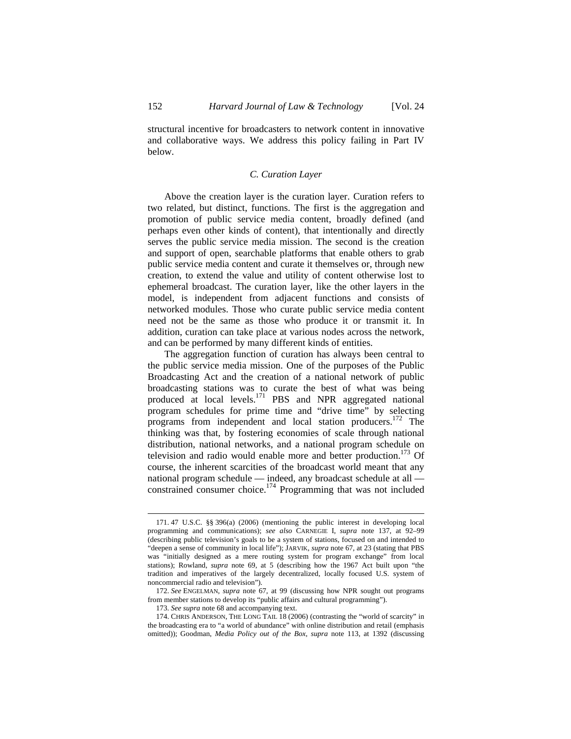structural incentive for broadcasters to network content in innovative and collaborative ways. We address this policy failing in Part IV below.

### *C. Curation Layer*

Above the creation layer is the curation layer. Curation refers to two related, but distinct, functions. The first is the aggregation and promotion of public service media content, broadly defined (and perhaps even other kinds of content), that intentionally and directly serves the public service media mission. The second is the creation and support of open, searchable platforms that enable others to grab public service media content and curate it themselves or, through new creation, to extend the value and utility of content otherwise lost to ephemeral broadcast. The curation layer, like the other layers in the model, is independent from adjacent functions and consists of networked modules. Those who curate public service media content need not be the same as those who produce it or transmit it. In addition, curation can take place at various nodes across the network, and can be performed by many different kinds of entities.

The aggregation function of curation has always been central to the public service media mission. One of the purposes of the Public Broadcasting Act and the creation of a national network of public broadcasting stations was to curate the best of what was being produced at local levels.<sup>171</sup> PBS and NPR aggregated national program schedules for prime time and "drive time" by selecting programs from independent and local station producers.172 The thinking was that, by fostering economies of scale through national distribution, national networks, and a national program schedule on television and radio would enable more and better production.<sup>173</sup> Of course, the inherent scarcities of the broadcast world meant that any national program schedule — indeed, any broadcast schedule at all constrained consumer choice.<sup>174</sup> Programming that was not included

<sup>171. 47</sup> U.S.C. §§ 396(a) (2006) (mentioning the public interest in developing local programming and communications); *see also* CARNEGIE I, *supra* note 137, at 92–99 (describing public television's goals to be a system of stations, focused on and intended to "deepen a sense of community in local life"); JARVIK, *supra* note 67, at 23 (stating that PBS was "initially designed as a mere routing system for program exchange" from local stations); Rowland, *supra* note 69, at 5 (describing how the 1967 Act built upon "the tradition and imperatives of the largely decentralized, locally focused U.S. system of noncommercial radio and television").

<sup>172.</sup> *See* ENGELMAN, *supra* note 67, at 99 (discussing how NPR sought out programs from member stations to develop its "public affairs and cultural programming").

<sup>173.</sup> *See supra* note 68 and accompanying text.

<sup>174.</sup> CHRIS ANDERSON, THE LONG TAIL 18 (2006) (contrasting the "world of scarcity" in the broadcasting era to "a world of abundance" with online distribution and retail (emphasis omitted)); Goodman, *Media Policy out of the Box*, *supra* note 113, at 1392 (discussing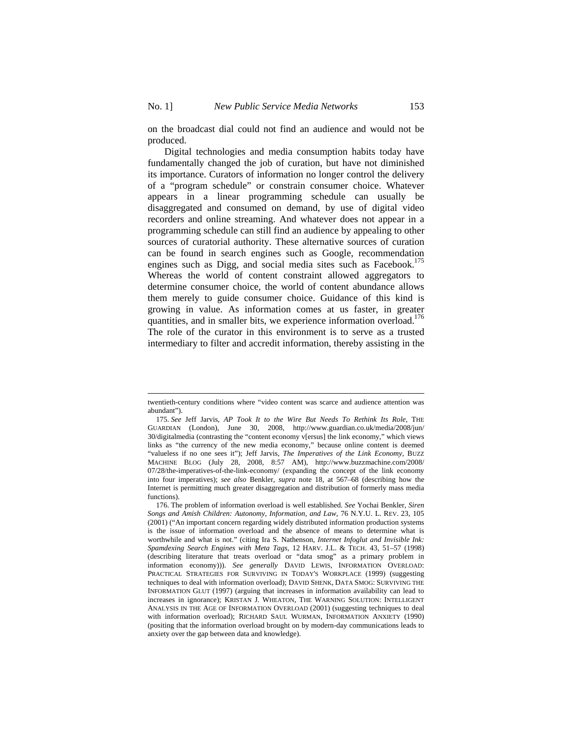$\overline{a}$ 

on the broadcast dial could not find an audience and would not be produced.

Digital technologies and media consumption habits today have fundamentally changed the job of curation, but have not diminished its importance. Curators of information no longer control the delivery of a "program schedule" or constrain consumer choice. Whatever appears in a linear programming schedule can usually be disaggregated and consumed on demand, by use of digital video recorders and online streaming. And whatever does not appear in a programming schedule can still find an audience by appealing to other sources of curatorial authority. These alternative sources of curation can be found in search engines such as Google, recommendation engines such as Digg, and social media sites such as Facebook.<sup>175</sup> Whereas the world of content constraint allowed aggregators to determine consumer choice, the world of content abundance allows them merely to guide consumer choice. Guidance of this kind is growing in value. As information comes at us faster, in greater quantities, and in smaller bits, we experience information overload.<sup>176</sup> The role of the curator in this environment is to serve as a trusted intermediary to filter and accredit information, thereby assisting in the

twentieth-century conditions where "video content was scarce and audience attention was abundant").

<sup>175.</sup> *See* Jeff Jarvis, *AP Took It to the Wire But Needs To Rethink Its Role*, THE GUARDIAN (London), June 30, 2008, http://www.guardian.co.uk/media/2008/jun/ 30/digitalmedia (contrasting the "content economy v[ersus] the link economy," which views links as "the currency of the new media economy," because online content is deemed "valueless if no one sees it"); Jeff Jarvis, *The Imperatives of the Link Economy*, BUZZ MACHINE BLOG (July 28, 2008, 8:57 AM), http://www.buzzmachine.com/2008/ 07/28/the-imperatives-of-the-link-economy/ (expanding the concept of the link economy into four imperatives); *see also* Benkler, *supra* note 18, at 567–68 (describing how the Internet is permitting much greater disaggregation and distribution of formerly mass media functions).

<sup>176.</sup> The problem of information overload is well established. *See* Yochai Benkler, *Siren Songs and Amish Children: Autonomy, Information, and Law*, 76 N.Y.U. L. REV. 23, 105 (2001) ("An important concern regarding widely distributed information production systems is the issue of information overload and the absence of means to determine what is worthwhile and what is not." (citing Ira S. Nathenson, *Internet Infoglut and Invisible Ink: Spamdexing Search Engines with Meta Tags*, 12 HARV. J.L. & TECH. 43, 51–57 (1998) (describing literature that treats overload or "data smog" as a primary problem in information economy))). *See generally* DAVID LEWIS, INFORMATION OVERLOAD: PRACTICAL STRATEGIES FOR SURVIVING IN TODAY'S WORKPLACE (1999) (suggesting techniques to deal with information overload); DAVID SHENK, DATA SMOG: SURVIVING THE INFORMATION GLUT (1997) (arguing that increases in information availability can lead to increases in ignorance); KRISTAN J. WHEATON, THE WARNING SOLUTION: INTELLIGENT ANALYSIS IN THE AGE OF INFORMATION OVERLOAD (2001) (suggesting techniques to deal with information overload); RICHARD SAUL WURMAN, INFORMATION ANXIETY (1990) (positing that the information overload brought on by modern-day communications leads to anxiety over the gap between data and knowledge).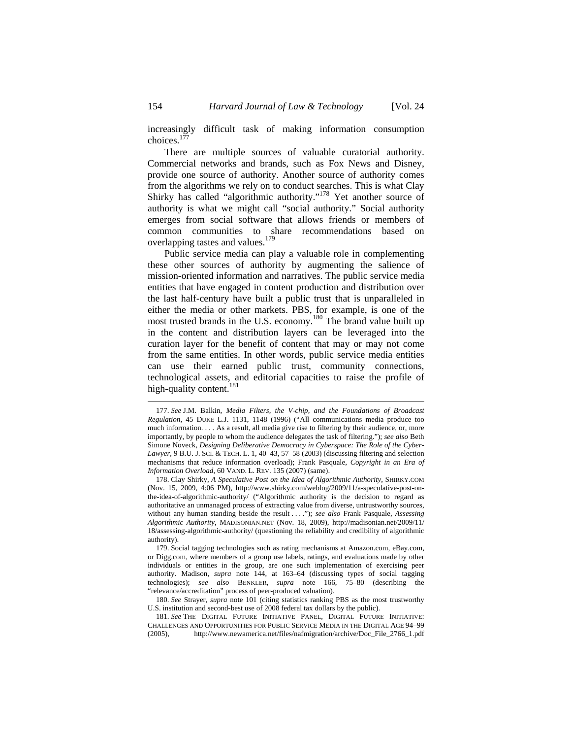increasingly difficult task of making information consumption choices. $17$ 

There are multiple sources of valuable curatorial authority. Commercial networks and brands, such as Fox News and Disney, provide one source of authority. Another source of authority comes from the algorithms we rely on to conduct searches. This is what Clay Shirky has called "algorithmic authority."<sup>178</sup> Yet another source of authority is what we might call "social authority." Social authority emerges from social software that allows friends or members of common communities to share recommendations based on overlapping tastes and values.<sup>179</sup>

Public service media can play a valuable role in complementing these other sources of authority by augmenting the salience of mission-oriented information and narratives. The public service media entities that have engaged in content production and distribution over the last half-century have built a public trust that is unparalleled in either the media or other markets. PBS, for example, is one of the most trusted brands in the U.S. economy.<sup>180</sup> The brand value built up in the content and distribution layers can be leveraged into the curation layer for the benefit of content that may or may not come from the same entities. In other words, public service media entities can use their earned public trust, community connections, technological assets, and editorial capacities to raise the profile of high-quality content.<sup>181</sup>

<sup>177.</sup> *See* J.M. Balkin, *Media Filters, the V-chip, and the Foundations of Broadcast Regulation*, 45 DUKE L.J. 1131, 1148 (1996) ("All communications media produce too much information. . . . As a result, all media give rise to filtering by their audience, or, more importantly, by people to whom the audience delegates the task of filtering."); *see also* Beth Simone Noveck, *Designing Deliberative Democracy in Cyberspace: The Role of the Cyber-Lawyer*, 9 B.U. J. SCI. & TECH. L. 1, 40–43, 57–58 (2003) (discussing filtering and selection mechanisms that reduce information overload); Frank Pasquale, *Copyright in an Era of Information Overload*, 60 VAND. L. REV. 135 (2007) (same).

<sup>178.</sup> Clay Shirky, *A Speculative Post on the Idea of Algorithmic Authority*, SHIRKY.COM (Nov. 15, 2009, 4:06 PM), http://www.shirky.com/weblog/2009/11/a-speculative-post-onthe-idea-of-algorithmic-authority/ ("Algorithmic authority is the decision to regard as authoritative an unmanaged process of extracting value from diverse, untrustworthy sources, without any human standing beside the result . . . ."); *see also* Frank Pasquale, *Assessing Algorithmic Authority*, MADISONIAN.NET (Nov. 18, 2009), http://madisonian.net/2009/11/ 18/assessing-algorithmic-authority/ (questioning the reliability and credibility of algorithmic authority).

<sup>179.</sup> Social tagging technologies such as rating mechanisms at Amazon.com, eBay.com, or Digg.com, where members of a group use labels, ratings, and evaluations made by other individuals or entities in the group, are one such implementation of exercising peer authority. Madison, *supra* note 144, at 163–64 (discussing types of social tagging technologies); *see also* BENKLER, *supra* note 166, 75–80 (describing the "relevance/accreditation" process of peer-produced valuation).

<sup>180.</sup> *See* Strayer, *supra* note 101 (citing statistics ranking PBS as the most trustworthy U.S. institution and second-best use of 2008 federal tax dollars by the public).

<sup>181.</sup> *See* THE DIGITAL FUTURE INITIATIVE PANEL, DIGITAL FUTURE INITIATIVE: CHALLENGES AND OPPORTUNITIES FOR PUBLIC SERVICE MEDIA IN THE DIGITAL AGE 94–99 (2005), http://www.newamerica.net/files/nafmigration/archive/Doc\_File\_2766\_1.pdf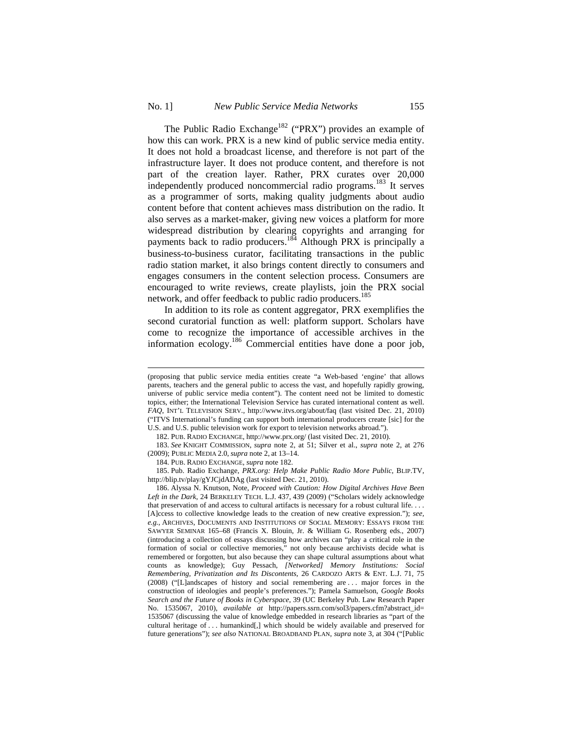$\overline{a}$ 

The Public Radio Exchange<sup>182</sup> ("PRX") provides an example of how this can work. PRX is a new kind of public service media entity. It does not hold a broadcast license, and therefore is not part of the infrastructure layer. It does not produce content, and therefore is not part of the creation layer. Rather, PRX curates over 20,000 independently produced noncommercial radio programs.<sup>183</sup> It serves as a programmer of sorts, making quality judgments about audio content before that content achieves mass distribution on the radio. It also serves as a market-maker, giving new voices a platform for more widespread distribution by clearing copyrights and arranging for payments back to radio producers.<sup>184</sup> Although PRX is principally a business-to-business curator, facilitating transactions in the public radio station market, it also brings content directly to consumers and engages consumers in the content selection process. Consumers are encouraged to write reviews, create playlists, join the PRX social network, and offer feedback to public radio producers.<sup>185</sup>

In addition to its role as content aggregator, PRX exemplifies the second curatorial function as well: platform support. Scholars have come to recognize the importance of accessible archives in the information ecology.186 Commercial entities have done a poor job,

<sup>(</sup>proposing that public service media entities create "a Web-based 'engine' that allows parents, teachers and the general public to access the vast, and hopefully rapidly growing, universe of public service media content"). The content need not be limited to domestic topics, either; the International Television Service has curated international content as well. *FAQ*, INT'L TELEVISION SERV., http://www.itvs.org/about/faq (last visited Dec. 21, 2010) ("ITVS International's funding can support both international producers create [sic] for the U.S. and U.S. public television work for export to television networks abroad.").

<sup>182.</sup> PUB. RADIO EXCHANGE, http://www.prx.org/ (last visited Dec. 21, 2010).

<sup>183.</sup> *See* KNIGHT COMMISSION, *supra* note 2, at 51; Silver et al., *supra* note 2, at 276 (2009); PUBLIC MEDIA 2.0, *supra* note 2, at 13–14.

<sup>184.</sup> PUB. RADIO EXCHANGE, *supra* note 182.

<sup>185.</sup> Pub. Radio Exchange, *PRX.org: Help Make Public Radio More Public*, BLIP.TV, http://blip.tv/play/gYJCjdADAg (last visited Dec. 21, 2010).

<sup>186.</sup> Alyssa N. Knutson, Note, *Proceed with Caution: How Digital Archives Have Been Left in the Dark*, 24 BERKELEY TECH. L.J. 437, 439 (2009) ("Scholars widely acknowledge that preservation of and access to cultural artifacts is necessary for a robust cultural life. . . . [A]ccess to collective knowledge leads to the creation of new creative expression."); *see, e.g.*, ARCHIVES, DOCUMENTS AND INSTITUTIONS OF SOCIAL MEMORY: ESSAYS FROM THE SAWYER SEMINAR 165–68 (Francis X. Blouin, Jr. & William G. Rosenberg eds., 2007) (introducing a collection of essays discussing how archives can "play a critical role in the formation of social or collective memories," not only because archivists decide what is remembered or forgotten, but also because they can shape cultural assumptions about what counts as knowledge); Guy Pessach, *[Networked] Memory Institutions: Social Remembering, Privatization and Its Discontents*, 26 CARDOZO ARTS & ENT. L.J. 71, 75 (2008) ("[L]andscapes of history and social remembering are . . . major forces in the construction of ideologies and people's preferences."); Pamela Samuelson, *Google Books Search and the Future of Books in Cyberspace*, 39 (UC Berkeley Pub. Law Research Paper No. 1535067, 2010), *available at* http://papers.ssrn.com/sol3/papers.cfm?abstract\_id= 1535067 (discussing the value of knowledge embedded in research libraries as "part of the cultural heritage of . . . humankind[,] which should be widely available and preserved for future generations"); *see also* NATIONAL BROADBAND PLAN, *supra* note 3, at 304 ("[Public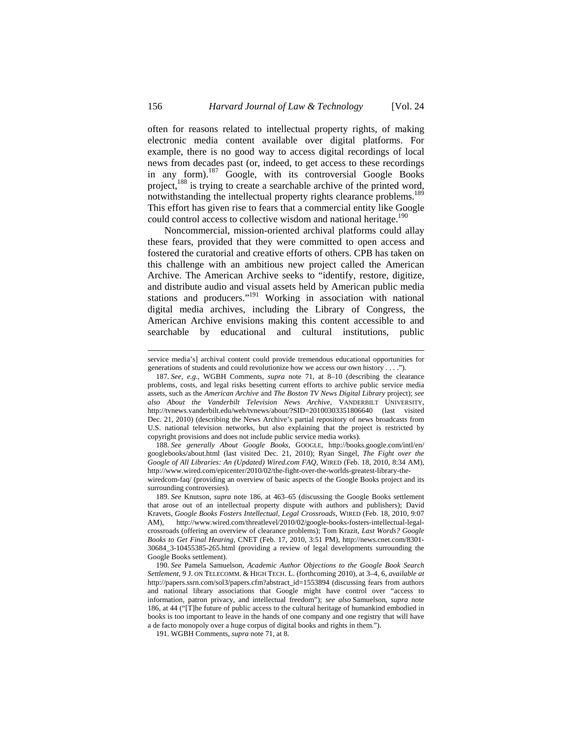often for reasons related to intellectual property rights, of making electronic media content available over digital platforms. For example, there is no good way to access digital recordings of local news from decades past (or, indeed, to get access to these recordings in any form).<sup>187</sup> Google, with its controversial Google Books project,<sup>188</sup> is trying to create a searchable archive of the printed word, notwithstanding the intellectual property rights clearance problems.<sup>189</sup> This effort has given rise to fears that a commercial entity like Google could control access to collective wisdom and national heritage.<sup>190</sup>

Noncommercial, mission-oriented archival platforms could allay these fears, provided that they were committed to open access and fostered the curatorial and creative efforts of others. CPB has taken on this challenge with an ambitious new project called the American Archive. The American Archive seeks to "identify, restore, digitize, and distribute audio and visual assets held by American public media stations and producers."<sup>191</sup> Working in association with national digital media archives, including the Library of Congress, the American Archive envisions making this content accessible to and searchable by educational and cultural institutions, public

service media's] archival content could provide tremendous educational opportunities for generations of students and could revolutionize how we access our own history . . . .").

<sup>187.</sup> *See, e.g.*, WGBH Comments, *supra* note 71, at 8–10 (describing the clearance problems, costs, and legal risks besetting current efforts to archive public service media assets, such as the *American Archive* and *The Boston TV News Digital Library* project); *see also About the Vanderbilt Television News Archive*, VANDERBILT UNIVERSITY, http://tvnews.vanderbilt.edu/web/tvnews/about/?SID=20100303351806640 (last visited Dec. 21, 2010) (describing the News Archive's partial repository of news broadcasts from U.S. national television networks, but also explaining that the project is restricted by copyright provisions and does not include public service media works).

<sup>188.</sup> *See generally About Google Books*, GOOGLE, http://books.google.com/intl/en/ googlebooks/about.html (last visited Dec. 21, 2010); Ryan Singel, *The Fight over the Google of All Libraries: An (Updated) Wired.com FAQ*, WIRED (Feb. 18, 2010, 8:34 AM), http://www.wired.com/epicenter/2010/02/the-fight-over-the-worlds-greatest-library-the-

wiredcom-faq/ (providing an overview of basic aspects of the Google Books project and its surrounding controversies).

<sup>189.</sup> *See* Knutson, *supra* note 186, at 463–65 (discussing the Google Books settlement that arose out of an intellectual property dispute with authors and publishers); David Kravets, *Google Books Fosters Intellectual, Legal Crossroads*, WIRED (Feb. 18, 2010, 9:07 AM), http://www.wired.com/threatlevel/2010/02/google-books-fosters-intellectual-legalcrossroads (offering an overview of clearance problems); Tom Krazit, *Last Words? Google Books to Get Final Hearing*, CNET (Feb. 17, 2010, 3:51 PM), http://news.cnet.com/8301- 30684\_3-10455385-265.html (providing a review of legal developments surrounding the Google Books settlement).

<sup>190.</sup> *See* Pamela Samuelson, *Academic Author Objections to the Google Book Search Settlement*, 9 J. ON TELECOMM. & HIGH TECH. L. (forthcoming 2010), at 3–4, 6, *available at*  http://papers.ssrn.com/sol3/papers.cfm?abstract\_id=1553894 (discussing fears from authors and national library associations that Google might have control over "access to information, patron privacy, and intellectual freedom"); *see also* Samuelson, *supra* note 186, at 44 ("[T]he future of public access to the cultural heritage of humankind embodied in books is too important to leave in the hands of one company and one registry that will have a de facto monopoly over a huge corpus of digital books and rights in them.").

<sup>191.</sup> WGBH Comments, *supra* note 71, at 8.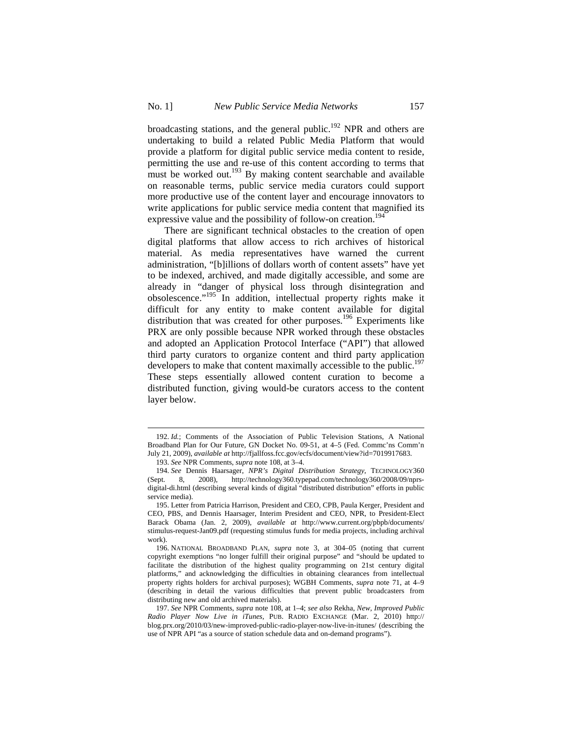broadcasting stations, and the general public.<sup>192</sup> NPR and others are undertaking to build a related Public Media Platform that would provide a platform for digital public service media content to reside, permitting the use and re-use of this content according to terms that must be worked out.<sup>193</sup> By making content searchable and available on reasonable terms, public service media curators could support more productive use of the content layer and encourage innovators to write applications for public service media content that magnified its expressive value and the possibility of follow-on creation.<sup>194</sup>

There are significant technical obstacles to the creation of open digital platforms that allow access to rich archives of historical material. As media representatives have warned the current administration, "[b]illions of dollars worth of content assets" have yet to be indexed, archived, and made digitally accessible, and some are already in "danger of physical loss through disintegration and obsolescence."<sup>195</sup> In addition, intellectual property rights make it difficult for any entity to make content available for digital distribution that was created for other purposes.<sup>196</sup> Experiments like PRX are only possible because NPR worked through these obstacles and adopted an Application Protocol Interface ("API") that allowed third party curators to organize content and third party application developers to make that content maximally accessible to the public.<sup>197</sup> These steps essentially allowed content curation to become a distributed function, giving would-be curators access to the content layer below.

<sup>192.</sup> *Id.*; Comments of the Association of Public Television Stations, A National Broadband Plan for Our Future, GN Docket No. 09-51, at 4–5 (Fed. Commc'ns Comm'n July 21, 2009), *available at* http://fjallfoss.fcc.gov/ecfs/document/view?id=7019917683.

<sup>193.</sup> *See* NPR Comments, *supra* note 108, at 3–4.

<sup>194.</sup> *See* Dennis Haarsager, *NPR's Digital Distribution Strategy*, TECHNOLOGY360 (Sept. 8, 2008), http://technology360.typepad.com/technology360/2008/09/nprsdigital-di.html (describing several kinds of digital "distributed distribution" efforts in public service media).

<sup>195.</sup> Letter from Patricia Harrison, President and CEO, CPB, Paula Kerger, President and CEO, PBS, and Dennis Haarsager, Interim President and CEO, NPR, to President-Elect Barack Obama (Jan. 2, 2009), *available at* http://www.current.org/pbpb/documents/ stimulus-request-Jan09.pdf (requesting stimulus funds for media projects, including archival work).

<sup>196.</sup> NATIONAL BROADBAND PLAN, *supra* note 3, at 304–05 (noting that current copyright exemptions "no longer fulfill their original purpose" and "should be updated to facilitate the distribution of the highest quality programming on 21st century digital platforms," and acknowledging the difficulties in obtaining clearances from intellectual property rights holders for archival purposes); WGBH Comments, *supra* note 71, at 4–9 (describing in detail the various difficulties that prevent public broadcasters from distributing new and old archived materials).

<sup>197.</sup> *See* NPR Comments, *supra* note 108, at 1–4; *see also* Rekha, *New, Improved Public Radio Player Now Live in iTunes*, PUB. RADIO EXCHANGE (Mar. 2, 2010) http:// blog.prx.org/2010/03/new-improved-public-radio-player-now-live-in-itunes/ (describing the use of NPR API "as a source of station schedule data and on-demand programs").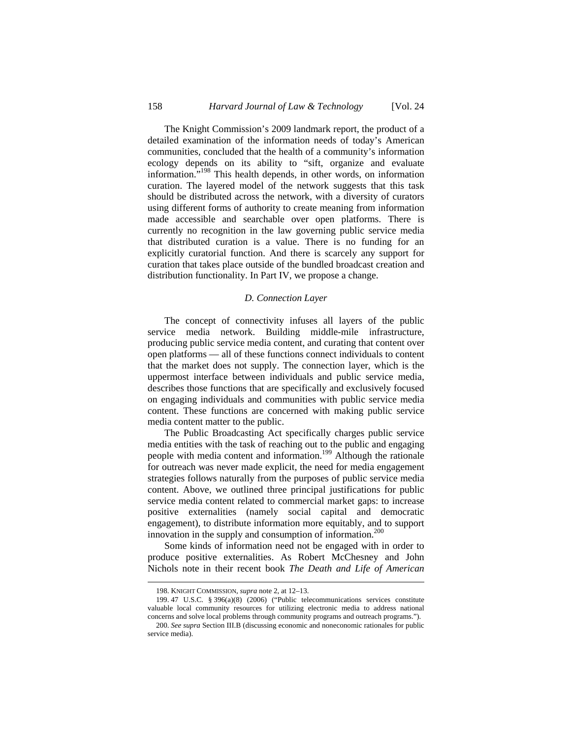The Knight Commission's 2009 landmark report, the product of a detailed examination of the information needs of today's American communities, concluded that the health of a community's information ecology depends on its ability to "sift, organize and evaluate information."198 This health depends, in other words, on information curation. The layered model of the network suggests that this task should be distributed across the network, with a diversity of curators using different forms of authority to create meaning from information made accessible and searchable over open platforms. There is currently no recognition in the law governing public service media that distributed curation is a value. There is no funding for an explicitly curatorial function. And there is scarcely any support for curation that takes place outside of the bundled broadcast creation and distribution functionality. In Part IV, we propose a change.

### *D. Connection Layer*

The concept of connectivity infuses all layers of the public service media network. Building middle-mile infrastructure, producing public service media content, and curating that content over open platforms — all of these functions connect individuals to content that the market does not supply. The connection layer, which is the uppermost interface between individuals and public service media, describes those functions that are specifically and exclusively focused on engaging individuals and communities with public service media content. These functions are concerned with making public service media content matter to the public.

The Public Broadcasting Act specifically charges public service media entities with the task of reaching out to the public and engaging people with media content and information.<sup>199</sup> Although the rationale for outreach was never made explicit, the need for media engagement strategies follows naturally from the purposes of public service media content. Above, we outlined three principal justifications for public service media content related to commercial market gaps: to increase positive externalities (namely social capital and democratic engagement), to distribute information more equitably, and to support innovation in the supply and consumption of information. $200$ 

Some kinds of information need not be engaged with in order to produce positive externalities. As Robert McChesney and John Nichols note in their recent book *The Death and Life of American* 

<sup>198.</sup> KNIGHT COMMISSION, *supra* note 2, at 12–13.

<sup>199. 47</sup> U.S.C. § 396(a)(8) (2006) ("Public telecommunications services constitute valuable local community resources for utilizing electronic media to address national concerns and solve local problems through community programs and outreach programs.").

<sup>200.</sup> *See supra* Section III.B (discussing economic and noneconomic rationales for public service media).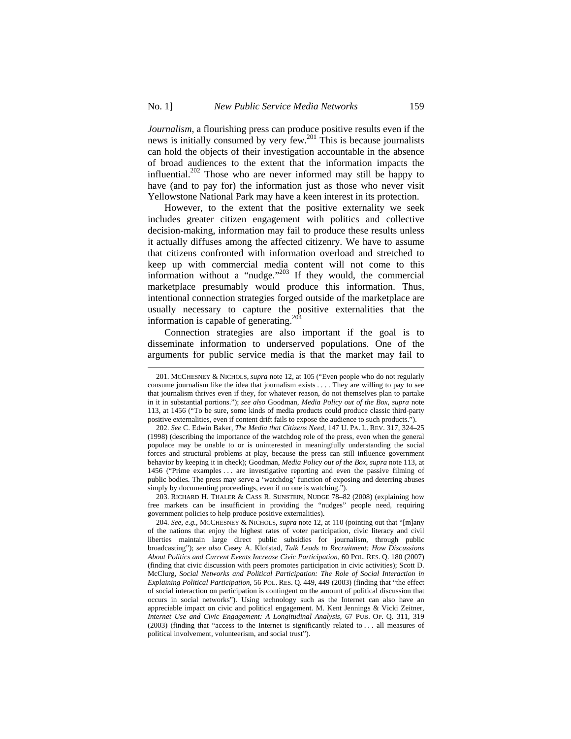*Journalism*, a flourishing press can produce positive results even if the news is initially consumed by very few.<sup>201</sup> This is because journalists can hold the objects of their investigation accountable in the absence of broad audiences to the extent that the information impacts the influential.<sup>202</sup> Those who are never informed may still be happy to have (and to pay for) the information just as those who never visit Yellowstone National Park may have a keen interest in its protection.

However, to the extent that the positive externality we seek includes greater citizen engagement with politics and collective decision-making, information may fail to produce these results unless it actually diffuses among the affected citizenry. We have to assume that citizens confronted with information overload and stretched to keep up with commercial media content will not come to this information without a "nudge."<sup>203</sup> If they would, the commercial marketplace presumably would produce this information. Thus, intentional connection strategies forged outside of the marketplace are usually necessary to capture the positive externalities that the information is capable of generating.<sup>204</sup>

Connection strategies are also important if the goal is to disseminate information to underserved populations. One of the arguments for public service media is that the market may fail to

 $\overline{a}$ 

203. RICHARD H. THALER & CASS R. SUNSTEIN, NUDGE 78–82 (2008) (explaining how free markets can be insufficient in providing the "nudges" people need, requiring government policies to help produce positive externalities).

<sup>201.</sup> MCCHESNEY & NICHOLS, *supra* note 12, at 105 ("Even people who do not regularly consume journalism like the idea that journalism exists . . . . They are willing to pay to see that journalism thrives even if they, for whatever reason, do not themselves plan to partake in it in substantial portions."); *see also* Goodman, *Media Policy out of the Box*, *supra* note 113, at 1456 ("To be sure, some kinds of media products could produce classic third-party positive externalities, even if content drift fails to expose the audience to such products.").

<sup>202.</sup> *See* C. Edwin Baker, *The Media that Citizens Need*, 147 U. PA. L. REV. 317, 324–25 (1998) (describing the importance of the watchdog role of the press, even when the general populace may be unable to or is uninterested in meaningfully understanding the social forces and structural problems at play, because the press can still influence government behavior by keeping it in check); Goodman, *Media Policy out of the Box*, *supra* note 113, at 1456 ("Prime examples . . . are investigative reporting and even the passive filming of public bodies. The press may serve a 'watchdog' function of exposing and deterring abuses simply by documenting proceedings, even if no one is watching.").

<sup>204.</sup> *See, e.g.*, MCCHESNEY & NICHOLS, *supra* note 12, at 110 (pointing out that "[m]any of the nations that enjoy the highest rates of voter participation, civic literacy and civil liberties maintain large direct public subsidies for journalism, through public broadcasting"); *see also* Casey A. Klofstad, *Talk Leads to Recruitment: How Discussions About Politics and Current Events Increase Civic Participation*, 60 POL. RES. Q. 180 (2007) (finding that civic discussion with peers promotes participation in civic activities); Scott D. McClurg, *Social Networks and Political Participation: The Role of Social Interaction in Explaining Political Participation*, 56 POL. RES. Q. 449, 449 (2003) (finding that "the effect of social interaction on participation is contingent on the amount of political discussion that occurs in social networks"). Using technology such as the Internet can also have an appreciable impact on civic and political engagement. M. Kent Jennings & Vicki Zeitner, *Internet Use and Civic Engagement: A Longitudinal Analysis*, 67 PUB. OP. Q. 311, 319 (2003) (finding that "access to the Internet is significantly related to . . . all measures of political involvement, volunteerism, and social trust").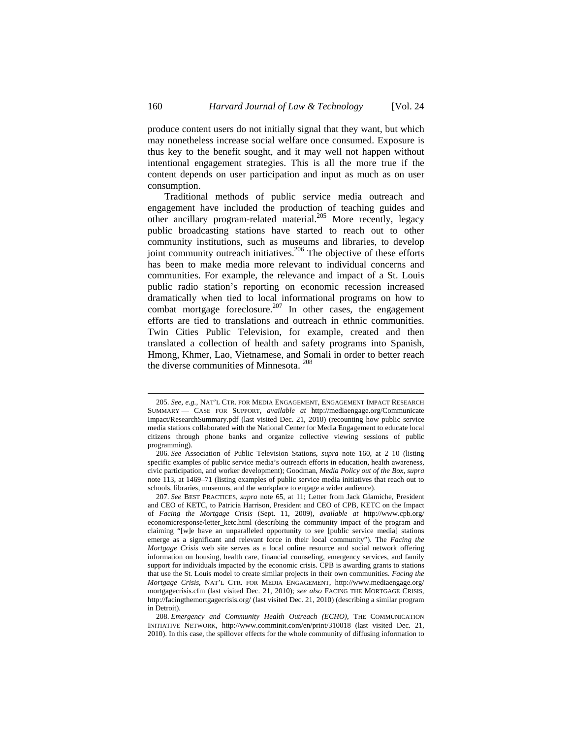produce content users do not initially signal that they want, but which may nonetheless increase social welfare once consumed. Exposure is thus key to the benefit sought, and it may well not happen without intentional engagement strategies. This is all the more true if the content depends on user participation and input as much as on user consumption.

Traditional methods of public service media outreach and engagement have included the production of teaching guides and other ancillary program-related material.205 More recently, legacy public broadcasting stations have started to reach out to other community institutions, such as museums and libraries, to develop joint community outreach initiatives.<sup>206</sup> The objective of these efforts has been to make media more relevant to individual concerns and communities. For example, the relevance and impact of a St. Louis public radio station's reporting on economic recession increased dramatically when tied to local informational programs on how to combat mortgage foreclosure.<sup>207</sup> In other cases, the engagement efforts are tied to translations and outreach in ethnic communities. Twin Cities Public Television, for example, created and then translated a collection of health and safety programs into Spanish, Hmong, Khmer, Lao, Vietnamese, and Somali in order to better reach the diverse communities of Minnesota. 208

<sup>205.</sup> *See, e.g.*, NAT'L CTR. FOR MEDIA ENGAGEMENT, ENGAGEMENT IMPACT RESEARCH SUMMARY — CASE FOR SUPPORT, *available at* http://mediaengage.org/Communicate Impact/ResearchSummary.pdf (last visited Dec. 21, 2010) (recounting how public service media stations collaborated with the National Center for Media Engagement to educate local citizens through phone banks and organize collective viewing sessions of public programming).

<sup>206.</sup> *See* Association of Public Television Stations, *supra* note 160, at 2–10 (listing specific examples of public service media's outreach efforts in education, health awareness, civic participation, and worker development); Goodman, *Media Policy out of the Box*, *supra*  note 113, at 1469–71 (listing examples of public service media initiatives that reach out to schools, libraries, museums, and the workplace to engage a wider audience).

<sup>207.</sup> *See* BEST PRACTICES, *supra* note 65, at 11; Letter from Jack Glamiche, President and CEO of KETC, to Patricia Harrison, President and CEO of CPB, KETC on the Impact of *Facing the Mortgage Crisis* (Sept. 11, 2009), *available at* http://www.cpb.org/ economicresponse/letter\_ketc.html (describing the community impact of the program and claiming "[w]e have an unparalleled opportunity to see [public service media] stations emerge as a significant and relevant force in their local community"). The *Facing the Mortgage Crisis* web site serves as a local online resource and social network offering information on housing, health care, financial counseling, emergency services, and family support for individuals impacted by the economic crisis. CPB is awarding grants to stations that use the St. Louis model to create similar projects in their own communities. *Facing the Mortgage Crisis*, NAT'L CTR. FOR MEDIA ENGAGEMENT, http://www.mediaengage.org/ mortgagecrisis.cfm (last visited Dec. 21, 2010); *see also* FACING THE MORTGAGE CRISIS, http://facingthemortgagecrisis.org/ (last visited Dec. 21, 2010) (describing a similar program in Detroit).

<sup>208.</sup> *Emergency and Community Health Outreach (ECHO)*, THE COMMUNICATION INITIATIVE NETWORK, http://www.comminit.com/en/print/310018 (last visited Dec. 21, 2010). In this case, the spillover effects for the whole community of diffusing information to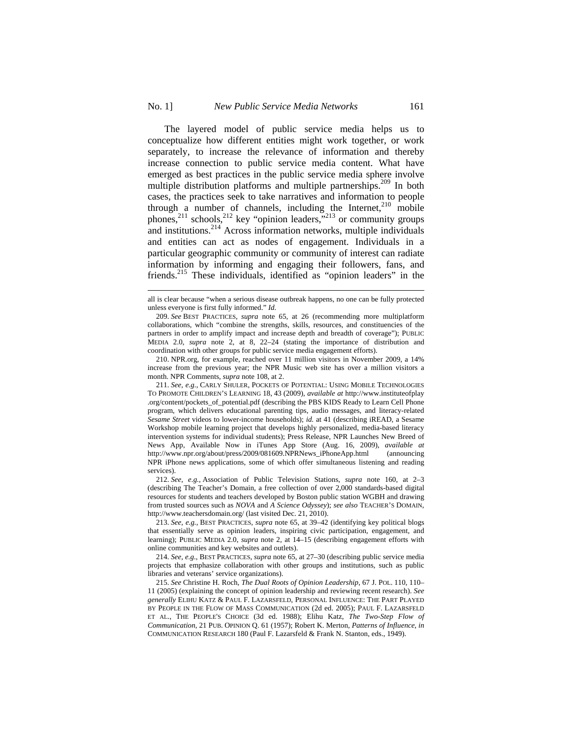$\overline{a}$ 

The layered model of public service media helps us to conceptualize how different entities might work together, or work separately, to increase the relevance of information and thereby increase connection to public service media content. What have emerged as best practices in the public service media sphere involve multiple distribution platforms and multiple partnerships.<sup>209</sup> In both cases, the practices seek to take narratives and information to people through a number of channels, including the Internet,  $210$  mobile phones,<sup>211</sup> schools,<sup>212</sup> key "opinion leaders,<sup>"213</sup> or community groups and institutions.<sup>214</sup> Across information networks, multiple individuals and entities can act as nodes of engagement. Individuals in a particular geographic community or community of interest can radiate information by informing and engaging their followers, fans, and friends.215 These individuals, identified as "opinion leaders" in the

210. NPR.org, for example, reached over 11 million visitors in November 2009, a 14% increase from the previous year; the NPR Music web site has over a million visitors a month. NPR Comments, *supra* note 108, at 2.

211. *See, e.g.*, CARLY SHULER, POCKETS OF POTENTIAL: USING MOBILE TECHNOLOGIES TO PROMOTE CHILDREN'S LEARNING 18, 43 (2009), *available at* http://www.instituteofplay .org/content/pockets\_of\_potential.pdf (describing the PBS KIDS Ready to Learn Cell Phone program, which delivers educational parenting tips, audio messages, and literacy-related *Sesame Street* videos to lower-income households); *id.* at 41 (describing iREAD, a Sesame Workshop mobile learning project that develops highly personalized, media-based literacy intervention systems for individual students); Press Release, NPR Launches New Breed of News App, Available Now in iTunes App Store (Aug. 16, 2009), *available at*  http://www.npr.org/about/press/2009/081609.NPRNews\_iPhoneApp.html (announcing NPR iPhone news applications, some of which offer simultaneous listening and reading services).

212. *See, e.g.*, Association of Public Television Stations, *supra* note 160, at 2–3 (describing The Teacher's Domain, a free collection of over 2,000 standards-based digital resources for students and teachers developed by Boston public station WGBH and drawing from trusted sources such as *NOVA* and *A Science Odyssey*); *see also* TEACHER'S DOMAIN, http://www.teachersdomain.org/ (last visited Dec. 21, 2010).

214. *See, e.g.*, BEST PRACTICES*, supra* note 65, at 27–30 (describing public service media projects that emphasize collaboration with other groups and institutions, such as public libraries and veterans' service organizations).

all is clear because "when a serious disease outbreak happens, no one can be fully protected unless everyone is first fully informed." *Id.*

<sup>209.</sup> *See* BEST PRACTICES, *supra* note 65, at 26 (recommending more multiplatform collaborations, which "combine the strengths, skills, resources, and constituencies of the partners in order to amplify impact and increase depth and breadth of coverage"); PUBLIC MEDIA 2.0, *supra* note 2, at 8, 22–24 (stating the importance of distribution and coordination with other groups for public service media engagement efforts).

<sup>213.</sup> *See, e.g.*, BEST PRACTICES*, supra* note 65, at 39–42 (identifying key political blogs that essentially serve as opinion leaders, inspiring civic participation, engagement, and learning); PUBLIC MEDIA 2.0, *supra* note 2, at 14–15 (describing engagement efforts with online communities and key websites and outlets).

<sup>215.</sup> *See* Christine H. Roch, *The Dual Roots of Opinion Leadership*, 67 J. POL. 110, 110– 11 (2005) (explaining the concept of opinion leadership and reviewing recent research). *See generally* ELIHU KATZ & PAUL F. LAZARSFELD, PERSONAL INFLUENCE: THE PART PLAYED BY PEOPLE IN THE FLOW OF MASS COMMUNICATION (2d ed. 2005); PAUL F. LAZARSFELD ET AL., THE PEOPLE'S CHOICE (3d ed. 1988); Elihu Katz, *The Two-Step Flow of Communication*, 21 PUB. OPINION Q. 61 (1957); Robert K. Merton, *Patterns of Influence*, *in* COMMUNICATION RESEARCH 180 (Paul F. Lazarsfeld & Frank N. Stanton, eds., 1949).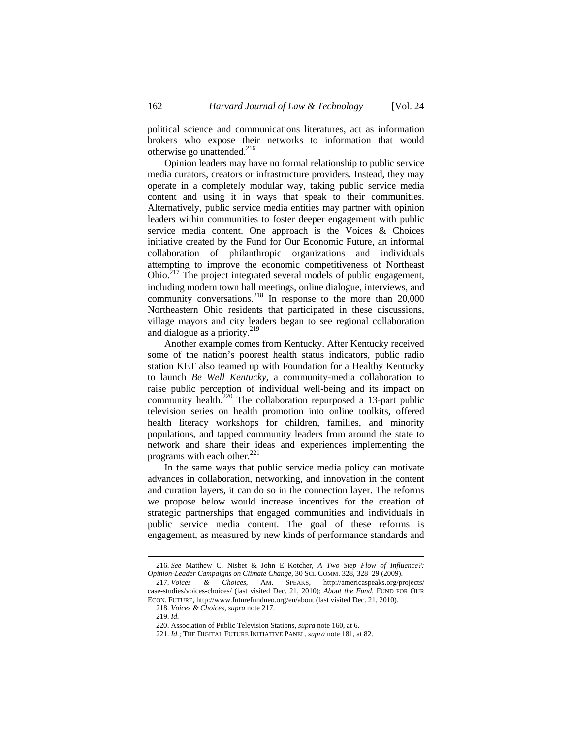political science and communications literatures, act as information brokers who expose their networks to information that would otherwise go unattended. $^{216}$ 

Opinion leaders may have no formal relationship to public service media curators, creators or infrastructure providers. Instead, they may operate in a completely modular way, taking public service media content and using it in ways that speak to their communities. Alternatively, public service media entities may partner with opinion leaders within communities to foster deeper engagement with public service media content. One approach is the Voices & Choices initiative created by the Fund for Our Economic Future, an informal collaboration of philanthropic organizations and individuals attempting to improve the economic competitiveness of Northeast Ohio.217 The project integrated several models of public engagement, including modern town hall meetings, online dialogue, interviews, and community conversations.<sup>218</sup> In response to the more than 20,000 Northeastern Ohio residents that participated in these discussions, village mayors and city leaders began to see regional collaboration and dialogue as a priority.<sup>219</sup>

Another example comes from Kentucky. After Kentucky received some of the nation's poorest health status indicators, public radio station KET also teamed up with Foundation for a Healthy Kentucky to launch *Be Well Kentucky*, a community-media collaboration to raise public perception of individual well-being and its impact on community health.<sup>220</sup> The collaboration repurposed a 13-part public television series on health promotion into online toolkits, offered health literacy workshops for children, families, and minority populations, and tapped community leaders from around the state to network and share their ideas and experiences implementing the programs with each other. $221$ 

In the same ways that public service media policy can motivate advances in collaboration, networking, and innovation in the content and curation layers, it can do so in the connection layer. The reforms we propose below would increase incentives for the creation of strategic partnerships that engaged communities and individuals in public service media content. The goal of these reforms is engagement, as measured by new kinds of performance standards and

<sup>216.</sup> *See* Matthew C. Nisbet & John E. Kotcher, *A Two Step Flow of Influence?: Opinion-Leader Campaigns on Climate Change*, 30 SCI. COMM. 328, 328–29 (2009).

<sup>217.</sup> *Voices & Choices*, AM. SPEAKS, http://americaspeaks.org/projects/ case-studies/voices-choices/ (last visited Dec. 21, 2010); *About the Fund*, FUND FOR OUR ECON. FUTURE, http://www.futurefundneo.org/en/about (last visited Dec. 21, 2010).

<sup>218.</sup> *Voices & Choices*, *supra* note 217.

<sup>219.</sup> *Id.*

<sup>220.</sup> Association of Public Television Stations, *supra* note 160, at 6.

<sup>221.</sup> *Id.*; THE DIGITAL FUTURE INITIATIVE PANEL, *supra* note 181, at 82.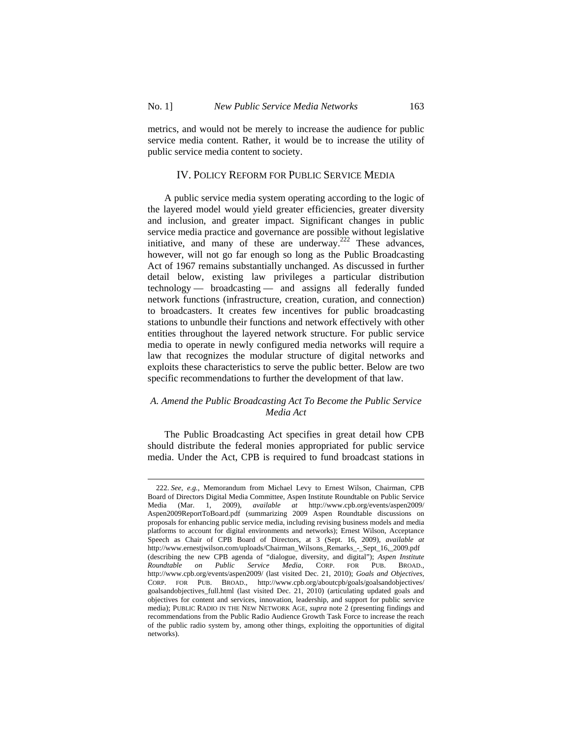metrics, and would not be merely to increase the audience for public service media content. Rather, it would be to increase the utility of public service media content to society.

## IV. POLICY REFORM FOR PUBLIC SERVICE MEDIA

A public service media system operating according to the logic of the layered model would yield greater efficiencies, greater diversity and inclusion, and greater impact. Significant changes in public service media practice and governance are possible without legislative initiative, and many of these are underway.<sup>222</sup> These advances, however, will not go far enough so long as the Public Broadcasting Act of 1967 remains substantially unchanged. As discussed in further detail below, existing law privileges a particular distribution technology — broadcasting — and assigns all federally funded network functions (infrastructure, creation, curation, and connection) to broadcasters. It creates few incentives for public broadcasting stations to unbundle their functions and network effectively with other entities throughout the layered network structure. For public service media to operate in newly configured media networks will require a law that recognizes the modular structure of digital networks and exploits these characteristics to serve the public better. Below are two specific recommendations to further the development of that law.

## *A. Amend the Public Broadcasting Act To Become the Public Service Media Act*

The Public Broadcasting Act specifies in great detail how CPB should distribute the federal monies appropriated for public service media. Under the Act, CPB is required to fund broadcast stations in

<sup>222.</sup> *See, e.g.*, Memorandum from Michael Levy to Ernest Wilson, Chairman, CPB Board of Directors Digital Media Committee, Aspen Institute Roundtable on Public Service Media (Mar. 1, 2009), *available at* http://www.cpb.org/events/aspen2009/ Aspen2009ReportToBoard.pdf (summarizing 2009 Aspen Roundtable discussions on proposals for enhancing public service media, including revising business models and media platforms to account for digital environments and networks); Ernest Wilson, Acceptance Speech as Chair of CPB Board of Directors, at 3 (Sept. 16, 2009), *available at* http://www.ernestjwilson.com/uploads/Chairman\_Wilsons\_Remarks\_-\_Sept\_16,\_2009.pdf (describing the new CPB agenda of "dialogue, diversity, and digital"); *Aspen Institute Roundtable on Public Service Media*, CORP. FOR PUB. BROAD., http://www.cpb.org/events/aspen2009/ (last visited Dec. 21, 2010); *Goals and Objectives*, CORP. FOR PUB. BROAD., http://www.cpb.org/aboutcpb/goals/goalsandobjectives/ goalsandobjectives\_full.html (last visited Dec. 21, 2010) (articulating updated goals and objectives for content and services, innovation, leadership, and support for public service media); PUBLIC RADIO IN THE NEW NETWORK AGE, *supra* note 2 (presenting findings and recommendations from the Public Radio Audience Growth Task Force to increase the reach of the public radio system by, among other things, exploiting the opportunities of digital networks).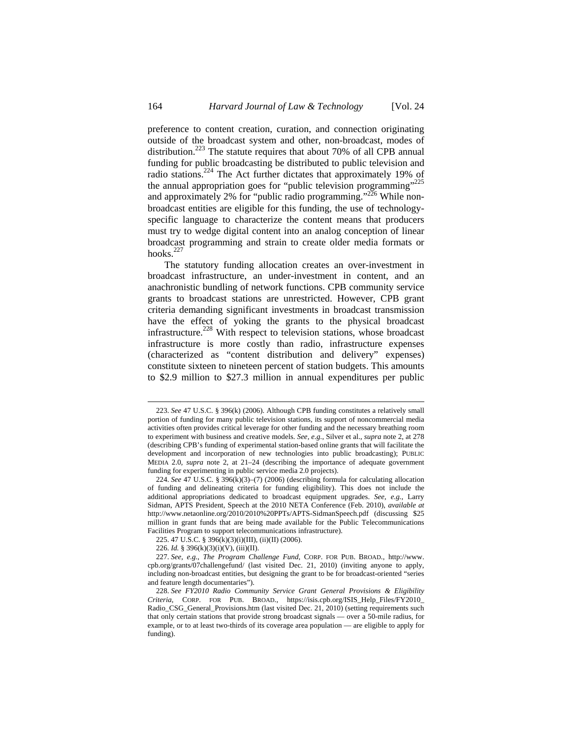preference to content creation, curation, and connection originating outside of the broadcast system and other, non-broadcast, modes of distribution.<sup>223</sup> The statute requires that about 70% of all CPB annual funding for public broadcasting be distributed to public television and radio stations.224 The Act further dictates that approximately 19% of the annual appropriation goes for "public television programming"<sup>225</sup> and approximately 2% for "public radio programming." $^{226}$  While nonbroadcast entities are eligible for this funding, the use of technologyspecific language to characterize the content means that producers must try to wedge digital content into an analog conception of linear broadcast programming and strain to create older media formats or hooks. $227$ 

The statutory funding allocation creates an over-investment in broadcast infrastructure, an under-investment in content, and an anachronistic bundling of network functions. CPB community service grants to broadcast stations are unrestricted. However, CPB grant criteria demanding significant investments in broadcast transmission have the effect of yoking the grants to the physical broadcast infrastructure.228 With respect to television stations, whose broadcast infrastructure is more costly than radio, infrastructure expenses (characterized as "content distribution and delivery" expenses) constitute sixteen to nineteen percent of station budgets. This amounts to \$2.9 million to \$27.3 million in annual expenditures per public

<sup>223.</sup> *See* 47 U.S.C. § 396(k) (2006). Although CPB funding constitutes a relatively small portion of funding for many public television stations, its support of noncommercial media activities often provides critical leverage for other funding and the necessary breathing room to experiment with business and creative models. *See, e.g.*, Silver et al., *supra* note 2, at 278 (describing CPB's funding of experimental station-based online grants that will facilitate the development and incorporation of new technologies into public broadcasting); PUBLIC MEDIA 2.0, *supra* note 2, at 21–24 (describing the importance of adequate government funding for experimenting in public service media 2.0 projects).

<sup>224.</sup> *See* 47 U.S.C. § 396(k)(3)–(7) (2006) (describing formula for calculating allocation of funding and delineating criteria for funding eligibility). This does not include the additional appropriations dedicated to broadcast equipment upgrades. *See, e.g.*, Larry Sidman, APTS President, Speech at the 2010 NETA Conference (Feb. 2010), *available at* http://www.netaonline.org/2010/2010%20PPTs/APTS-SidmanSpeech.pdf (discussing \$25 million in grant funds that are being made available for the Public Telecommunications Facilities Program to support telecommunications infrastructure).

<sup>225. 47</sup> U.S.C. § 396(k)(3)(i)(III), (ii)(II) (2006).

<sup>226.</sup> *Id.* § 396(k)(3)(i)(V), (iii)(II).

<sup>227.</sup> *See, e.g.*, *The Program Challenge Fund*, CORP. FOR PUB. BROAD., http://www. cpb.org/grants/07challengefund/ (last visited Dec. 21, 2010) (inviting anyone to apply, including non-broadcast entities, but designing the grant to be for broadcast-oriented "series and feature length documentaries").

<sup>228.</sup> *See FY2010 Radio Community Service Grant General Provisions & Eligibility Criteria*, CORP. FOR PUB. BROAD., https://isis.cpb.org/ISIS\_Help\_Files/FY2010\_ Radio\_CSG\_General\_Provisions.htm (last visited Dec. 21, 2010) (setting requirements such that only certain stations that provide strong broadcast signals — over a 50-mile radius, for example, or to at least two-thirds of its coverage area population — are eligible to apply for funding).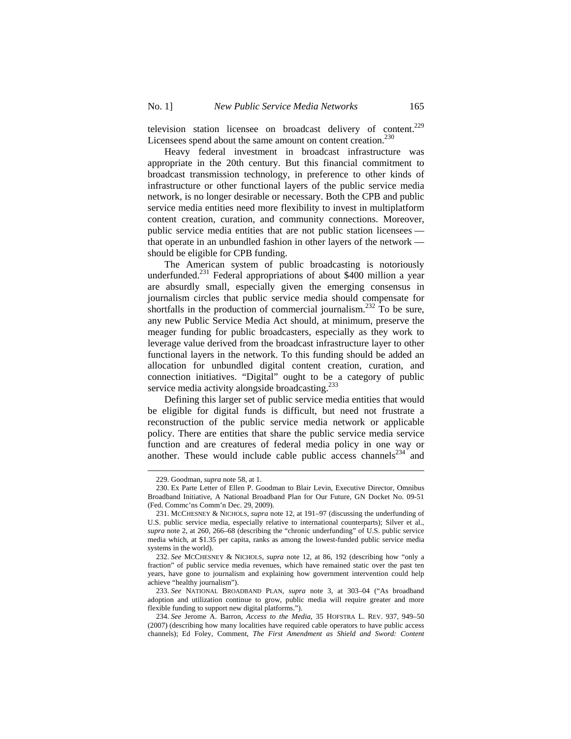television station licensee on broadcast delivery of content.229 Licensees spend about the same amount on content creation. $^{230}$ 

Heavy federal investment in broadcast infrastructure was appropriate in the 20th century. But this financial commitment to broadcast transmission technology, in preference to other kinds of infrastructure or other functional layers of the public service media network, is no longer desirable or necessary. Both the CPB and public service media entities need more flexibility to invest in multiplatform content creation, curation, and community connections. Moreover, public service media entities that are not public station licensees that operate in an unbundled fashion in other layers of the network should be eligible for CPB funding.

The American system of public broadcasting is notoriously underfunded.231 Federal appropriations of about \$400 million a year are absurdly small, especially given the emerging consensus in journalism circles that public service media should compensate for shortfalls in the production of commercial journalism.<sup>232</sup> To be sure, any new Public Service Media Act should, at minimum, preserve the meager funding for public broadcasters, especially as they work to leverage value derived from the broadcast infrastructure layer to other functional layers in the network. To this funding should be added an allocation for unbundled digital content creation, curation, and connection initiatives. "Digital" ought to be a category of public service media activity alongside broadcasting.<sup>233</sup>

Defining this larger set of public service media entities that would be eligible for digital funds is difficult, but need not frustrate a reconstruction of the public service media network or applicable policy. There are entities that share the public service media service function and are creatures of federal media policy in one way or another. These would include cable public access channels $^{234}$  and

<sup>229.</sup> Goodman, *supra* note 58, at 1.

<sup>230.</sup> Ex Parte Letter of Ellen P. Goodman to Blair Levin, Executive Director, Omnibus Broadband Initiative, A National Broadband Plan for Our Future, GN Docket No. 09-51 (Fed. Commc'ns Comm'n Dec. 29, 2009).

<sup>231.</sup> MCCHESNEY & NICHOLS, *supra* note 12, at 191–97 (discussing the underfunding of U.S. public service media, especially relative to international counterparts); Silver et al., *supra* note 2, at 260, 266–68 (describing the "chronic underfunding" of U.S. public service media which, at \$1.35 per capita, ranks as among the lowest-funded public service media systems in the world).

<sup>232.</sup> *See* MCCHESNEY & NICHOLS, *supra* note 12, at 86, 192 (describing how "only a fraction" of public service media revenues, which have remained static over the past ten years, have gone to journalism and explaining how government intervention could help achieve "healthy journalism").

<sup>233.</sup> *See* NATIONAL BROADBAND PLAN, *supra* note 3, at 303–04 ("As broadband adoption and utilization continue to grow, public media will require greater and more flexible funding to support new digital platforms.").

<sup>234.</sup> *See* Jerome A. Barron, *Access to the Media*, 35 HOFSTRA L. REV. 937, 949–50 (2007) (describing how many localities have required cable operators to have public access channels); Ed Foley, Comment, *The First Amendment as Shield and Sword: Content*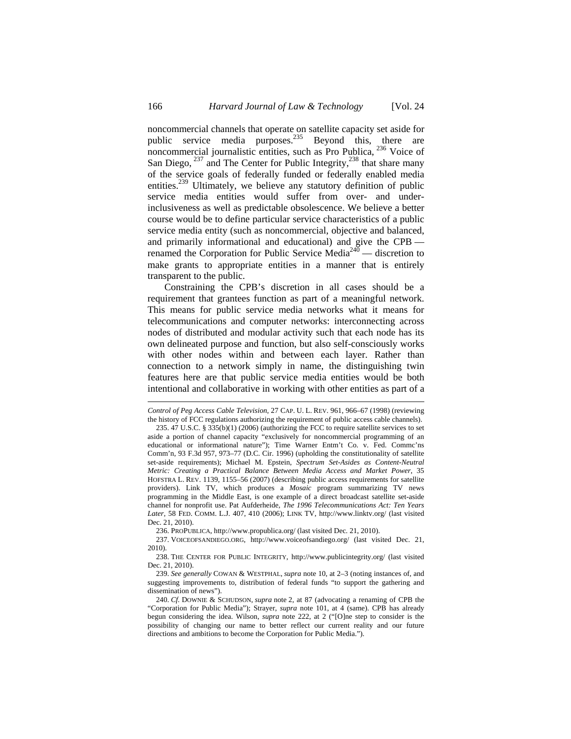noncommercial channels that operate on satellite capacity set aside for public service media purposes.<sup>235</sup> Beyond this, there are noncommercial journalistic entities, such as Pro Publica, 236 Voice of San Diego, <sup>237</sup> and The Center for Public Integrity,<sup>238</sup> that share many of the service goals of federally funded or federally enabled media entities.<sup>239</sup> Ultimately, we believe any statutory definition of public service media entities would suffer from over- and underinclusiveness as well as predictable obsolescence. We believe a better course would be to define particular service characteristics of a public service media entity (such as noncommercial, objective and balanced, and primarily informational and educational) and give the CPB renamed the Corporation for Public Service Media<sup>240</sup> — discretion to make grants to appropriate entities in a manner that is entirely transparent to the public.

Constraining the CPB's discretion in all cases should be a requirement that grantees function as part of a meaningful network. This means for public service media networks what it means for telecommunications and computer networks: interconnecting across nodes of distributed and modular activity such that each node has its own delineated purpose and function, but also self-consciously works with other nodes within and between each layer. Rather than connection to a network simply in name, the distinguishing twin features here are that public service media entities would be both intentional and collaborative in working with other entities as part of a

236. PROPUBLICA, http://www.propublica.org/ (last visited Dec. 21, 2010).

237. VOICEOFSANDIEGO.ORG, http://www.voiceofsandiego.org/ (last visited Dec. 21, 2010).

*Control of Peg Access Cable Television*, 27 CAP. U. L. REV. 961, 966–67 (1998) (reviewing the history of FCC regulations authorizing the requirement of public access cable channels).

<sup>235. 47</sup> U.S.C. § 335(b)(1) (2006) (authorizing the FCC to require satellite services to set aside a portion of channel capacity "exclusively for noncommercial programming of an educational or informational nature"); Time Warner Entm't Co. v. Fed. Commc'ns Comm'n, 93 F.3d 957, 973–77 (D.C. Cir. 1996) (upholding the constitutionality of satellite set-aside requirements); Michael M. Epstein, *Spectrum Set-Asides as Content-Neutral Metric: Creating a Practical Balance Between Media Access and Market Power*, 35 HOFSTRA L. REV. 1139, 1155–56 (2007) (describing public access requirements for satellite providers). Link TV, which produces a *Mosaic* program summarizing TV news programming in the Middle East, is one example of a direct broadcast satellite set-aside channel for nonprofit use. Pat Aufderheide, *The 1996 Telecommunications Act: Ten Years Later*, 58 FED. COMM. L.J. 407, 410 (2006); LINK TV, http://www.linktv.org/ (last visited Dec. 21, 2010).

<sup>238.</sup> THE CENTER FOR PUBLIC INTEGRITY, http://www.publicintegrity.org/ (last visited Dec. 21, 2010).

<sup>239.</sup> *See generally* COWAN & WESTPHAL, *supra* note 10, at 2–3 (noting instances of, and suggesting improvements to, distribution of federal funds "to support the gathering and dissemination of news").

<sup>240.</sup> *Cf.* DOWNIE & SCHUDSON, *supra* note 2, at 87 (advocating a renaming of CPB the "Corporation for Public Media"); Strayer, *supra* note 101, at 4 (same). CPB has already begun considering the idea. Wilson, *supra* note 222, at 2 ("[O]ne step to consider is the possibility of changing our name to better reflect our current reality and our future directions and ambitions to become the Corporation for Public Media.").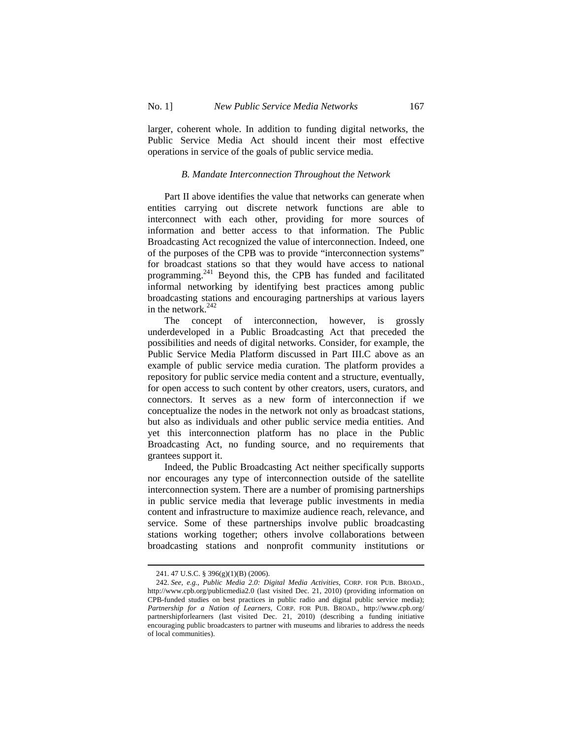larger, coherent whole. In addition to funding digital networks, the Public Service Media Act should incent their most effective operations in service of the goals of public service media.

## *B. Mandate Interconnection Throughout the Network*

Part II above identifies the value that networks can generate when entities carrying out discrete network functions are able to interconnect with each other, providing for more sources of information and better access to that information. The Public Broadcasting Act recognized the value of interconnection. Indeed, one of the purposes of the CPB was to provide "interconnection systems" for broadcast stations so that they would have access to national programming.241 Beyond this, the CPB has funded and facilitated informal networking by identifying best practices among public broadcasting stations and encouraging partnerships at various layers in the network. $242$ 

The concept of interconnection, however, is grossly underdeveloped in a Public Broadcasting Act that preceded the possibilities and needs of digital networks. Consider, for example, the Public Service Media Platform discussed in Part III.C above as an example of public service media curation. The platform provides a repository for public service media content and a structure, eventually, for open access to such content by other creators, users, curators, and connectors. It serves as a new form of interconnection if we conceptualize the nodes in the network not only as broadcast stations, but also as individuals and other public service media entities. And yet this interconnection platform has no place in the Public Broadcasting Act, no funding source, and no requirements that grantees support it.

Indeed, the Public Broadcasting Act neither specifically supports nor encourages any type of interconnection outside of the satellite interconnection system. There are a number of promising partnerships in public service media that leverage public investments in media content and infrastructure to maximize audience reach, relevance, and service. Some of these partnerships involve public broadcasting stations working together; others involve collaborations between broadcasting stations and nonprofit community institutions or

<sup>241. 47</sup> U.S.C. § 396(g)(1)(B) (2006).

<sup>242.</sup> *See, e.g.*, *Public Media 2.0: Digital Media Activities*, CORP. FOR PUB. BROAD., http://www.cpb.org/publicmedia2.0 (last visited Dec. 21, 2010) (providing information on CPB-funded studies on best practices in public radio and digital public service media); *Partnership for a Nation of Learners*, CORP. FOR PUB. BROAD., http://www.cpb.org/ partnershipforlearners (last visited Dec. 21, 2010) (describing a funding initiative encouraging public broadcasters to partner with museums and libraries to address the needs of local communities).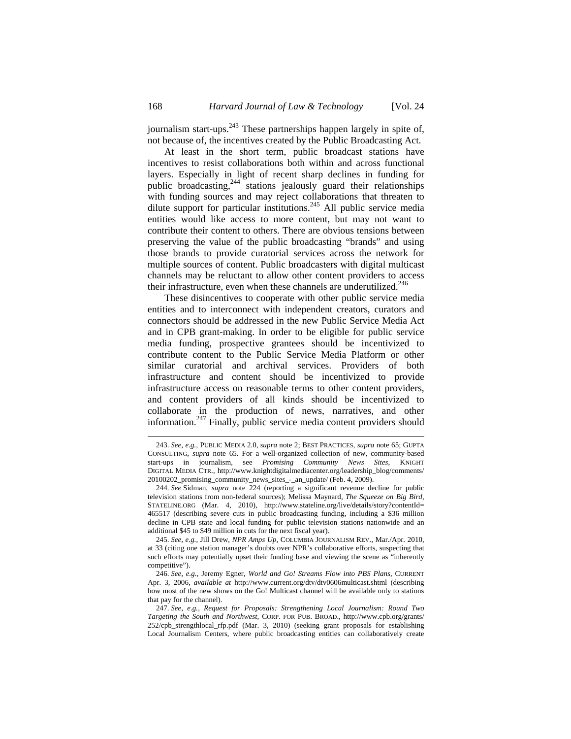journalism start-ups.<sup>243</sup> These partnerships happen largely in spite of, not because of, the incentives created by the Public Broadcasting Act.

At least in the short term, public broadcast stations have incentives to resist collaborations both within and across functional layers. Especially in light of recent sharp declines in funding for public broadcasting,<sup>244</sup> stations jealously guard their relationships with funding sources and may reject collaborations that threaten to with funding sources and may reject condominants and unclude  $\omega$ <br>dilute support for particular institutions.<sup>245</sup> All public service media entities would like access to more content, but may not want to contribute their content to others. There are obvious tensions between preserving the value of the public broadcasting "brands" and using those brands to provide curatorial services across the network for multiple sources of content. Public broadcasters with digital multicast channels may be reluctant to allow other content providers to access their infrastructure, even when these channels are underutilized. $246$ 

These disincentives to cooperate with other public service media entities and to interconnect with independent creators, curators and connectors should be addressed in the new Public Service Media Act and in CPB grant-making. In order to be eligible for public service media funding, prospective grantees should be incentivized to contribute content to the Public Service Media Platform or other similar curatorial and archival services. Providers of both infrastructure and content should be incentivized to provide infrastructure access on reasonable terms to other content providers, and content providers of all kinds should be incentivized to collaborate in the production of news, narratives, and other information.<sup>247</sup> Finally, public service media content providers should

245. *See, e.g.*, Jill Drew, *NPR Amps Up*, COLUMBIA JOURNALISM REV., Mar./Apr. 2010, at 33 (citing one station manager's doubts over NPR's collaborative efforts, suspecting that such efforts may potentially upset their funding base and viewing the scene as "inherently competitive").

246. *See, e.g.*, Jeremy Egner, *World and Go! Streams Flow into PBS Plans*, CURRENT Apr. 3, 2006, *available at* http://www.current.org/dtv/dtv0606multicast.shtml (describing how most of the new shows on the Go! Multicast channel will be available only to stations that pay for the channel).

247. *See, e.g.*, *Request for Proposals: Strengthening Local Journalism: Round Two Targeting the South and Northwest*, CORP. FOR PUB. BROAD., http://www.cpb.org/grants/ 252/cpb\_strengthlocal\_rfp.pdf (Mar. 3, 2010) (seeking grant proposals for establishing Local Journalism Centers, where public broadcasting entities can collaboratively create

<sup>243.</sup> *See, e.g.*, PUBLIC MEDIA 2.0, *supra* note 2; BEST PRACTICES, *supra* note 65; GUPTA CONSULTING, *supra* note 65. For a well-organized collection of new, community-based start-ups in journalism, see *Promising Community News Sites*, KNIGHT DIGITAL MEDIA CTR., http://www.knightdigitalmediacenter.org/leadership\_blog/comments/ 20100202\_promising\_community\_news\_sites\_-\_an\_update/ (Feb. 4, 2009).

<sup>244.</sup> *See* Sidman, *supra* note 224 (reporting a significant revenue decline for public television stations from non-federal sources); Melissa Maynard, *The Squeeze on Big Bird*, STATELINE.ORG (Mar. 4, 2010), http://www.stateline.org/live/details/story?contentId= 465517 (describing severe cuts in public broadcasting funding, including a \$36 million decline in CPB state and local funding for public television stations nationwide and an additional \$45 to \$49 million in cuts for the next fiscal year).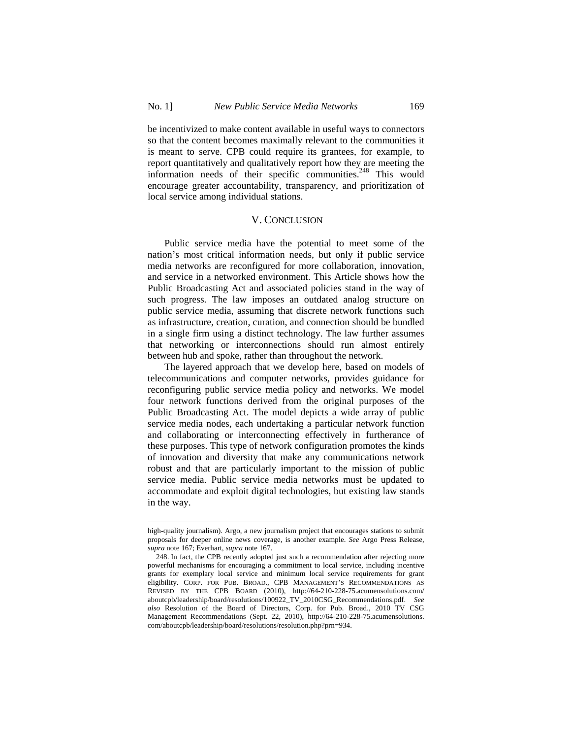$\overline{a}$ 

be incentivized to make content available in useful ways to connectors so that the content becomes maximally relevant to the communities it is meant to serve. CPB could require its grantees, for example, to report quantitatively and qualitatively report how they are meeting the information needs of their specific communities.<sup>248</sup> This would encourage greater accountability, transparency, and prioritization of local service among individual stations.

## V. CONCLUSION

Public service media have the potential to meet some of the nation's most critical information needs, but only if public service media networks are reconfigured for more collaboration, innovation, and service in a networked environment. This Article shows how the Public Broadcasting Act and associated policies stand in the way of such progress. The law imposes an outdated analog structure on public service media, assuming that discrete network functions such as infrastructure, creation, curation, and connection should be bundled in a single firm using a distinct technology. The law further assumes that networking or interconnections should run almost entirely between hub and spoke, rather than throughout the network.

The layered approach that we develop here, based on models of telecommunications and computer networks, provides guidance for reconfiguring public service media policy and networks. We model four network functions derived from the original purposes of the Public Broadcasting Act. The model depicts a wide array of public service media nodes, each undertaking a particular network function and collaborating or interconnecting effectively in furtherance of these purposes. This type of network configuration promotes the kinds of innovation and diversity that make any communications network robust and that are particularly important to the mission of public service media. Public service media networks must be updated to accommodate and exploit digital technologies, but existing law stands in the way.

high-quality journalism). Argo, a new journalism project that encourages stations to submit proposals for deeper online news coverage, is another example. *See* Argo Press Release, *supra* note 167; Everhart, *supra* note 167.

<sup>248.</sup> In fact, the CPB recently adopted just such a recommendation after rejecting more powerful mechanisms for encouraging a commitment to local service, including incentive grants for exemplary local service and minimum local service requirements for grant eligibility. CORP. FOR PUB. BROAD., CPB MANAGEMENT'S RECOMMENDATIONS AS REVISED BY THE CPB BOARD (2010), http://64-210-228-75.acumensolutions.com/ aboutcpb/leadership/board/resolutions/100922\_TV\_2010CSG\_Recommendations.pdf. *See also* Resolution of the Board of Directors, Corp. for Pub. Broad., 2010 TV CSG Management Recommendations (Sept. 22, 2010), http://64-210-228-75.acumensolutions. com/aboutcpb/leadership/board/resolutions/resolution.php?prn=934.